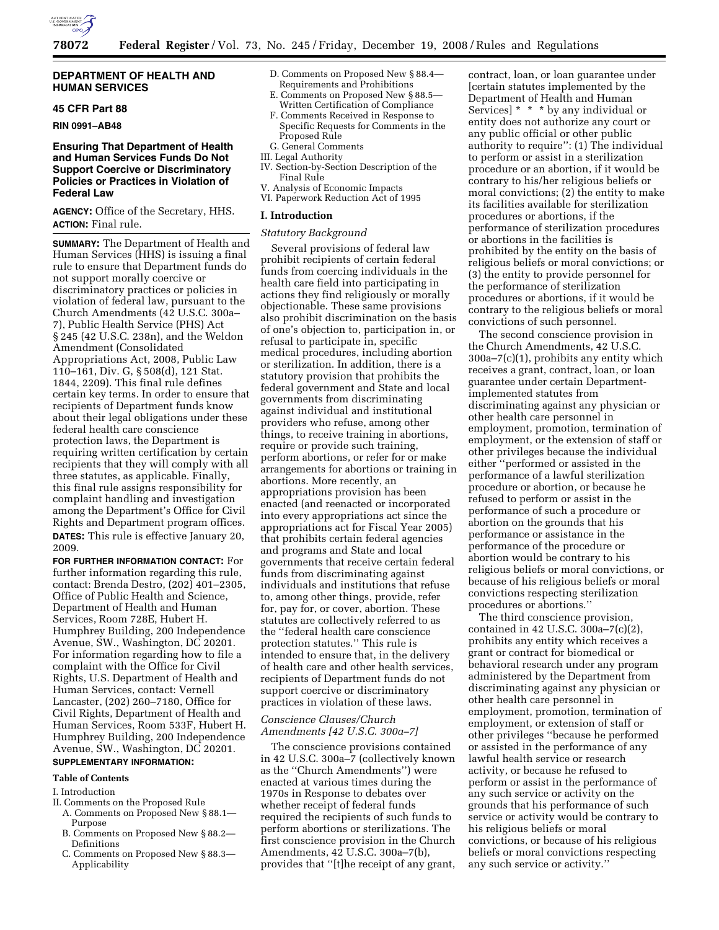

## **DEPARTMENT OF HEALTH AND HUMAN SERVICES**

# **45 CFR Part 88**

### **RIN 0991–AB48**

## **Ensuring That Department of Health and Human Services Funds Do Not Support Coercive or Discriminatory Policies or Practices in Violation of Federal Law**

**AGENCY:** Office of the Secretary, HHS. **ACTION:** Final rule.

**SUMMARY:** The Department of Health and Human Services (HHS) is issuing a final rule to ensure that Department funds do not support morally coercive or discriminatory practices or policies in violation of federal law, pursuant to the Church Amendments (42 U.S.C. 300a– 7), Public Health Service (PHS) Act § 245 (42 U.S.C. 238n), and the Weldon Amendment (Consolidated Appropriations Act, 2008, Public Law 110–161, Div. G, § 508(d), 121 Stat. 1844, 2209). This final rule defines certain key terms. In order to ensure that recipients of Department funds know about their legal obligations under these federal health care conscience protection laws, the Department is requiring written certification by certain recipients that they will comply with all three statutes, as applicable. Finally, this final rule assigns responsibility for complaint handling and investigation among the Department's Office for Civil Rights and Department program offices. **DATES:** This rule is effective January 20, 2009.

**FOR FURTHER INFORMATION CONTACT:** For further information regarding this rule, contact: Brenda Destro, (202) 401–2305, Office of Public Health and Science, Department of Health and Human Services, Room 728E, Hubert H. Humphrey Building, 200 Independence Avenue, SW., Washington, DC 20201. For information regarding how to file a complaint with the Office for Civil Rights, U.S. Department of Health and Human Services, contact: Vernell Lancaster, (202) 260–7180, Office for Civil Rights, Department of Health and Human Services, Room 533F, Hubert H. Humphrey Building, 200 Independence Avenue, SW., Washington, DC 20201.

# **SUPPLEMENTARY INFORMATION:**

## **Table of Contents**

### I. Introduction

- II. Comments on the Proposed Rule
	- A. Comments on Proposed New § 88.1— Purpose
	- B. Comments on Proposed New § 88.2— **Definitions**
	- C. Comments on Proposed New § 88.3— Applicability
- D. Comments on Proposed New § 88.4— Requirements and Prohibitions
- E. Comments on Proposed New § 88.5— Written Certification of Compliance
- F. Comments Received in Response to Specific Requests for Comments in the Proposed Rule
- G. General Comments
- III. Legal Authority
- IV. Section-by-Section Description of the Final Rule
- V. Analysis of Economic Impacts VI. Paperwork Reduction Act of 1995
- 

## **I. Introduction**

## *Statutory Background*

Several provisions of federal law prohibit recipients of certain federal funds from coercing individuals in the health care field into participating in actions they find religiously or morally objectionable. These same provisions also prohibit discrimination on the basis of one's objection to, participation in, or refusal to participate in, specific medical procedures, including abortion or sterilization. In addition, there is a statutory provision that prohibits the federal government and State and local governments from discriminating against individual and institutional providers who refuse, among other things, to receive training in abortions, require or provide such training, perform abortions, or refer for or make arrangements for abortions or training in abortions. More recently, an appropriations provision has been enacted (and reenacted or incorporated into every appropriations act since the appropriations act for Fiscal Year 2005) that prohibits certain federal agencies and programs and State and local governments that receive certain federal funds from discriminating against individuals and institutions that refuse to, among other things, provide, refer for, pay for, or cover, abortion. These statutes are collectively referred to as the ''federal health care conscience protection statutes.'' This rule is intended to ensure that, in the delivery of health care and other health services, recipients of Department funds do not support coercive or discriminatory practices in violation of these laws.

## *Conscience Clauses/Church Amendments [42 U.S.C. 300a–7]*

The conscience provisions contained in 42 U.S.C. 300a–7 (collectively known as the ''Church Amendments'') were enacted at various times during the 1970s in Response to debates over whether receipt of federal funds required the recipients of such funds to perform abortions or sterilizations. The first conscience provision in the Church Amendments, 42 U.S.C. 300a–7(b), provides that ''[t]he receipt of any grant,

contract, loan, or loan guarantee under [certain statutes implemented by the Department of Health and Human Services] \* \* \* by any individual or entity does not authorize any court or any public official or other public authority to require'': (1) The individual to perform or assist in a sterilization procedure or an abortion, if it would be contrary to his/her religious beliefs or moral convictions; (2) the entity to make its facilities available for sterilization procedures or abortions, if the performance of sterilization procedures or abortions in the facilities is prohibited by the entity on the basis of religious beliefs or moral convictions; or (3) the entity to provide personnel for the performance of sterilization procedures or abortions, if it would be contrary to the religious beliefs or moral convictions of such personnel.

The second conscience provision in the Church Amendments, 42 U.S.C. 300a–7(c)(1), prohibits any entity which receives a grant, contract, loan, or loan guarantee under certain Departmentimplemented statutes from discriminating against any physician or other health care personnel in employment, promotion, termination of employment, or the extension of staff or other privileges because the individual either ''performed or assisted in the performance of a lawful sterilization procedure or abortion, or because he refused to perform or assist in the performance of such a procedure or abortion on the grounds that his performance or assistance in the performance of the procedure or abortion would be contrary to his religious beliefs or moral convictions, or because of his religious beliefs or moral convictions respecting sterilization procedures or abortions.''

The third conscience provision, contained in 42 U.S.C. 300a–7(c)(2), prohibits any entity which receives a grant or contract for biomedical or behavioral research under any program administered by the Department from discriminating against any physician or other health care personnel in employment, promotion, termination of employment, or extension of staff or other privileges ''because he performed or assisted in the performance of any lawful health service or research activity, or because he refused to perform or assist in the performance of any such service or activity on the grounds that his performance of such service or activity would be contrary to his religious beliefs or moral convictions, or because of his religious beliefs or moral convictions respecting any such service or activity.''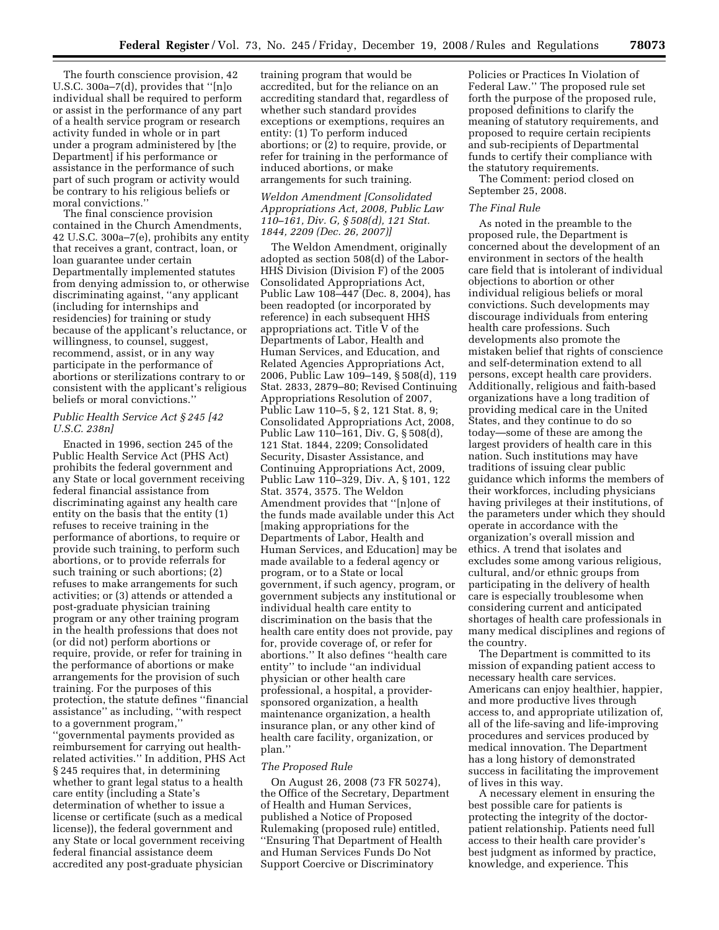The fourth conscience provision, 42 U.S.C. 300a–7(d), provides that ''[n]o individual shall be required to perform or assist in the performance of any part of a health service program or research activity funded in whole or in part under a program administered by [the Department] if his performance or assistance in the performance of such part of such program or activity would be contrary to his religious beliefs or moral convictions.''

The final conscience provision contained in the Church Amendments, 42 U.S.C. 300a–7(e), prohibits any entity that receives a grant, contract, loan, or loan guarantee under certain Departmentally implemented statutes from denying admission to, or otherwise discriminating against, ''any applicant (including for internships and residencies) for training or study because of the applicant's reluctance, or willingness, to counsel, suggest, recommend, assist, or in any way participate in the performance of abortions or sterilizations contrary to or consistent with the applicant's religious beliefs or moral convictions.''

## *Public Health Service Act § 245 [42 U.S.C. 238n]*

Enacted in 1996, section 245 of the Public Health Service Act (PHS Act) prohibits the federal government and any State or local government receiving federal financial assistance from discriminating against any health care entity on the basis that the entity (1) refuses to receive training in the performance of abortions, to require or provide such training, to perform such abortions, or to provide referrals for such training or such abortions; (2) refuses to make arrangements for such activities; or (3) attends or attended a post-graduate physician training program or any other training program in the health professions that does not (or did not) perform abortions or require, provide, or refer for training in the performance of abortions or make arrangements for the provision of such training. For the purposes of this protection, the statute defines ''financial assistance'' as including, ''with respect to a government program,'' ''governmental payments provided as reimbursement for carrying out healthrelated activities.'' In addition, PHS Act § 245 requires that, in determining whether to grant legal status to a health care entity (including a State's determination of whether to issue a license or certificate (such as a medical license)), the federal government and any State or local government receiving federal financial assistance deem accredited any post-graduate physician

training program that would be accredited, but for the reliance on an accrediting standard that, regardless of whether such standard provides exceptions or exemptions, requires an entity: (1) To perform induced abortions; or (2) to require, provide, or refer for training in the performance of induced abortions, or make arrangements for such training.

## *Weldon Amendment [Consolidated Appropriations Act, 2008, Public Law 110–161, Div. G, § 508(d), 121 Stat. 1844, 2209 (Dec. 26, 2007)]*

The Weldon Amendment, originally adopted as section 508(d) of the Labor-HHS Division (Division F) of the 2005 Consolidated Appropriations Act, Public Law 108–447 (Dec. 8, 2004), has been readopted (or incorporated by reference) in each subsequent HHS appropriations act. Title V of the Departments of Labor, Health and Human Services, and Education, and Related Agencies Appropriations Act, 2006, Public Law 109–149, § 508(d), 119 Stat. 2833, 2879–80; Revised Continuing Appropriations Resolution of 2007, Public Law 110–5, § 2, 121 Stat. 8, 9; Consolidated Appropriations Act, 2008, Public Law 110–161, Div. G, § 508(d), 121 Stat. 1844, 2209; Consolidated Security, Disaster Assistance, and Continuing Appropriations Act, 2009, Public Law 110–329, Div. A, § 101, 122 Stat. 3574, 3575. The Weldon Amendment provides that ''[n]one of the funds made available under this Act [making appropriations for the Departments of Labor, Health and Human Services, and Education] may be made available to a federal agency or program, or to a State or local government, if such agency, program, or government subjects any institutional or individual health care entity to discrimination on the basis that the health care entity does not provide, pay for, provide coverage of, or refer for abortions.'' It also defines ''health care entity'' to include ''an individual physician or other health care professional, a hospital, a providersponsored organization, a health maintenance organization, a health insurance plan, or any other kind of health care facility, organization, or plan.''

## *The Proposed Rule*

On August 26, 2008 (73 FR 50274), the Office of the Secretary, Department of Health and Human Services, published a Notice of Proposed Rulemaking (proposed rule) entitled, ''Ensuring That Department of Health and Human Services Funds Do Not Support Coercive or Discriminatory

Policies or Practices In Violation of Federal Law.'' The proposed rule set forth the purpose of the proposed rule, proposed definitions to clarify the meaning of statutory requirements, and proposed to require certain recipients and sub-recipients of Departmental funds to certify their compliance with the statutory requirements.

The Comment: period closed on September 25, 2008.

## *The Final Rule*

As noted in the preamble to the proposed rule, the Department is concerned about the development of an environment in sectors of the health care field that is intolerant of individual objections to abortion or other individual religious beliefs or moral convictions. Such developments may discourage individuals from entering health care professions. Such developments also promote the mistaken belief that rights of conscience and self-determination extend to all persons, except health care providers. Additionally, religious and faith-based organizations have a long tradition of providing medical care in the United States, and they continue to do so today—some of these are among the largest providers of health care in this nation. Such institutions may have traditions of issuing clear public guidance which informs the members of their workforces, including physicians having privileges at their institutions, of the parameters under which they should operate in accordance with the organization's overall mission and ethics. A trend that isolates and excludes some among various religious, cultural, and/or ethnic groups from participating in the delivery of health care is especially troublesome when considering current and anticipated shortages of health care professionals in many medical disciplines and regions of the country.

The Department is committed to its mission of expanding patient access to necessary health care services. Americans can enjoy healthier, happier, and more productive lives through access to, and appropriate utilization of, all of the life-saving and life-improving procedures and services produced by medical innovation. The Department has a long history of demonstrated success in facilitating the improvement of lives in this way.

A necessary element in ensuring the best possible care for patients is protecting the integrity of the doctorpatient relationship. Patients need full access to their health care provider's best judgment as informed by practice, knowledge, and experience. This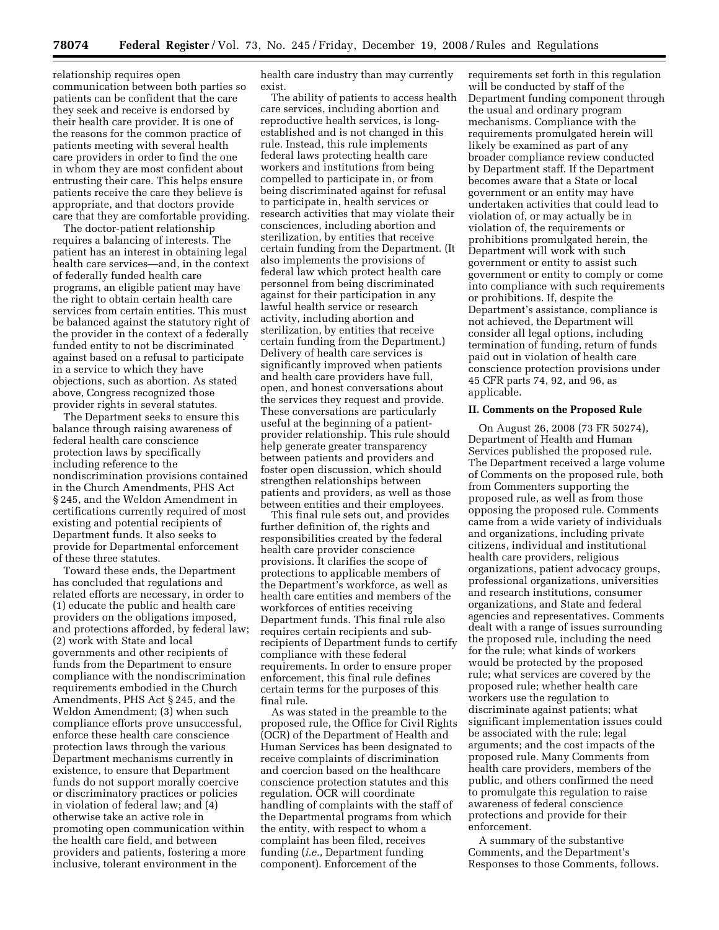relationship requires open communication between both parties so patients can be confident that the care they seek and receive is endorsed by their health care provider. It is one of the reasons for the common practice of patients meeting with several health care providers in order to find the one in whom they are most confident about entrusting their care. This helps ensure patients receive the care they believe is appropriate, and that doctors provide care that they are comfortable providing.

The doctor-patient relationship requires a balancing of interests. The patient has an interest in obtaining legal health care services—and, in the context of federally funded health care programs, an eligible patient may have the right to obtain certain health care services from certain entities. This must be balanced against the statutory right of the provider in the context of a federally funded entity to not be discriminated against based on a refusal to participate in a service to which they have objections, such as abortion. As stated above, Congress recognized those provider rights in several statutes.

The Department seeks to ensure this balance through raising awareness of federal health care conscience protection laws by specifically including reference to the nondiscrimination provisions contained in the Church Amendments, PHS Act § 245, and the Weldon Amendment in certifications currently required of most existing and potential recipients of Department funds. It also seeks to provide for Departmental enforcement of these three statutes.

Toward these ends, the Department has concluded that regulations and related efforts are necessary, in order to (1) educate the public and health care providers on the obligations imposed, and protections afforded, by federal law; (2) work with State and local governments and other recipients of funds from the Department to ensure compliance with the nondiscrimination requirements embodied in the Church Amendments, PHS Act § 245, and the Weldon Amendment; (3) when such compliance efforts prove unsuccessful, enforce these health care conscience protection laws through the various Department mechanisms currently in existence, to ensure that Department funds do not support morally coercive or discriminatory practices or policies in violation of federal law; and (4) otherwise take an active role in promoting open communication within the health care field, and between providers and patients, fostering a more inclusive, tolerant environment in the

health care industry than may currently exist.

The ability of patients to access health care services, including abortion and reproductive health services, is longestablished and is not changed in this rule. Instead, this rule implements federal laws protecting health care workers and institutions from being compelled to participate in, or from being discriminated against for refusal to participate in, health services or research activities that may violate their consciences, including abortion and sterilization, by entities that receive certain funding from the Department. (It also implements the provisions of federal law which protect health care personnel from being discriminated against for their participation in any lawful health service or research activity, including abortion and sterilization, by entities that receive certain funding from the Department.) Delivery of health care services is significantly improved when patients and health care providers have full, open, and honest conversations about the services they request and provide. These conversations are particularly useful at the beginning of a patientprovider relationship. This rule should help generate greater transparency between patients and providers and foster open discussion, which should strengthen relationships between patients and providers, as well as those between entities and their employees.

This final rule sets out, and provides further definition of, the rights and responsibilities created by the federal health care provider conscience provisions. It clarifies the scope of protections to applicable members of the Department's workforce, as well as health care entities and members of the workforces of entities receiving Department funds. This final rule also requires certain recipients and subrecipients of Department funds to certify compliance with these federal requirements. In order to ensure proper enforcement, this final rule defines certain terms for the purposes of this final rule.

As was stated in the preamble to the proposed rule, the Office for Civil Rights (OCR) of the Department of Health and Human Services has been designated to receive complaints of discrimination and coercion based on the healthcare conscience protection statutes and this regulation. OCR will coordinate handling of complaints with the staff of the Departmental programs from which the entity, with respect to whom a complaint has been filed, receives funding (*i.e.*, Department funding component). Enforcement of the

requirements set forth in this regulation will be conducted by staff of the Department funding component through the usual and ordinary program mechanisms. Compliance with the requirements promulgated herein will likely be examined as part of any broader compliance review conducted by Department staff. If the Department becomes aware that a State or local government or an entity may have undertaken activities that could lead to violation of, or may actually be in violation of, the requirements or prohibitions promulgated herein, the Department will work with such government or entity to assist such government or entity to comply or come into compliance with such requirements or prohibitions. If, despite the Department's assistance, compliance is not achieved, the Department will consider all legal options, including termination of funding, return of funds paid out in violation of health care conscience protection provisions under 45 CFR parts 74, 92, and 96, as applicable.

### **II. Comments on the Proposed Rule**

On August 26, 2008 (73 FR 50274), Department of Health and Human Services published the proposed rule. The Department received a large volume of Comments on the proposed rule, both from Commenters supporting the proposed rule, as well as from those opposing the proposed rule. Comments came from a wide variety of individuals and organizations, including private citizens, individual and institutional health care providers, religious organizations, patient advocacy groups, professional organizations, universities and research institutions, consumer organizations, and State and federal agencies and representatives. Comments dealt with a range of issues surrounding the proposed rule, including the need for the rule; what kinds of workers would be protected by the proposed rule; what services are covered by the proposed rule; whether health care workers use the regulation to discriminate against patients; what significant implementation issues could be associated with the rule; legal arguments; and the cost impacts of the proposed rule. Many Comments from health care providers, members of the public, and others confirmed the need to promulgate this regulation to raise awareness of federal conscience protections and provide for their enforcement.

A summary of the substantive Comments, and the Department's Responses to those Comments, follows.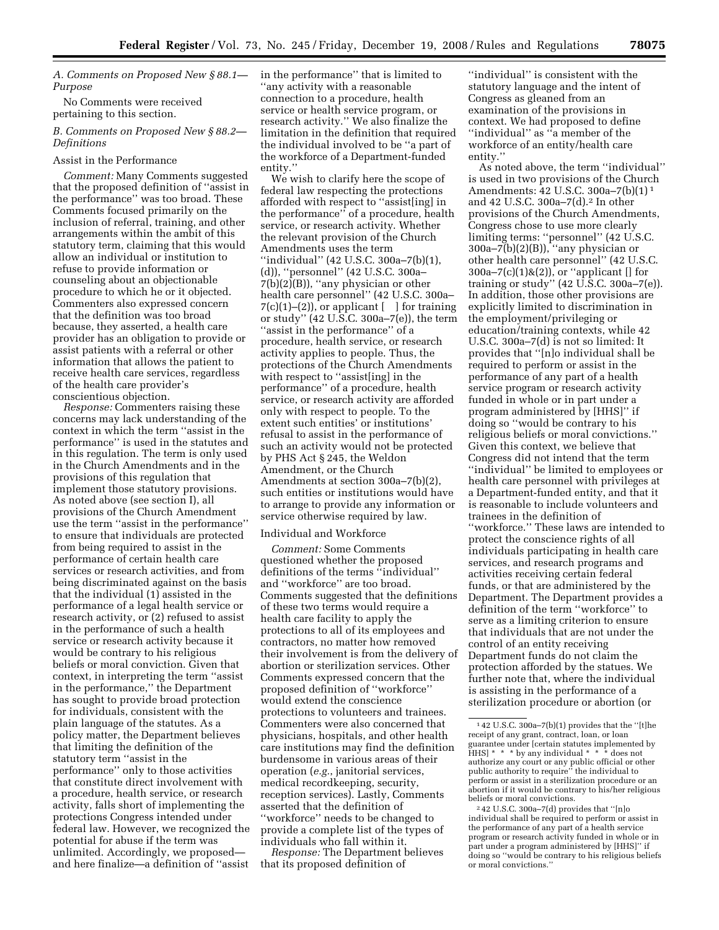*A. Comments on Proposed New § 88.1— Purpose* 

No Comments were received pertaining to this section.

## *B. Comments on Proposed New § 88.2— Definitions*

### Assist in the Performance

*Comment:* Many Comments suggested that the proposed definition of ''assist in the performance'' was too broad. These Comments focused primarily on the inclusion of referral, training, and other arrangements within the ambit of this statutory term, claiming that this would allow an individual or institution to refuse to provide information or counseling about an objectionable procedure to which he or it objected. Commenters also expressed concern that the definition was too broad because, they asserted, a health care provider has an obligation to provide or assist patients with a referral or other information that allows the patient to receive health care services, regardless of the health care provider's conscientious objection.

*Response:* Commenters raising these concerns may lack understanding of the context in which the term ''assist in the performance'' is used in the statutes and in this regulation. The term is only used in the Church Amendments and in the provisions of this regulation that implement those statutory provisions. As noted above (see section I), all provisions of the Church Amendment use the term ''assist in the performance'' to ensure that individuals are protected from being required to assist in the performance of certain health care services or research activities, and from being discriminated against on the basis that the individual (1) assisted in the performance of a legal health service or research activity, or (2) refused to assist in the performance of such a health service or research activity because it would be contrary to his religious beliefs or moral conviction. Given that context, in interpreting the term ''assist in the performance,'' the Department has sought to provide broad protection for individuals, consistent with the plain language of the statutes. As a policy matter, the Department believes that limiting the definition of the statutory term ''assist in the performance'' only to those activities that constitute direct involvement with a procedure, health service, or research activity, falls short of implementing the protections Congress intended under federal law. However, we recognized the potential for abuse if the term was unlimited. Accordingly, we proposed and here finalize—a definition of ''assist

in the performance'' that is limited to ''any activity with a reasonable connection to a procedure, health service or health service program, or research activity.'' We also finalize the limitation in the definition that required the individual involved to be ''a part of the workforce of a Department-funded entity.''

We wish to clarify here the scope of federal law respecting the protections afforded with respect to ''assist[ing] in the performance'' of a procedure, health service, or research activity. Whether the relevant provision of the Church Amendments uses the term ''individual'' (42 U.S.C. 300a–7(b)(1), (d)), ''personnel'' (42 U.S.C. 300a–  $7(b)(2)(B)$ , "any physician or other health care personnel'' (42 U.S.C. 300a–  $7(c)(1)–(2)$ , or applicant  $\lceil \cdot \rceil$  for training or study'' (42 U.S.C. 300a–7(e)), the term ''assist in the performance'' of a procedure, health service, or research activity applies to people. Thus, the protections of the Church Amendments with respect to "assist[ing] in the performance'' of a procedure, health service, or research activity are afforded only with respect to people. To the extent such entities' or institutions' refusal to assist in the performance of such an activity would not be protected by PHS Act § 245, the Weldon Amendment, or the Church Amendments at section 300a–7(b)(2), such entities or institutions would have to arrange to provide any information or service otherwise required by law.

### Individual and Workforce

*Comment:* Some Comments questioned whether the proposed definitions of the terms ''individual'' and ''workforce'' are too broad. Comments suggested that the definitions of these two terms would require a health care facility to apply the protections to all of its employees and contractors, no matter how removed their involvement is from the delivery of abortion or sterilization services. Other Comments expressed concern that the proposed definition of ''workforce'' would extend the conscience protections to volunteers and trainees. Commenters were also concerned that physicians, hospitals, and other health care institutions may find the definition burdensome in various areas of their operation (*e.g.*, janitorial services, medical recordkeeping, security, reception services). Lastly, Comments asserted that the definition of ''workforce'' needs to be changed to provide a complete list of the types of individuals who fall within it.

*Response:* The Department believes that its proposed definition of

''individual'' is consistent with the statutory language and the intent of Congress as gleaned from an examination of the provisions in context. We had proposed to define ''individual'' as ''a member of the workforce of an entity/health care entity.''

As noted above, the term ''individual'' is used in two provisions of the Church Amendments: 42 U.S.C. 300a–7(b)(1) 1 and 42 U.S.C. 300a–7(d).2 In other provisions of the Church Amendments, Congress chose to use more clearly limiting terms: ''personnel'' (42 U.S.C. 300a–7(b)(2)(B)), ''any physician or other health care personnel'' (42 U.S.C. 300a–7(c)(1)&(2)), or ''applicant [] for training or study"  $(42 \text{ U.S.C. } 300a - 7(e))$ . In addition, those other provisions are explicitly limited to discrimination in the employment/privileging or education/training contexts, while 42 U.S.C. 300a–7(d) is not so limited: It provides that ''[n]o individual shall be required to perform or assist in the performance of any part of a health service program or research activity funded in whole or in part under a program administered by [HHS]'' if doing so ''would be contrary to his religious beliefs or moral convictions.'' Given this context, we believe that Congress did not intend that the term ''individual'' be limited to employees or health care personnel with privileges at a Department-funded entity, and that it is reasonable to include volunteers and trainees in the definition of ''workforce.'' These laws are intended to protect the conscience rights of all individuals participating in health care services, and research programs and activities receiving certain federal funds, or that are administered by the Department. The Department provides a definition of the term ''workforce'' to serve as a limiting criterion to ensure that individuals that are not under the control of an entity receiving Department funds do not claim the protection afforded by the statues. We further note that, where the individual is assisting in the performance of a sterilization procedure or abortion (or

 $142$  U.S.C. 300a–7(b)(1) provides that the "[t]he receipt of any grant, contract, loan, or loan guarantee under [certain statutes implemented by HHS] \* \* \* by any individual \* \* \* does not authorize any court or any public official or other public authority to require'' the individual to perform or assist in a sterilization procedure or an abortion if it would be contrary to his/her religious

 $242$  U.S.C. 300a–7(d) provides that "[n]o individual shall be required to perform or assist in the performance of any part of a health service program or research activity funded in whole or in part under a program administered by [HHS]'' if doing so ''would be contrary to his religious beliefs or moral convictions.''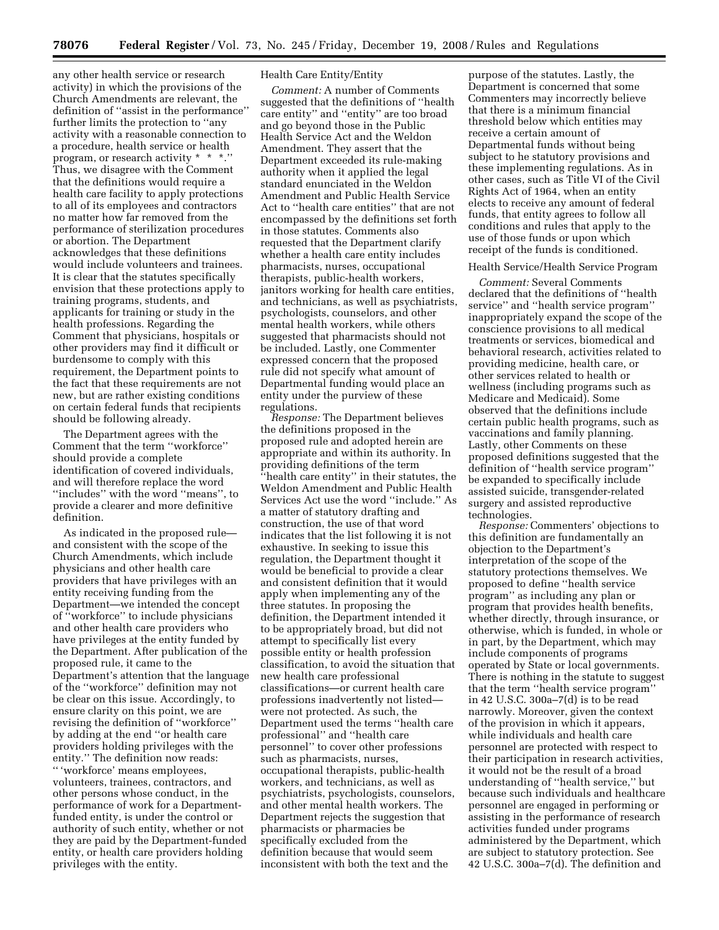any other health service or research activity) in which the provisions of the Church Amendments are relevant, the definition of ''assist in the performance'' further limits the protection to ''any activity with a reasonable connection to a procedure, health service or health program, or research activity \* \* \*.'' Thus, we disagree with the Comment that the definitions would require a health care facility to apply protections to all of its employees and contractors no matter how far removed from the performance of sterilization procedures or abortion. The Department acknowledges that these definitions would include volunteers and trainees. It is clear that the statutes specifically envision that these protections apply to training programs, students, and applicants for training or study in the health professions. Regarding the Comment that physicians, hospitals or other providers may find it difficult or burdensome to comply with this requirement, the Department points to the fact that these requirements are not new, but are rather existing conditions on certain federal funds that recipients should be following already.

The Department agrees with the Comment that the term ''workforce'' should provide a complete identification of covered individuals, and will therefore replace the word ''includes'' with the word ''means'', to provide a clearer and more definitive definition.

As indicated in the proposed rule and consistent with the scope of the Church Amendments, which include physicians and other health care providers that have privileges with an entity receiving funding from the Department—we intended the concept of ''workforce'' to include physicians and other health care providers who have privileges at the entity funded by the Department. After publication of the proposed rule, it came to the Department's attention that the language of the ''workforce'' definition may not be clear on this issue. Accordingly, to ensure clarity on this point, we are revising the definition of ''workforce'' by adding at the end ''or health care providers holding privileges with the entity.'' The definition now reads: '' 'workforce' means employees, volunteers, trainees, contractors, and other persons whose conduct, in the performance of work for a Departmentfunded entity, is under the control or authority of such entity, whether or not they are paid by the Department-funded entity, or health care providers holding privileges with the entity.

## Health Care Entity/Entity

*Comment:* A number of Comments suggested that the definitions of ''health care entity'' and ''entity'' are too broad and go beyond those in the Public Health Service Act and the Weldon Amendment. They assert that the Department exceeded its rule-making authority when it applied the legal standard enunciated in the Weldon Amendment and Public Health Service Act to ''health care entities'' that are not encompassed by the definitions set forth in those statutes. Comments also requested that the Department clarify whether a health care entity includes pharmacists, nurses, occupational therapists, public-health workers, janitors working for health care entities, and technicians, as well as psychiatrists, psychologists, counselors, and other mental health workers, while others suggested that pharmacists should not be included. Lastly, one Commenter expressed concern that the proposed rule did not specify what amount of Departmental funding would place an entity under the purview of these regulations.

*Response:* The Department believes the definitions proposed in the proposed rule and adopted herein are appropriate and within its authority. In providing definitions of the term ''health care entity'' in their statutes, the Weldon Amendment and Public Health Services Act use the word ''include.'' As a matter of statutory drafting and construction, the use of that word indicates that the list following it is not exhaustive. In seeking to issue this regulation, the Department thought it would be beneficial to provide a clear and consistent definition that it would apply when implementing any of the three statutes. In proposing the definition, the Department intended it to be appropriately broad, but did not attempt to specifically list every possible entity or health profession classification, to avoid the situation that new health care professional classifications—or current health care professions inadvertently not listed were not protected. As such, the Department used the terms ''health care professional'' and ''health care personnel'' to cover other professions such as pharmacists, nurses, occupational therapists, public-health workers, and technicians, as well as psychiatrists, psychologists, counselors, and other mental health workers. The Department rejects the suggestion that pharmacists or pharmacies be specifically excluded from the definition because that would seem inconsistent with both the text and the

purpose of the statutes. Lastly, the Department is concerned that some Commenters may incorrectly believe that there is a minimum financial threshold below which entities may receive a certain amount of Departmental funds without being subject to he statutory provisions and these implementing regulations. As in other cases, such as Title VI of the Civil Rights Act of 1964, when an entity elects to receive any amount of federal funds, that entity agrees to follow all conditions and rules that apply to the use of those funds or upon which receipt of the funds is conditioned.

### Health Service/Health Service Program

*Comment:* Several Comments declared that the definitions of ''health service'' and ''health service program'' inappropriately expand the scope of the conscience provisions to all medical treatments or services, biomedical and behavioral research, activities related to providing medicine, health care, or other services related to health or wellness (including programs such as Medicare and Medicaid). Some observed that the definitions include certain public health programs, such as vaccinations and family planning. Lastly, other Comments on these proposed definitions suggested that the definition of ''health service program'' be expanded to specifically include assisted suicide, transgender-related surgery and assisted reproductive technologies.

*Response:* Commenters' objections to this definition are fundamentally an objection to the Department's interpretation of the scope of the statutory protections themselves. We proposed to define ''health service program'' as including any plan or program that provides health benefits, whether directly, through insurance, or otherwise, which is funded, in whole or in part, by the Department, which may include components of programs operated by State or local governments. There is nothing in the statute to suggest that the term ''health service program'' in 42 U.S.C. 300a–7(d) is to be read narrowly. Moreover, given the context of the provision in which it appears, while individuals and health care personnel are protected with respect to their participation in research activities, it would not be the result of a broad understanding of ''health service,'' but because such individuals and healthcare personnel are engaged in performing or assisting in the performance of research activities funded under programs administered by the Department, which are subject to statutory protection. See 42 U.S.C. 300a–7(d). The definition and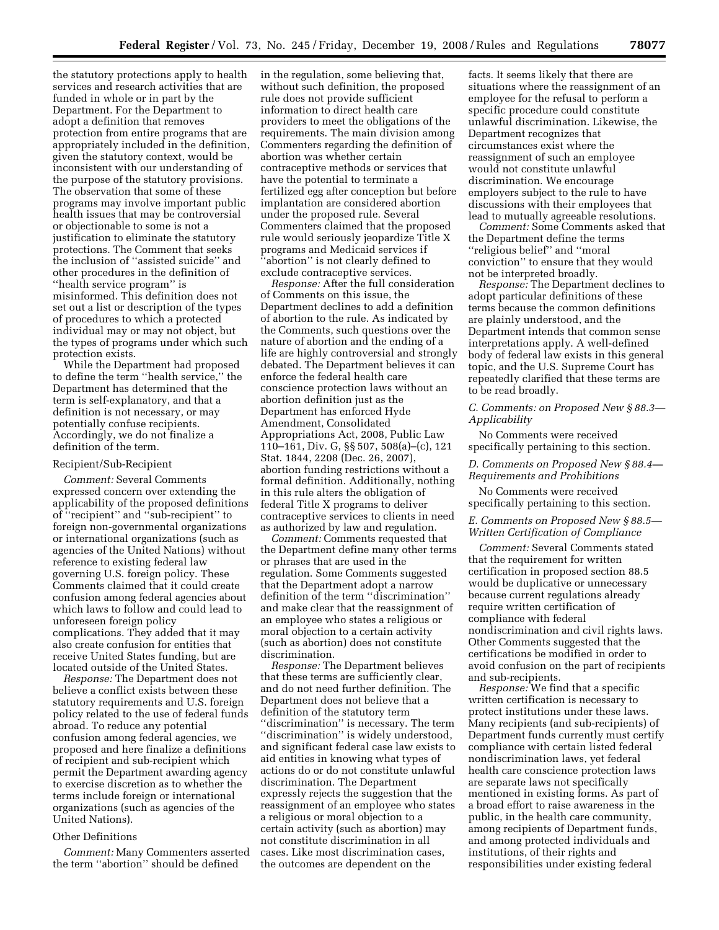the statutory protections apply to health services and research activities that are funded in whole or in part by the Department. For the Department to adopt a definition that removes protection from entire programs that are appropriately included in the definition, given the statutory context, would be inconsistent with our understanding of the purpose of the statutory provisions. The observation that some of these programs may involve important public health issues that may be controversial or objectionable to some is not a justification to eliminate the statutory protections. The Comment that seeks the inclusion of ''assisted suicide'' and other procedures in the definition of ''health service program'' is misinformed. This definition does not set out a list or description of the types of procedures to which a protected individual may or may not object, but the types of programs under which such protection exists.

While the Department had proposed to define the term ''health service,'' the Department has determined that the term is self-explanatory, and that a definition is not necessary, or may potentially confuse recipients. Accordingly, we do not finalize a definition of the term.

### Recipient/Sub-Recipient

*Comment:* Several Comments expressed concern over extending the applicability of the proposed definitions of ''recipient'' and ''sub-recipient'' to foreign non-governmental organizations or international organizations (such as agencies of the United Nations) without reference to existing federal law governing U.S. foreign policy. These Comments claimed that it could create confusion among federal agencies about which laws to follow and could lead to unforeseen foreign policy complications. They added that it may also create confusion for entities that receive United States funding, but are located outside of the United States.

*Response:* The Department does not believe a conflict exists between these statutory requirements and U.S. foreign policy related to the use of federal funds abroad. To reduce any potential confusion among federal agencies, we proposed and here finalize a definitions of recipient and sub-recipient which permit the Department awarding agency to exercise discretion as to whether the terms include foreign or international organizations (such as agencies of the United Nations).

### Other Definitions

*Comment:* Many Commenters asserted the term ''abortion'' should be defined

in the regulation, some believing that, without such definition, the proposed rule does not provide sufficient information to direct health care providers to meet the obligations of the requirements. The main division among Commenters regarding the definition of abortion was whether certain contraceptive methods or services that have the potential to terminate a fertilized egg after conception but before implantation are considered abortion under the proposed rule. Several Commenters claimed that the proposed rule would seriously jeopardize Title X programs and Medicaid services if ''abortion'' is not clearly defined to exclude contraceptive services.

*Response:* After the full consideration of Comments on this issue, the Department declines to add a definition of abortion to the rule. As indicated by the Comments, such questions over the nature of abortion and the ending of a life are highly controversial and strongly debated. The Department believes it can enforce the federal health care conscience protection laws without an abortion definition just as the Department has enforced Hyde Amendment, Consolidated Appropriations Act, 2008, Public Law 110–161, Div. G, §§ 507, 508(a)–(c), 121 Stat. 1844, 2208 (Dec. 26, 2007), abortion funding restrictions without a formal definition. Additionally, nothing in this rule alters the obligation of federal Title X programs to deliver contraceptive services to clients in need as authorized by law and regulation.

*Comment:* Comments requested that the Department define many other terms or phrases that are used in the regulation. Some Comments suggested that the Department adopt a narrow definition of the term ''discrimination'' and make clear that the reassignment of an employee who states a religious or moral objection to a certain activity (such as abortion) does not constitute discrimination.

*Response:* The Department believes that these terms are sufficiently clear, and do not need further definition. The Department does not believe that a definition of the statutory term ''discrimination'' is necessary. The term ''discrimination'' is widely understood, and significant federal case law exists to aid entities in knowing what types of actions do or do not constitute unlawful discrimination. The Department expressly rejects the suggestion that the reassignment of an employee who states a religious or moral objection to a certain activity (such as abortion) may not constitute discrimination in all cases. Like most discrimination cases, the outcomes are dependent on the

facts. It seems likely that there are situations where the reassignment of an employee for the refusal to perform a specific procedure could constitute unlawful discrimination. Likewise, the Department recognizes that circumstances exist where the reassignment of such an employee would not constitute unlawful discrimination. We encourage employers subject to the rule to have discussions with their employees that lead to mutually agreeable resolutions.

*Comment:* Some Comments asked that the Department define the terms ''religious belief'' and ''moral conviction'' to ensure that they would not be interpreted broadly.

*Response:* The Department declines to adopt particular definitions of these terms because the common definitions are plainly understood, and the Department intends that common sense interpretations apply. A well-defined body of federal law exists in this general topic, and the U.S. Supreme Court has repeatedly clarified that these terms are to be read broadly.

## *C. Comments: on Proposed New § 88.3— Applicability*

No Comments were received specifically pertaining to this section.

*D. Comments on Proposed New § 88.4— Requirements and Prohibitions* 

No Comments were received specifically pertaining to this section.

## *E. Comments on Proposed New § 88.5— Written Certification of Compliance*

*Comment:* Several Comments stated that the requirement for written certification in proposed section 88.5 would be duplicative or unnecessary because current regulations already require written certification of compliance with federal nondiscrimination and civil rights laws. Other Comments suggested that the certifications be modified in order to avoid confusion on the part of recipients and sub-recipients.

*Response:* We find that a specific written certification is necessary to protect institutions under these laws. Many recipients (and sub-recipients) of Department funds currently must certify compliance with certain listed federal nondiscrimination laws, yet federal health care conscience protection laws are separate laws not specifically mentioned in existing forms. As part of a broad effort to raise awareness in the public, in the health care community, among recipients of Department funds, and among protected individuals and institutions, of their rights and responsibilities under existing federal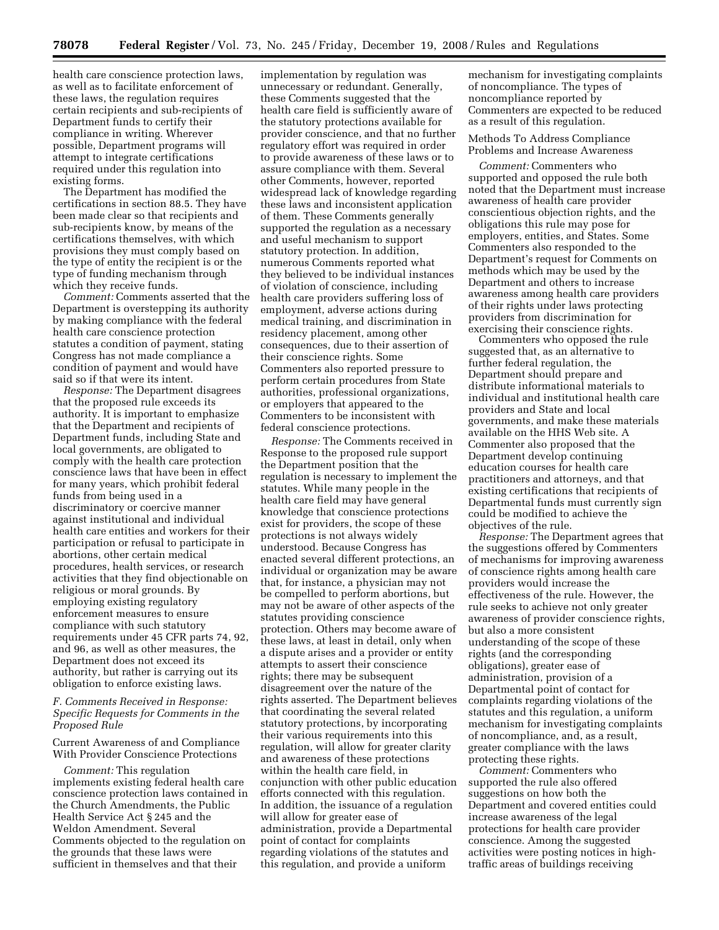health care conscience protection laws, as well as to facilitate enforcement of these laws, the regulation requires certain recipients and sub-recipients of Department funds to certify their compliance in writing. Wherever possible, Department programs will attempt to integrate certifications required under this regulation into existing forms.

The Department has modified the certifications in section 88.5. They have been made clear so that recipients and sub-recipients know, by means of the certifications themselves, with which provisions they must comply based on the type of entity the recipient is or the type of funding mechanism through which they receive funds.

*Comment:* Comments asserted that the Department is overstepping its authority by making compliance with the federal health care conscience protection statutes a condition of payment, stating Congress has not made compliance a condition of payment and would have said so if that were its intent.

*Response:* The Department disagrees that the proposed rule exceeds its authority. It is important to emphasize that the Department and recipients of Department funds, including State and local governments, are obligated to comply with the health care protection conscience laws that have been in effect for many years, which prohibit federal funds from being used in a discriminatory or coercive manner against institutional and individual health care entities and workers for their participation or refusal to participate in abortions, other certain medical procedures, health services, or research activities that they find objectionable on religious or moral grounds. By employing existing regulatory enforcement measures to ensure compliance with such statutory requirements under 45 CFR parts 74, 92, and 96, as well as other measures, the Department does not exceed its authority, but rather is carrying out its obligation to enforce existing laws.

## *F. Comments Received in Response: Specific Requests for Comments in the Proposed Rule*

Current Awareness of and Compliance With Provider Conscience Protections

*Comment:* This regulation implements existing federal health care conscience protection laws contained in the Church Amendments, the Public Health Service Act § 245 and the Weldon Amendment. Several Comments objected to the regulation on the grounds that these laws were sufficient in themselves and that their

implementation by regulation was unnecessary or redundant. Generally, these Comments suggested that the health care field is sufficiently aware of the statutory protections available for provider conscience, and that no further regulatory effort was required in order to provide awareness of these laws or to assure compliance with them. Several other Comments, however, reported widespread lack of knowledge regarding these laws and inconsistent application of them. These Comments generally supported the regulation as a necessary and useful mechanism to support statutory protection. In addition, numerous Comments reported what they believed to be individual instances of violation of conscience, including health care providers suffering loss of employment, adverse actions during medical training, and discrimination in residency placement, among other consequences, due to their assertion of their conscience rights. Some Commenters also reported pressure to perform certain procedures from State authorities, professional organizations, or employers that appeared to the Commenters to be inconsistent with federal conscience protections.

*Response:* The Comments received in Response to the proposed rule support the Department position that the regulation is necessary to implement the statutes. While many people in the health care field may have general knowledge that conscience protections exist for providers, the scope of these protections is not always widely understood. Because Congress has enacted several different protections, an individual or organization may be aware that, for instance, a physician may not be compelled to perform abortions, but may not be aware of other aspects of the statutes providing conscience protection. Others may become aware of these laws, at least in detail, only when a dispute arises and a provider or entity attempts to assert their conscience rights; there may be subsequent disagreement over the nature of the rights asserted. The Department believes that coordinating the several related statutory protections, by incorporating their various requirements into this regulation, will allow for greater clarity and awareness of these protections within the health care field, in conjunction with other public education efforts connected with this regulation. In addition, the issuance of a regulation will allow for greater ease of administration, provide a Departmental point of contact for complaints regarding violations of the statutes and this regulation, and provide a uniform

mechanism for investigating complaints of noncompliance. The types of noncompliance reported by Commenters are expected to be reduced as a result of this regulation.

Methods To Address Compliance Problems and Increase Awareness

*Comment:* Commenters who supported and opposed the rule both noted that the Department must increase awareness of health care provider conscientious objection rights, and the obligations this rule may pose for employers, entities, and States. Some Commenters also responded to the Department's request for Comments on methods which may be used by the Department and others to increase awareness among health care providers of their rights under laws protecting providers from discrimination for exercising their conscience rights.

Commenters who opposed the rule suggested that, as an alternative to further federal regulation, the Department should prepare and distribute informational materials to individual and institutional health care providers and State and local governments, and make these materials available on the HHS Web site. A Commenter also proposed that the Department develop continuing education courses for health care practitioners and attorneys, and that existing certifications that recipients of Departmental funds must currently sign could be modified to achieve the objectives of the rule.

*Response:* The Department agrees that the suggestions offered by Commenters of mechanisms for improving awareness of conscience rights among health care providers would increase the effectiveness of the rule. However, the rule seeks to achieve not only greater awareness of provider conscience rights, but also a more consistent understanding of the scope of these rights (and the corresponding obligations), greater ease of administration, provision of a Departmental point of contact for complaints regarding violations of the statutes and this regulation, a uniform mechanism for investigating complaints of noncompliance, and, as a result, greater compliance with the laws protecting these rights.

*Comment:* Commenters who supported the rule also offered suggestions on how both the Department and covered entities could increase awareness of the legal protections for health care provider conscience. Among the suggested activities were posting notices in hightraffic areas of buildings receiving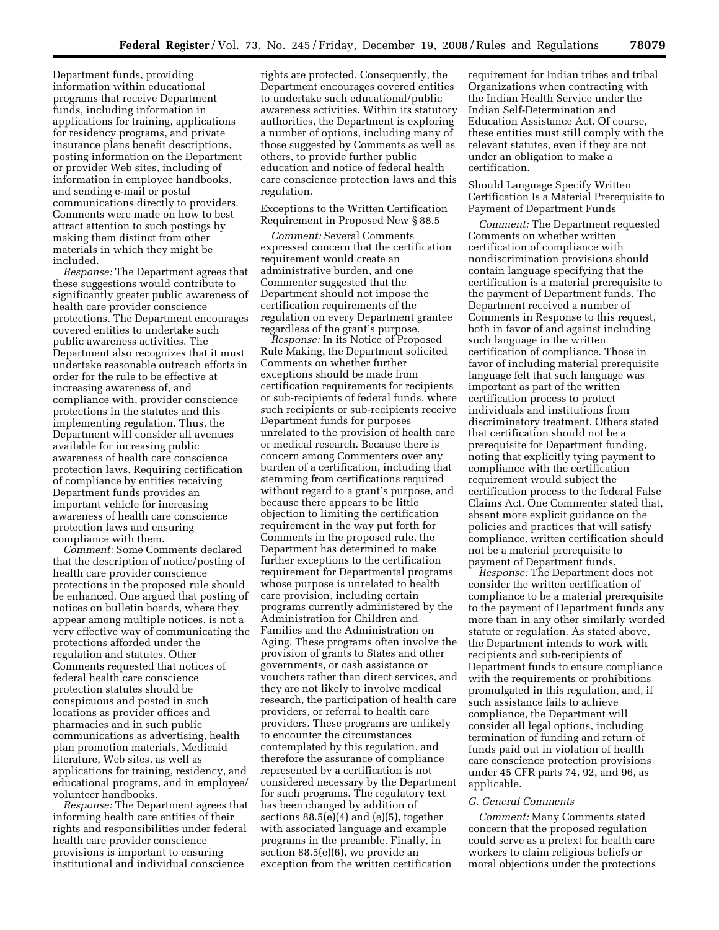Department funds, providing information within educational programs that receive Department funds, including information in applications for training, applications for residency programs, and private insurance plans benefit descriptions, posting information on the Department or provider Web sites, including of information in employee handbooks, and sending e-mail or postal communications directly to providers. Comments were made on how to best attract attention to such postings by making them distinct from other materials in which they might be included.

*Response:* The Department agrees that these suggestions would contribute to significantly greater public awareness of health care provider conscience protections. The Department encourages covered entities to undertake such public awareness activities. The Department also recognizes that it must undertake reasonable outreach efforts in order for the rule to be effective at increasing awareness of, and compliance with, provider conscience protections in the statutes and this implementing regulation. Thus, the Department will consider all avenues available for increasing public awareness of health care conscience protection laws. Requiring certification of compliance by entities receiving Department funds provides an important vehicle for increasing awareness of health care conscience protection laws and ensuring compliance with them.

*Comment:* Some Comments declared that the description of notice/posting of health care provider conscience protections in the proposed rule should be enhanced. One argued that posting of notices on bulletin boards, where they appear among multiple notices, is not a very effective way of communicating the protections afforded under the regulation and statutes. Other Comments requested that notices of federal health care conscience protection statutes should be conspicuous and posted in such locations as provider offices and pharmacies and in such public communications as advertising, health plan promotion materials, Medicaid literature, Web sites, as well as applications for training, residency, and educational programs, and in employee/ volunteer handbooks.

*Response:* The Department agrees that informing health care entities of their rights and responsibilities under federal health care provider conscience provisions is important to ensuring institutional and individual conscience

rights are protected. Consequently, the Department encourages covered entities to undertake such educational/public awareness activities. Within its statutory authorities, the Department is exploring a number of options, including many of those suggested by Comments as well as others, to provide further public education and notice of federal health care conscience protection laws and this regulation.

Exceptions to the Written Certification Requirement in Proposed New § 88.5

*Comment:* Several Comments expressed concern that the certification requirement would create an administrative burden, and one Commenter suggested that the Department should not impose the certification requirements of the regulation on every Department grantee regardless of the grant's purpose.

*Response:* In its Notice of Proposed Rule Making, the Department solicited Comments on whether further exceptions should be made from certification requirements for recipients or sub-recipients of federal funds, where such recipients or sub-recipients receive Department funds for purposes unrelated to the provision of health care or medical research. Because there is concern among Commenters over any burden of a certification, including that stemming from certifications required without regard to a grant's purpose, and because there appears to be little objection to limiting the certification requirement in the way put forth for Comments in the proposed rule, the Department has determined to make further exceptions to the certification requirement for Departmental programs whose purpose is unrelated to health care provision, including certain programs currently administered by the Administration for Children and Families and the Administration on Aging. These programs often involve the provision of grants to States and other governments, or cash assistance or vouchers rather than direct services, and they are not likely to involve medical research, the participation of health care providers, or referral to health care providers. These programs are unlikely to encounter the circumstances contemplated by this regulation, and therefore the assurance of compliance represented by a certification is not considered necessary by the Department for such programs. The regulatory text has been changed by addition of sections  $88.5(e)(4)$  and  $(e)(5)$ , together with associated language and example programs in the preamble. Finally, in section 88.5(e)(6), we provide an exception from the written certification

requirement for Indian tribes and tribal Organizations when contracting with the Indian Health Service under the Indian Self-Determination and Education Assistance Act. Of course, these entities must still comply with the relevant statutes, even if they are not under an obligation to make a certification.

Should Language Specify Written Certification Is a Material Prerequisite to Payment of Department Funds

*Comment:* The Department requested Comments on whether written certification of compliance with nondiscrimination provisions should contain language specifying that the certification is a material prerequisite to the payment of Department funds. The Department received a number of Comments in Response to this request, both in favor of and against including such language in the written certification of compliance. Those in favor of including material prerequisite language felt that such language was important as part of the written certification process to protect individuals and institutions from discriminatory treatment. Others stated that certification should not be a prerequisite for Department funding, noting that explicitly tying payment to compliance with the certification requirement would subject the certification process to the federal False Claims Act. One Commenter stated that, absent more explicit guidance on the policies and practices that will satisfy compliance, written certification should not be a material prerequisite to payment of Department funds.

*Response:* The Department does not consider the written certification of compliance to be a material prerequisite to the payment of Department funds any more than in any other similarly worded statute or regulation. As stated above, the Department intends to work with recipients and sub-recipients of Department funds to ensure compliance with the requirements or prohibitions promulgated in this regulation, and, if such assistance fails to achieve compliance, the Department will consider all legal options, including termination of funding and return of funds paid out in violation of health care conscience protection provisions under 45 CFR parts 74, 92, and 96, as applicable.

#### *G. General Comments*

*Comment:* Many Comments stated concern that the proposed regulation could serve as a pretext for health care workers to claim religious beliefs or moral objections under the protections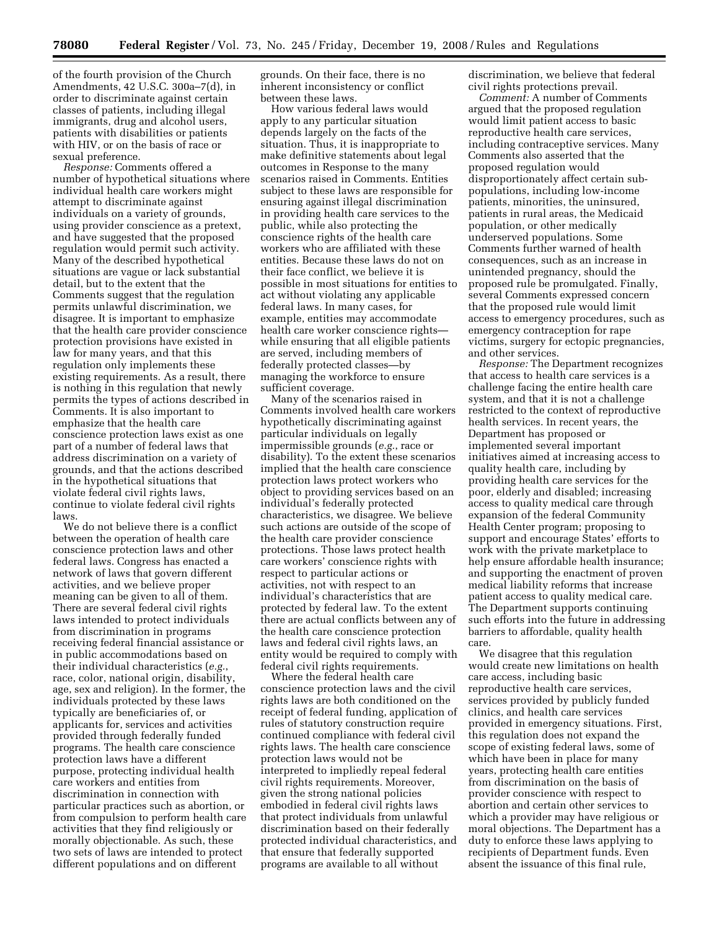of the fourth provision of the Church Amendments, 42 U.S.C. 300a–7(d), in order to discriminate against certain classes of patients, including illegal immigrants, drug and alcohol users, patients with disabilities or patients with HIV, or on the basis of race or sexual preference.

*Response:* Comments offered a number of hypothetical situations where individual health care workers might attempt to discriminate against individuals on a variety of grounds, using provider conscience as a pretext, and have suggested that the proposed regulation would permit such activity. Many of the described hypothetical situations are vague or lack substantial detail, but to the extent that the Comments suggest that the regulation permits unlawful discrimination, we disagree. It is important to emphasize that the health care provider conscience protection provisions have existed in law for many years, and that this regulation only implements these existing requirements. As a result, there is nothing in this regulation that newly permits the types of actions described in Comments. It is also important to emphasize that the health care conscience protection laws exist as one part of a number of federal laws that address discrimination on a variety of grounds, and that the actions described in the hypothetical situations that violate federal civil rights laws, continue to violate federal civil rights laws.

We do not believe there is a conflict between the operation of health care conscience protection laws and other federal laws. Congress has enacted a network of laws that govern different activities, and we believe proper meaning can be given to all of them. There are several federal civil rights laws intended to protect individuals from discrimination in programs receiving federal financial assistance or in public accommodations based on their individual characteristics (*e.g.*, race, color, national origin, disability, age, sex and religion). In the former, the individuals protected by these laws typically are beneficiaries of, or applicants for, services and activities provided through federally funded programs. The health care conscience protection laws have a different purpose, protecting individual health care workers and entities from discrimination in connection with particular practices such as abortion, or from compulsion to perform health care activities that they find religiously or morally objectionable. As such, these two sets of laws are intended to protect different populations and on different

grounds. On their face, there is no inherent inconsistency or conflict between these laws.

How various federal laws would apply to any particular situation depends largely on the facts of the situation. Thus, it is inappropriate to make definitive statements about legal outcomes in Response to the many scenarios raised in Comments. Entities subject to these laws are responsible for ensuring against illegal discrimination in providing health care services to the public, while also protecting the conscience rights of the health care workers who are affiliated with these entities. Because these laws do not on their face conflict, we believe it is possible in most situations for entities to act without violating any applicable federal laws. In many cases, for example, entities may accommodate health care worker conscience rights while ensuring that all eligible patients are served, including members of federally protected classes—by managing the workforce to ensure sufficient coverage.

Many of the scenarios raised in Comments involved health care workers hypothetically discriminating against particular individuals on legally impermissible grounds (*e.g.*, race or disability). To the extent these scenarios implied that the health care conscience protection laws protect workers who object to providing services based on an individual's federally protected characteristics, we disagree. We believe such actions are outside of the scope of the health care provider conscience protections. Those laws protect health care workers' conscience rights with respect to particular actions or activities, not with respect to an individual's characteristics that are protected by federal law. To the extent there are actual conflicts between any of the health care conscience protection laws and federal civil rights laws, an entity would be required to comply with federal civil rights requirements.

Where the federal health care conscience protection laws and the civil rights laws are both conditioned on the receipt of federal funding, application of rules of statutory construction require continued compliance with federal civil rights laws. The health care conscience protection laws would not be interpreted to impliedly repeal federal civil rights requirements. Moreover, given the strong national policies embodied in federal civil rights laws that protect individuals from unlawful discrimination based on their federally protected individual characteristics, and that ensure that federally supported programs are available to all without

discrimination, we believe that federal civil rights protections prevail.

*Comment:* A number of Comments argued that the proposed regulation would limit patient access to basic reproductive health care services, including contraceptive services. Many Comments also asserted that the proposed regulation would disproportionately affect certain subpopulations, including low-income patients, minorities, the uninsured, patients in rural areas, the Medicaid population, or other medically underserved populations. Some Comments further warned of health consequences, such as an increase in unintended pregnancy, should the proposed rule be promulgated. Finally, several Comments expressed concern that the proposed rule would limit access to emergency procedures, such as emergency contraception for rape victims, surgery for ectopic pregnancies, and other services.

*Response:* The Department recognizes that access to health care services is a challenge facing the entire health care system, and that it is not a challenge restricted to the context of reproductive health services. In recent years, the Department has proposed or implemented several important initiatives aimed at increasing access to quality health care, including by providing health care services for the poor, elderly and disabled; increasing access to quality medical care through expansion of the federal Community Health Center program; proposing to support and encourage States' efforts to work with the private marketplace to help ensure affordable health insurance; and supporting the enactment of proven medical liability reforms that increase patient access to quality medical care. The Department supports continuing such efforts into the future in addressing barriers to affordable, quality health care.

We disagree that this regulation would create new limitations on health care access, including basic reproductive health care services, services provided by publicly funded clinics, and health care services provided in emergency situations. First, this regulation does not expand the scope of existing federal laws, some of which have been in place for many years, protecting health care entities from discrimination on the basis of provider conscience with respect to abortion and certain other services to which a provider may have religious or moral objections. The Department has a duty to enforce these laws applying to recipients of Department funds. Even absent the issuance of this final rule,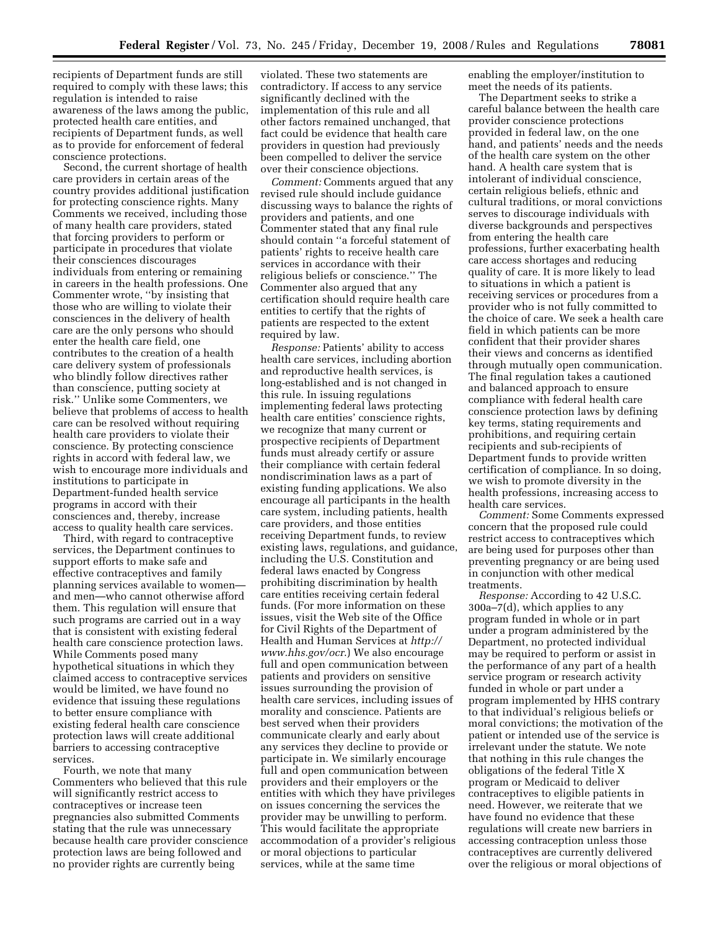recipients of Department funds are still required to comply with these laws; this regulation is intended to raise awareness of the laws among the public, protected health care entities, and recipients of Department funds, as well as to provide for enforcement of federal conscience protections.

Second, the current shortage of health care providers in certain areas of the country provides additional justification for protecting conscience rights. Many Comments we received, including those of many health care providers, stated that forcing providers to perform or participate in procedures that violate their consciences discourages individuals from entering or remaining in careers in the health professions. One Commenter wrote, ''by insisting that those who are willing to violate their consciences in the delivery of health care are the only persons who should enter the health care field, one contributes to the creation of a health care delivery system of professionals who blindly follow directives rather than conscience, putting society at risk.'' Unlike some Commenters, we believe that problems of access to health care can be resolved without requiring health care providers to violate their conscience. By protecting conscience rights in accord with federal law, we wish to encourage more individuals and institutions to participate in Department-funded health service programs in accord with their consciences and, thereby, increase access to quality health care services.

Third, with regard to contraceptive services, the Department continues to support efforts to make safe and effective contraceptives and family planning services available to women and men—who cannot otherwise afford them. This regulation will ensure that such programs are carried out in a way that is consistent with existing federal health care conscience protection laws. While Comments posed many hypothetical situations in which they claimed access to contraceptive services would be limited, we have found no evidence that issuing these regulations to better ensure compliance with existing federal health care conscience protection laws will create additional barriers to accessing contraceptive services.

Fourth, we note that many Commenters who believed that this rule will significantly restrict access to contraceptives or increase teen pregnancies also submitted Comments stating that the rule was unnecessary because health care provider conscience protection laws are being followed and no provider rights are currently being

violated. These two statements are contradictory. If access to any service significantly declined with the implementation of this rule and all other factors remained unchanged, that fact could be evidence that health care providers in question had previously been compelled to deliver the service over their conscience objections.

*Comment:* Comments argued that any revised rule should include guidance discussing ways to balance the rights of providers and patients, and one Commenter stated that any final rule should contain ''a forceful statement of patients' rights to receive health care services in accordance with their religious beliefs or conscience.'' The Commenter also argued that any certification should require health care entities to certify that the rights of patients are respected to the extent required by law.

*Response:* Patients' ability to access health care services, including abortion and reproductive health services, is long-established and is not changed in this rule. In issuing regulations implementing federal laws protecting health care entities' conscience rights, we recognize that many current or prospective recipients of Department funds must already certify or assure their compliance with certain federal nondiscrimination laws as a part of existing funding applications. We also encourage all participants in the health care system, including patients, health care providers, and those entities receiving Department funds, to review existing laws, regulations, and guidance, including the U.S. Constitution and federal laws enacted by Congress prohibiting discrimination by health care entities receiving certain federal funds. (For more information on these issues, visit the Web site of the Office for Civil Rights of the Department of Health and Human Services at *http:// www.hhs.gov/ocr*.) We also encourage full and open communication between patients and providers on sensitive issues surrounding the provision of health care services, including issues of morality and conscience. Patients are best served when their providers communicate clearly and early about any services they decline to provide or participate in. We similarly encourage full and open communication between providers and their employers or the entities with which they have privileges on issues concerning the services the provider may be unwilling to perform. This would facilitate the appropriate accommodation of a provider's religious or moral objections to particular services, while at the same time

enabling the employer/institution to meet the needs of its patients.

The Department seeks to strike a careful balance between the health care provider conscience protections provided in federal law, on the one hand, and patients' needs and the needs of the health care system on the other hand. A health care system that is intolerant of individual conscience, certain religious beliefs, ethnic and cultural traditions, or moral convictions serves to discourage individuals with diverse backgrounds and perspectives from entering the health care professions, further exacerbating health care access shortages and reducing quality of care. It is more likely to lead to situations in which a patient is receiving services or procedures from a provider who is not fully committed to the choice of care. We seek a health care field in which patients can be more confident that their provider shares their views and concerns as identified through mutually open communication. The final regulation takes a cautioned and balanced approach to ensure compliance with federal health care conscience protection laws by defining key terms, stating requirements and prohibitions, and requiring certain recipients and sub-recipients of Department funds to provide written certification of compliance. In so doing, we wish to promote diversity in the health professions, increasing access to health care services.

*Comment:* Some Comments expressed concern that the proposed rule could restrict access to contraceptives which are being used for purposes other than preventing pregnancy or are being used in conjunction with other medical treatments.

*Response:* According to 42 U.S.C. 300a–7(d), which applies to any program funded in whole or in part under a program administered by the Department, no protected individual may be required to perform or assist in the performance of any part of a health service program or research activity funded in whole or part under a program implemented by HHS contrary to that individual's religious beliefs or moral convictions; the motivation of the patient or intended use of the service is irrelevant under the statute. We note that nothing in this rule changes the obligations of the federal Title X program or Medicaid to deliver contraceptives to eligible patients in need. However, we reiterate that we have found no evidence that these regulations will create new barriers in accessing contraception unless those contraceptives are currently delivered over the religious or moral objections of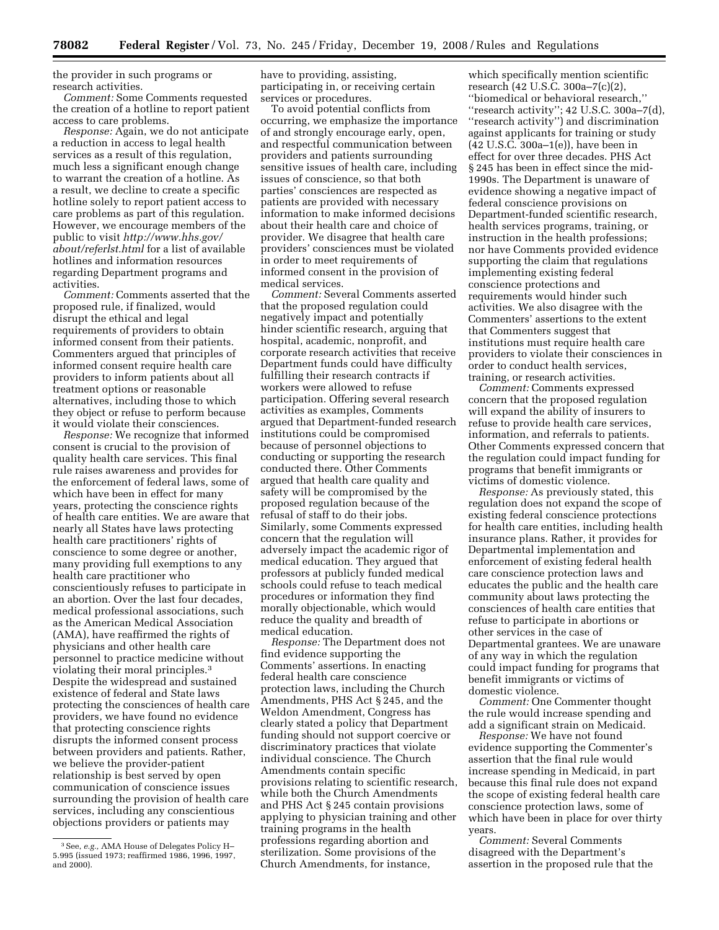the provider in such programs or research activities.

*Comment:* Some Comments requested the creation of a hotline to report patient access to care problems.

*Response:* Again, we do not anticipate a reduction in access to legal health services as a result of this regulation, much less a significant enough change to warrant the creation of a hotline. As a result, we decline to create a specific hotline solely to report patient access to care problems as part of this regulation. However, we encourage members of the public to visit *http://www.hhs.gov/ about/referlst.html* for a list of available hotlines and information resources regarding Department programs and activities.

*Comment:* Comments asserted that the proposed rule, if finalized, would disrupt the ethical and legal requirements of providers to obtain informed consent from their patients. Commenters argued that principles of informed consent require health care providers to inform patients about all treatment options or reasonable alternatives, including those to which they object or refuse to perform because it would violate their consciences.

*Response:* We recognize that informed consent is crucial to the provision of quality health care services. This final rule raises awareness and provides for the enforcement of federal laws, some of which have been in effect for many years, protecting the conscience rights of health care entities. We are aware that nearly all States have laws protecting health care practitioners' rights of conscience to some degree or another, many providing full exemptions to any health care practitioner who conscientiously refuses to participate in an abortion. Over the last four decades, medical professional associations, such as the American Medical Association (AMA), have reaffirmed the rights of physicians and other health care personnel to practice medicine without violating their moral principles.3 Despite the widespread and sustained existence of federal and State laws protecting the consciences of health care providers, we have found no evidence that protecting conscience rights disrupts the informed consent process between providers and patients. Rather, we believe the provider-patient relationship is best served by open communication of conscience issues surrounding the provision of health care services, including any conscientious objections providers or patients may

3See, *e.g.,* AMA House of Delegates Policy H– 5.995 (issued 1973; reaffirmed 1986, 1996, 1997, and 2000).

have to providing, assisting, participating in, or receiving certain services or procedures.

To avoid potential conflicts from occurring, we emphasize the importance of and strongly encourage early, open, and respectful communication between providers and patients surrounding sensitive issues of health care, including issues of conscience, so that both parties' consciences are respected as patients are provided with necessary information to make informed decisions about their health care and choice of provider. We disagree that health care providers' consciences must be violated in order to meet requirements of informed consent in the provision of medical services.

*Comment:* Several Comments asserted that the proposed regulation could negatively impact and potentially hinder scientific research, arguing that hospital, academic, nonprofit, and corporate research activities that receive Department funds could have difficulty fulfilling their research contracts if workers were allowed to refuse participation. Offering several research activities as examples, Comments argued that Department-funded research institutions could be compromised because of personnel objections to conducting or supporting the research conducted there. Other Comments argued that health care quality and safety will be compromised by the proposed regulation because of the refusal of staff to do their jobs. Similarly, some Comments expressed concern that the regulation will adversely impact the academic rigor of medical education. They argued that professors at publicly funded medical schools could refuse to teach medical procedures or information they find morally objectionable, which would reduce the quality and breadth of medical education.

*Response:* The Department does not find evidence supporting the Comments' assertions. In enacting federal health care conscience protection laws, including the Church Amendments, PHS Act § 245, and the Weldon Amendment, Congress has clearly stated a policy that Department funding should not support coercive or discriminatory practices that violate individual conscience. The Church Amendments contain specific provisions relating to scientific research, while both the Church Amendments and PHS Act § 245 contain provisions applying to physician training and other training programs in the health professions regarding abortion and sterilization. Some provisions of the Church Amendments, for instance,

which specifically mention scientific research (42 U.S.C. 300a–7(c)(2), ''biomedical or behavioral research,'' "research activity"; 42 U.S.C. 300a-7(d), ''research activity'') and discrimination against applicants for training or study (42 U.S.C. 300a–1(e)), have been in effect for over three decades. PHS Act § 245 has been in effect since the mid-1990s. The Department is unaware of evidence showing a negative impact of federal conscience provisions on Department-funded scientific research, health services programs, training, or instruction in the health professions; nor have Comments provided evidence supporting the claim that regulations implementing existing federal conscience protections and requirements would hinder such activities. We also disagree with the Commenters' assertions to the extent that Commenters suggest that institutions must require health care providers to violate their consciences in order to conduct health services, training, or research activities.

*Comment:* Comments expressed concern that the proposed regulation will expand the ability of insurers to refuse to provide health care services, information, and referrals to patients. Other Comments expressed concern that the regulation could impact funding for programs that benefit immigrants or victims of domestic violence.

*Response:* As previously stated, this regulation does not expand the scope of existing federal conscience protections for health care entities, including health insurance plans. Rather, it provides for Departmental implementation and enforcement of existing federal health care conscience protection laws and educates the public and the health care community about laws protecting the consciences of health care entities that refuse to participate in abortions or other services in the case of Departmental grantees. We are unaware of any way in which the regulation could impact funding for programs that benefit immigrants or victims of domestic violence.

*Comment:* One Commenter thought the rule would increase spending and add a significant strain on Medicaid.

*Response:* We have not found evidence supporting the Commenter's assertion that the final rule would increase spending in Medicaid, in part because this final rule does not expand the scope of existing federal health care conscience protection laws, some of which have been in place for over thirty years.

*Comment:* Several Comments disagreed with the Department's assertion in the proposed rule that the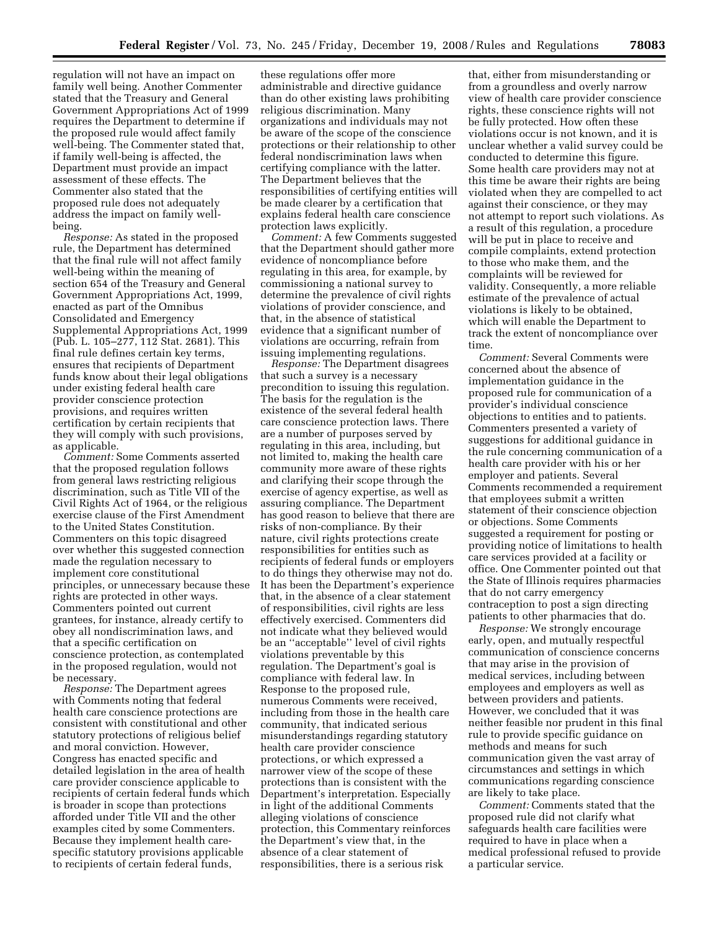regulation will not have an impact on family well being. Another Commenter stated that the Treasury and General Government Appropriations Act of 1999 requires the Department to determine if the proposed rule would affect family well-being. The Commenter stated that, if family well-being is affected, the Department must provide an impact assessment of these effects. The Commenter also stated that the proposed rule does not adequately address the impact on family wellbeing.

*Response:* As stated in the proposed rule, the Department has determined that the final rule will not affect family well-being within the meaning of section 654 of the Treasury and General Government Appropriations Act, 1999, enacted as part of the Omnibus Consolidated and Emergency Supplemental Appropriations Act, 1999 (Pub. L. 105–277, 112 Stat. 2681). This final rule defines certain key terms, ensures that recipients of Department funds know about their legal obligations under existing federal health care provider conscience protection provisions, and requires written certification by certain recipients that they will comply with such provisions, as applicable.

*Comment:* Some Comments asserted that the proposed regulation follows from general laws restricting religious discrimination, such as Title VII of the Civil Rights Act of 1964, or the religious exercise clause of the First Amendment to the United States Constitution. Commenters on this topic disagreed over whether this suggested connection made the regulation necessary to implement core constitutional principles, or unnecessary because these rights are protected in other ways. Commenters pointed out current grantees, for instance, already certify to obey all nondiscrimination laws, and that a specific certification on conscience protection, as contemplated in the proposed regulation, would not be necessary.

*Response:* The Department agrees with Comments noting that federal health care conscience protections are consistent with constitutional and other statutory protections of religious belief and moral conviction. However, Congress has enacted specific and detailed legislation in the area of health care provider conscience applicable to recipients of certain federal funds which is broader in scope than protections afforded under Title VII and the other examples cited by some Commenters. Because they implement health carespecific statutory provisions applicable to recipients of certain federal funds,

these regulations offer more administrable and directive guidance than do other existing laws prohibiting religious discrimination. Many organizations and individuals may not be aware of the scope of the conscience protections or their relationship to other federal nondiscrimination laws when certifying compliance with the latter. The Department believes that the responsibilities of certifying entities will be made clearer by a certification that explains federal health care conscience protection laws explicitly.

*Comment:* A few Comments suggested that the Department should gather more evidence of noncompliance before regulating in this area, for example, by commissioning a national survey to determine the prevalence of civil rights violations of provider conscience, and that, in the absence of statistical evidence that a significant number of violations are occurring, refrain from issuing implementing regulations.

*Response:* The Department disagrees that such a survey is a necessary precondition to issuing this regulation. The basis for the regulation is the existence of the several federal health care conscience protection laws. There are a number of purposes served by regulating in this area, including, but not limited to, making the health care community more aware of these rights and clarifying their scope through the exercise of agency expertise, as well as assuring compliance. The Department has good reason to believe that there are risks of non-compliance. By their nature, civil rights protections create responsibilities for entities such as recipients of federal funds or employers to do things they otherwise may not do. It has been the Department's experience that, in the absence of a clear statement of responsibilities, civil rights are less effectively exercised. Commenters did not indicate what they believed would be an ''acceptable'' level of civil rights violations preventable by this regulation. The Department's goal is compliance with federal law. In Response to the proposed rule, numerous Comments were received, including from those in the health care community, that indicated serious misunderstandings regarding statutory health care provider conscience protections, or which expressed a narrower view of the scope of these protections than is consistent with the Department's interpretation. Especially in light of the additional Comments alleging violations of conscience protection, this Commentary reinforces the Department's view that, in the absence of a clear statement of responsibilities, there is a serious risk

that, either from misunderstanding or from a groundless and overly narrow view of health care provider conscience rights, these conscience rights will not be fully protected. How often these violations occur is not known, and it is unclear whether a valid survey could be conducted to determine this figure. Some health care providers may not at this time be aware their rights are being violated when they are compelled to act against their conscience, or they may not attempt to report such violations. As a result of this regulation, a procedure will be put in place to receive and compile complaints, extend protection to those who make them, and the complaints will be reviewed for validity. Consequently, a more reliable estimate of the prevalence of actual violations is likely to be obtained, which will enable the Department to track the extent of noncompliance over time.

*Comment:* Several Comments were concerned about the absence of implementation guidance in the proposed rule for communication of a provider's individual conscience objections to entities and to patients. Commenters presented a variety of suggestions for additional guidance in the rule concerning communication of a health care provider with his or her employer and patients. Several Comments recommended a requirement that employees submit a written statement of their conscience objection or objections. Some Comments suggested a requirement for posting or providing notice of limitations to health care services provided at a facility or office. One Commenter pointed out that the State of Illinois requires pharmacies that do not carry emergency contraception to post a sign directing patients to other pharmacies that do.

*Response:* We strongly encourage early, open, and mutually respectful communication of conscience concerns that may arise in the provision of medical services, including between employees and employers as well as between providers and patients. However, we concluded that it was neither feasible nor prudent in this final rule to provide specific guidance on methods and means for such communication given the vast array of circumstances and settings in which communications regarding conscience are likely to take place.

*Comment:* Comments stated that the proposed rule did not clarify what safeguards health care facilities were required to have in place when a medical professional refused to provide a particular service.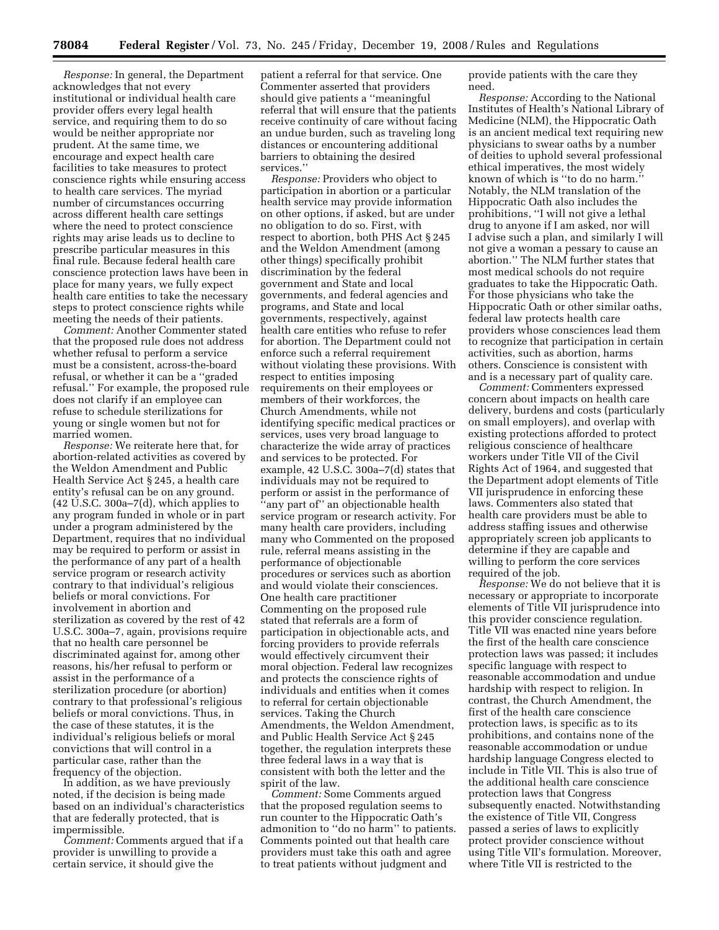*Response:* In general, the Department acknowledges that not every institutional or individual health care provider offers every legal health service, and requiring them to do so would be neither appropriate nor prudent. At the same time, we encourage and expect health care facilities to take measures to protect conscience rights while ensuring access to health care services. The myriad number of circumstances occurring across different health care settings where the need to protect conscience rights may arise leads us to decline to prescribe particular measures in this final rule. Because federal health care conscience protection laws have been in place for many years, we fully expect health care entities to take the necessary steps to protect conscience rights while meeting the needs of their patients.

*Comment:* Another Commenter stated that the proposed rule does not address whether refusal to perform a service must be a consistent, across-the-board refusal, or whether it can be a ''graded refusal.'' For example, the proposed rule does not clarify if an employee can refuse to schedule sterilizations for young or single women but not for married women.

*Response:* We reiterate here that, for abortion-related activities as covered by the Weldon Amendment and Public Health Service Act § 245, a health care entity's refusal can be on any ground. (42 U.S.C. 300a–7(d), which applies to any program funded in whole or in part under a program administered by the Department, requires that no individual may be required to perform or assist in the performance of any part of a health service program or research activity contrary to that individual's religious beliefs or moral convictions. For involvement in abortion and sterilization as covered by the rest of 42 U.S.C. 300a–7, again, provisions require that no health care personnel be discriminated against for, among other reasons, his/her refusal to perform or assist in the performance of a sterilization procedure (or abortion) contrary to that professional's religious beliefs or moral convictions. Thus, in the case of these statutes, it is the individual's religious beliefs or moral convictions that will control in a particular case, rather than the frequency of the objection.

In addition, as we have previously noted, if the decision is being made based on an individual's characteristics that are federally protected, that is impermissible.

*Comment:* Comments argued that if a provider is unwilling to provide a certain service, it should give the

patient a referral for that service. One Commenter asserted that providers should give patients a ''meaningful referral that will ensure that the patients receive continuity of care without facing an undue burden, such as traveling long distances or encountering additional barriers to obtaining the desired services.''

*Response:* Providers who object to participation in abortion or a particular health service may provide information on other options, if asked, but are under no obligation to do so. First, with respect to abortion, both PHS Act § 245 and the Weldon Amendment (among other things) specifically prohibit discrimination by the federal government and State and local governments, and federal agencies and programs, and State and local governments, respectively, against health care entities who refuse to refer for abortion. The Department could not enforce such a referral requirement without violating these provisions. With respect to entities imposing requirements on their employees or members of their workforces, the Church Amendments, while not identifying specific medical practices or services, uses very broad language to characterize the wide array of practices and services to be protected. For example, 42 U.S.C. 300a–7(d) states that individuals may not be required to perform or assist in the performance of ''any part of'' an objectionable health service program or research activity. For many health care providers, including many who Commented on the proposed rule, referral means assisting in the performance of objectionable procedures or services such as abortion and would violate their consciences. One health care practitioner Commenting on the proposed rule stated that referrals are a form of participation in objectionable acts, and forcing providers to provide referrals would effectively circumvent their moral objection. Federal law recognizes and protects the conscience rights of individuals and entities when it comes to referral for certain objectionable services. Taking the Church Amendments, the Weldon Amendment, and Public Health Service Act § 245 together, the regulation interprets these three federal laws in a way that is consistent with both the letter and the spirit of the law.

*Comment:* Some Comments argued that the proposed regulation seems to run counter to the Hippocratic Oath's admonition to ''do no harm'' to patients. Comments pointed out that health care providers must take this oath and agree to treat patients without judgment and

provide patients with the care they need.

*Response:* According to the National Institutes of Health's National Library of Medicine (NLM), the Hippocratic Oath is an ancient medical text requiring new physicians to swear oaths by a number of deities to uphold several professional ethical imperatives, the most widely known of which is ''to do no harm.'' Notably, the NLM translation of the Hippocratic Oath also includes the prohibitions, ''I will not give a lethal drug to anyone if I am asked, nor will I advise such a plan, and similarly I will not give a woman a pessary to cause an abortion.'' The NLM further states that most medical schools do not require graduates to take the Hippocratic Oath. For those physicians who take the Hippocratic Oath or other similar oaths, federal law protects health care providers whose consciences lead them to recognize that participation in certain activities, such as abortion, harms others. Conscience is consistent with and is a necessary part of quality care.

*Comment:* Commenters expressed concern about impacts on health care delivery, burdens and costs (particularly on small employers), and overlap with existing protections afforded to protect religious conscience of healthcare workers under Title VII of the Civil Rights Act of 1964, and suggested that the Department adopt elements of Title VII jurisprudence in enforcing these laws. Commenters also stated that health care providers must be able to address staffing issues and otherwise appropriately screen job applicants to determine if they are capable and willing to perform the core services required of the job.

*Response:* We do not believe that it is necessary or appropriate to incorporate elements of Title VII jurisprudence into this provider conscience regulation. Title VII was enacted nine years before the first of the health care conscience protection laws was passed; it includes specific language with respect to reasonable accommodation and undue hardship with respect to religion. In contrast, the Church Amendment, the first of the health care conscience protection laws, is specific as to its prohibitions, and contains none of the reasonable accommodation or undue hardship language Congress elected to include in Title VII. This is also true of the additional health care conscience protection laws that Congress subsequently enacted. Notwithstanding the existence of Title VII, Congress passed a series of laws to explicitly protect provider conscience without using Title VII's formulation. Moreover, where Title VII is restricted to the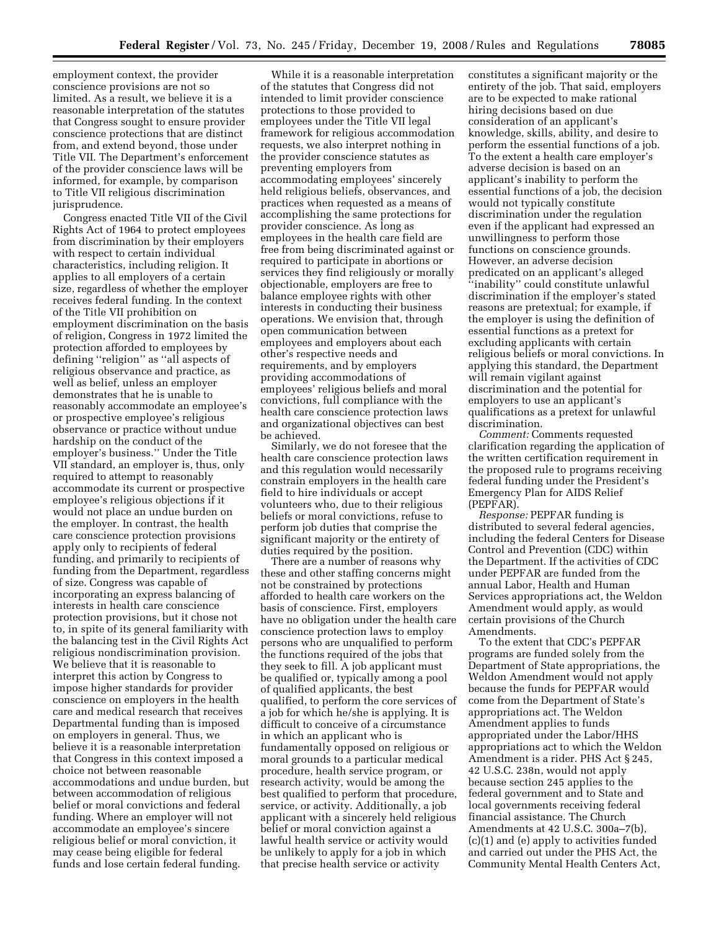employment context, the provider conscience provisions are not so limited. As a result, we believe it is a reasonable interpretation of the statutes that Congress sought to ensure provider conscience protections that are distinct from, and extend beyond, those under Title VII. The Department's enforcement of the provider conscience laws will be informed, for example, by comparison to Title VII religious discrimination jurisprudence.

Congress enacted Title VII of the Civil Rights Act of 1964 to protect employees from discrimination by their employers with respect to certain individual characteristics, including religion. It applies to all employers of a certain size, regardless of whether the employer receives federal funding. In the context of the Title VII prohibition on employment discrimination on the basis of religion, Congress in 1972 limited the protection afforded to employees by defining ''religion'' as ''all aspects of religious observance and practice, as well as belief, unless an employer demonstrates that he is unable to reasonably accommodate an employee's or prospective employee's religious observance or practice without undue hardship on the conduct of the employer's business.'' Under the Title VII standard, an employer is, thus, only required to attempt to reasonably accommodate its current or prospective employee's religious objections if it would not place an undue burden on the employer. In contrast, the health care conscience protection provisions apply only to recipients of federal funding, and primarily to recipients of funding from the Department, regardless of size. Congress was capable of incorporating an express balancing of interests in health care conscience protection provisions, but it chose not to, in spite of its general familiarity with the balancing test in the Civil Rights Act religious nondiscrimination provision. We believe that it is reasonable to interpret this action by Congress to impose higher standards for provider conscience on employers in the health care and medical research that receives Departmental funding than is imposed on employers in general. Thus, we believe it is a reasonable interpretation that Congress in this context imposed a choice not between reasonable accommodations and undue burden, but between accommodation of religious belief or moral convictions and federal funding. Where an employer will not accommodate an employee's sincere religious belief or moral conviction, it may cease being eligible for federal funds and lose certain federal funding.

While it is a reasonable interpretation of the statutes that Congress did not intended to limit provider conscience protections to those provided to employees under the Title VII legal framework for religious accommodation requests, we also interpret nothing in the provider conscience statutes as preventing employers from accommodating employees' sincerely held religious beliefs, observances, and practices when requested as a means of accomplishing the same protections for provider conscience. As long as employees in the health care field are free from being discriminated against or required to participate in abortions or services they find religiously or morally objectionable, employers are free to balance employee rights with other interests in conducting their business operations. We envision that, through open communication between employees and employers about each other's respective needs and requirements, and by employers providing accommodations of employees' religious beliefs and moral convictions, full compliance with the health care conscience protection laws and organizational objectives can best be achieved.

Similarly, we do not foresee that the health care conscience protection laws and this regulation would necessarily constrain employers in the health care field to hire individuals or accept volunteers who, due to their religious beliefs or moral convictions, refuse to perform job duties that comprise the significant majority or the entirety of duties required by the position.

There are a number of reasons why these and other staffing concerns might not be constrained by protections afforded to health care workers on the basis of conscience. First, employers have no obligation under the health care conscience protection laws to employ persons who are unqualified to perform the functions required of the jobs that they seek to fill. A job applicant must be qualified or, typically among a pool of qualified applicants, the best qualified, to perform the core services of a job for which he/she is applying. It is difficult to conceive of a circumstance in which an applicant who is fundamentally opposed on religious or moral grounds to a particular medical procedure, health service program, or research activity, would be among the best qualified to perform that procedure, service, or activity. Additionally, a job applicant with a sincerely held religious belief or moral conviction against a lawful health service or activity would be unlikely to apply for a job in which that precise health service or activity

constitutes a significant majority or the entirety of the job. That said, employers are to be expected to make rational hiring decisions based on due consideration of an applicant's knowledge, skills, ability, and desire to perform the essential functions of a job. To the extent a health care employer's adverse decision is based on an applicant's inability to perform the essential functions of a job, the decision would not typically constitute discrimination under the regulation even if the applicant had expressed an unwillingness to perform those functions on conscience grounds. However, an adverse decision predicated on an applicant's alleged ''inability'' could constitute unlawful discrimination if the employer's stated reasons are pretextual; for example, if the employer is using the definition of essential functions as a pretext for excluding applicants with certain religious beliefs or moral convictions. In applying this standard, the Department will remain vigilant against discrimination and the potential for employers to use an applicant's qualifications as a pretext for unlawful discrimination.

*Comment:* Comments requested clarification regarding the application of the written certification requirement in the proposed rule to programs receiving federal funding under the President's Emergency Plan for AIDS Relief (PEPFAR).

*Response:* PEPFAR funding is distributed to several federal agencies, including the federal Centers for Disease Control and Prevention (CDC) within the Department. If the activities of CDC under PEPFAR are funded from the annual Labor, Health and Human Services appropriations act, the Weldon Amendment would apply, as would certain provisions of the Church Amendments.

To the extent that CDC's PEPFAR programs are funded solely from the Department of State appropriations, the Weldon Amendment would not apply because the funds for PEPFAR would come from the Department of State's appropriations act. The Weldon Amendment applies to funds appropriated under the Labor/HHS appropriations act to which the Weldon Amendment is a rider. PHS Act § 245, 42 U.S.C. 238n, would not apply because section 245 applies to the federal government and to State and local governments receiving federal financial assistance. The Church Amendments at 42 U.S.C. 300a–7(b), (c)(1) and (e) apply to activities funded and carried out under the PHS Act, the Community Mental Health Centers Act,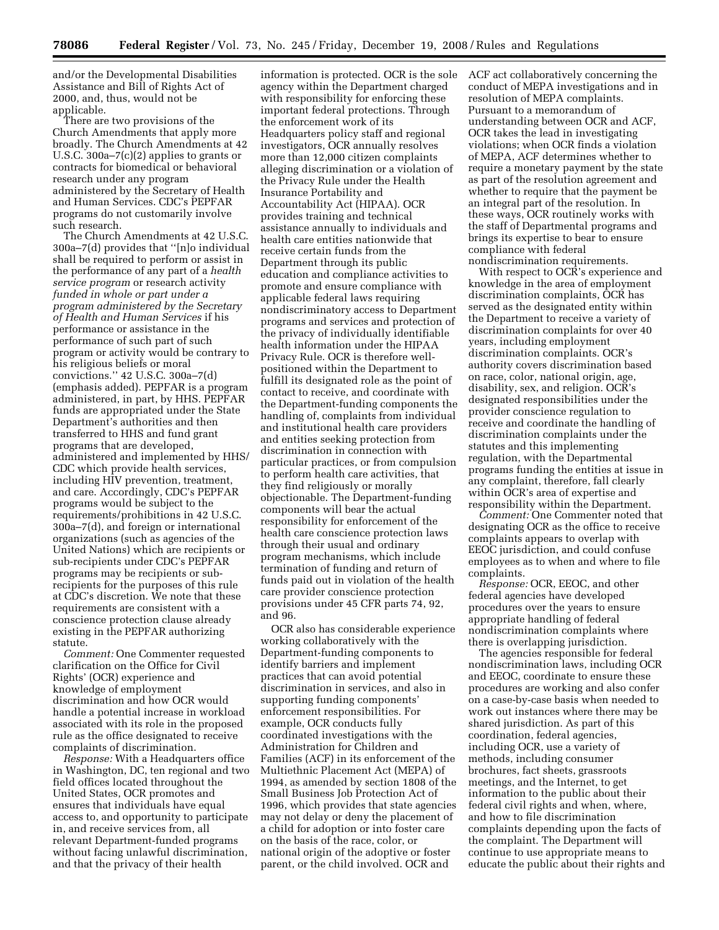and/or the Developmental Disabilities Assistance and Bill of Rights Act of 2000, and, thus, would not be applicable.

There are two provisions of the Church Amendments that apply more broadly. The Church Amendments at 42 U.S.C. 300a–7(c)(2) applies to grants or contracts for biomedical or behavioral research under any program administered by the Secretary of Health and Human Services. CDC's PEPFAR programs do not customarily involve such research.

The Church Amendments at 42 U.S.C. 300a–7(d) provides that ''[n]o individual shall be required to perform or assist in the performance of any part of a *health service program* or research activity *funded in whole or part under a program administered by the Secretary of Health and Human Services* if his performance or assistance in the performance of such part of such program or activity would be contrary to his religious beliefs or moral convictions.'' 42 U.S.C. 300a–7(d) (emphasis added). PEPFAR is a program administered, in part, by HHS. PEPFAR funds are appropriated under the State Department's authorities and then transferred to HHS and fund grant programs that are developed, administered and implemented by HHS/ CDC which provide health services, including HIV prevention, treatment, and care. Accordingly, CDC's PEPFAR programs would be subject to the requirements/prohibitions in 42 U.S.C. 300a–7(d), and foreign or international organizations (such as agencies of the United Nations) which are recipients or sub-recipients under CDC's PEPFAR programs may be recipients or subrecipients for the purposes of this rule at CDC's discretion. We note that these requirements are consistent with a conscience protection clause already existing in the PEPFAR authorizing statute.

*Comment:* One Commenter requested clarification on the Office for Civil Rights' (OCR) experience and knowledge of employment discrimination and how OCR would handle a potential increase in workload associated with its role in the proposed rule as the office designated to receive complaints of discrimination.

*Response:* With a Headquarters office in Washington, DC, ten regional and two field offices located throughout the United States, OCR promotes and ensures that individuals have equal access to, and opportunity to participate in, and receive services from, all relevant Department-funded programs without facing unlawful discrimination, and that the privacy of their health

information is protected. OCR is the sole agency within the Department charged with responsibility for enforcing these important federal protections. Through the enforcement work of its Headquarters policy staff and regional investigators, OCR annually resolves more than 12,000 citizen complaints alleging discrimination or a violation of the Privacy Rule under the Health Insurance Portability and Accountability Act (HIPAA). OCR provides training and technical assistance annually to individuals and health care entities nationwide that receive certain funds from the Department through its public education and compliance activities to promote and ensure compliance with applicable federal laws requiring nondiscriminatory access to Department programs and services and protection of the privacy of individually identifiable health information under the HIPAA Privacy Rule. OCR is therefore wellpositioned within the Department to fulfill its designated role as the point of contact to receive, and coordinate with the Department-funding components the handling of, complaints from individual and institutional health care providers and entities seeking protection from discrimination in connection with particular practices, or from compulsion to perform health care activities, that they find religiously or morally objectionable. The Department-funding components will bear the actual responsibility for enforcement of the health care conscience protection laws through their usual and ordinary program mechanisms, which include termination of funding and return of funds paid out in violation of the health care provider conscience protection provisions under 45 CFR parts 74, 92, and 96.

OCR also has considerable experience working collaboratively with the Department-funding components to identify barriers and implement practices that can avoid potential discrimination in services, and also in supporting funding components' enforcement responsibilities. For example, OCR conducts fully coordinated investigations with the Administration for Children and Families (ACF) in its enforcement of the Multiethnic Placement Act (MEPA) of 1994, as amended by section 1808 of the Small Business Job Protection Act of 1996, which provides that state agencies may not delay or deny the placement of a child for adoption or into foster care on the basis of the race, color, or national origin of the adoptive or foster parent, or the child involved. OCR and

ACF act collaboratively concerning the conduct of MEPA investigations and in resolution of MEPA complaints. Pursuant to a memorandum of understanding between OCR and ACF, OCR takes the lead in investigating violations; when OCR finds a violation of MEPA, ACF determines whether to require a monetary payment by the state as part of the resolution agreement and whether to require that the payment be an integral part of the resolution. In these ways, OCR routinely works with the staff of Departmental programs and brings its expertise to bear to ensure compliance with federal

nondiscrimination requirements. With respect to OCR's experience and knowledge in the area of employment discrimination complaints, OCR has served as the designated entity within the Department to receive a variety of discrimination complaints for over 40 years, including employment discrimination complaints. OCR's authority covers discrimination based on race, color, national origin, age, disability, sex, and religion. OCR's designated responsibilities under the provider conscience regulation to receive and coordinate the handling of discrimination complaints under the statutes and this implementing regulation, with the Departmental programs funding the entities at issue in any complaint, therefore, fall clearly within OCR's area of expertise and responsibility within the Department.

*Comment:* One Commenter noted that designating OCR as the office to receive complaints appears to overlap with EEOC jurisdiction, and could confuse employees as to when and where to file complaints.

*Response:* OCR, EEOC, and other federal agencies have developed procedures over the years to ensure appropriate handling of federal nondiscrimination complaints where there is overlapping jurisdiction.

The agencies responsible for federal nondiscrimination laws, including OCR and EEOC, coordinate to ensure these procedures are working and also confer on a case-by-case basis when needed to work out instances where there may be shared jurisdiction. As part of this coordination, federal agencies, including OCR, use a variety of methods, including consumer brochures, fact sheets, grassroots meetings, and the Internet, to get information to the public about their federal civil rights and when, where, and how to file discrimination complaints depending upon the facts of the complaint. The Department will continue to use appropriate means to educate the public about their rights and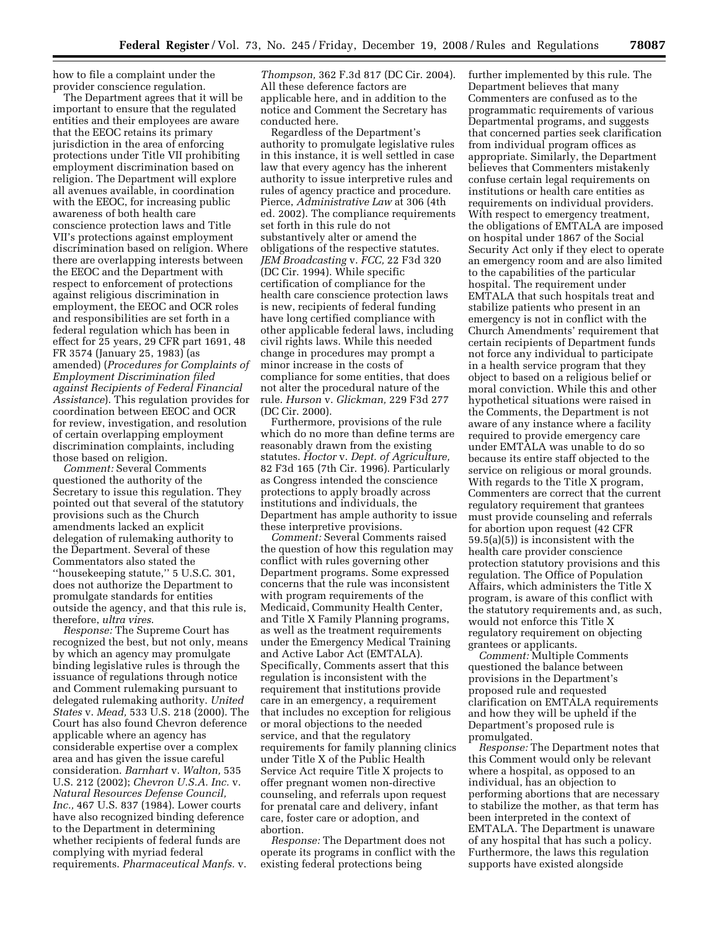how to file a complaint under the provider conscience regulation.

The Department agrees that it will be important to ensure that the regulated entities and their employees are aware that the EEOC retains its primary jurisdiction in the area of enforcing protections under Title VII prohibiting employment discrimination based on religion. The Department will explore all avenues available, in coordination with the EEOC, for increasing public awareness of both health care conscience protection laws and Title VII's protections against employment discrimination based on religion. Where there are overlapping interests between the EEOC and the Department with respect to enforcement of protections against religious discrimination in employment, the EEOC and OCR roles and responsibilities are set forth in a federal regulation which has been in effect for 25 years, 29 CFR part 1691, 48 FR 3574 (January 25, 1983) (as amended) (*Procedures for Complaints of Employment Discrimination filed against Recipients of Federal Financial Assistance*). This regulation provides for coordination between EEOC and OCR for review, investigation, and resolution of certain overlapping employment discrimination complaints, including those based on religion.

*Comment:* Several Comments questioned the authority of the Secretary to issue this regulation. They pointed out that several of the statutory provisions such as the Church amendments lacked an explicit delegation of rulemaking authority to the Department. Several of these Commentators also stated the ''housekeeping statute,'' 5 U.S.C. 301, does not authorize the Department to promulgate standards for entities outside the agency, and that this rule is, therefore, *ultra vires*.

*Response:* The Supreme Court has recognized the best, but not only, means by which an agency may promulgate binding legislative rules is through the issuance of regulations through notice and Comment rulemaking pursuant to delegated rulemaking authority. *United States* v. *Mead,* 533 U.S. 218 (2000). The Court has also found Chevron deference applicable where an agency has considerable expertise over a complex area and has given the issue careful consideration. *Barnhart* v. *Walton,* 535 U.S. 212 (2002); *Chevron U.S.A. Inc.* v. *Natural Resources Defense Council, Inc.,* 467 U.S. 837 (1984). Lower courts have also recognized binding deference to the Department in determining whether recipients of federal funds are complying with myriad federal requirements. *Pharmaceutical Manfs.* v.

*Thompson,* 362 F.3d 817 (DC Cir. 2004). All these deference factors are applicable here, and in addition to the notice and Comment the Secretary has conducted here.

Regardless of the Department's authority to promulgate legislative rules in this instance, it is well settled in case law that every agency has the inherent authority to issue interpretive rules and rules of agency practice and procedure. Pierce, *Administrative Law* at 306 (4th ed. 2002). The compliance requirements set forth in this rule do not substantively alter or amend the obligations of the respective statutes. *JEM Broadcasting* v. *FCC,* 22 F3d 320 (DC Cir. 1994). While specific certification of compliance for the health care conscience protection laws is new, recipients of federal funding have long certified compliance with other applicable federal laws, including civil rights laws. While this needed change in procedures may prompt a minor increase in the costs of compliance for some entities, that does not alter the procedural nature of the rule. *Hurson* v. *Glickman,* 229 F3d 277 (DC Cir. 2000).

Furthermore, provisions of the rule which do no more than define terms are reasonably drawn from the existing statutes. *Hoctor* v. *Dept. of Agriculture,*  82 F3d 165 (7th Cir. 1996). Particularly as Congress intended the conscience protections to apply broadly across institutions and individuals, the Department has ample authority to issue these interpretive provisions.

*Comment:* Several Comments raised the question of how this regulation may conflict with rules governing other Department programs. Some expressed concerns that the rule was inconsistent with program requirements of the Medicaid, Community Health Center, and Title X Family Planning programs, as well as the treatment requirements under the Emergency Medical Training and Active Labor Act (EMTALA). Specifically, Comments assert that this regulation is inconsistent with the requirement that institutions provide care in an emergency, a requirement that includes no exception for religious or moral objections to the needed service, and that the regulatory requirements for family planning clinics under Title X of the Public Health Service Act require Title X projects to offer pregnant women non-directive counseling, and referrals upon request for prenatal care and delivery, infant care, foster care or adoption, and abortion.

*Response:* The Department does not operate its programs in conflict with the existing federal protections being

further implemented by this rule. The Department believes that many Commenters are confused as to the programmatic requirements of various Departmental programs, and suggests that concerned parties seek clarification from individual program offices as appropriate. Similarly, the Department believes that Commenters mistakenly confuse certain legal requirements on institutions or health care entities as requirements on individual providers. With respect to emergency treatment, the obligations of EMTALA are imposed on hospital under 1867 of the Social Security Act only if they elect to operate an emergency room and are also limited to the capabilities of the particular hospital. The requirement under EMTALA that such hospitals treat and stabilize patients who present in an emergency is not in conflict with the Church Amendments' requirement that certain recipients of Department funds not force any individual to participate in a health service program that they object to based on a religious belief or moral conviction. While this and other hypothetical situations were raised in the Comments, the Department is not aware of any instance where a facility required to provide emergency care under EMTALA was unable to do so because its entire staff objected to the service on religious or moral grounds. With regards to the Title X program, Commenters are correct that the current regulatory requirement that grantees must provide counseling and referrals for abortion upon request (42 CFR 59.5(a)(5)) is inconsistent with the health care provider conscience protection statutory provisions and this regulation. The Office of Population Affairs, which administers the Title X program, is aware of this conflict with the statutory requirements and, as such, would not enforce this Title X regulatory requirement on objecting grantees or applicants.

*Comment:* Multiple Comments questioned the balance between provisions in the Department's proposed rule and requested clarification on EMTALA requirements and how they will be upheld if the Department's proposed rule is promulgated.

*Response:* The Department notes that this Comment would only be relevant where a hospital, as opposed to an individual, has an objection to performing abortions that are necessary to stabilize the mother, as that term has been interpreted in the context of EMTALA. The Department is unaware of any hospital that has such a policy. Furthermore, the laws this regulation supports have existed alongside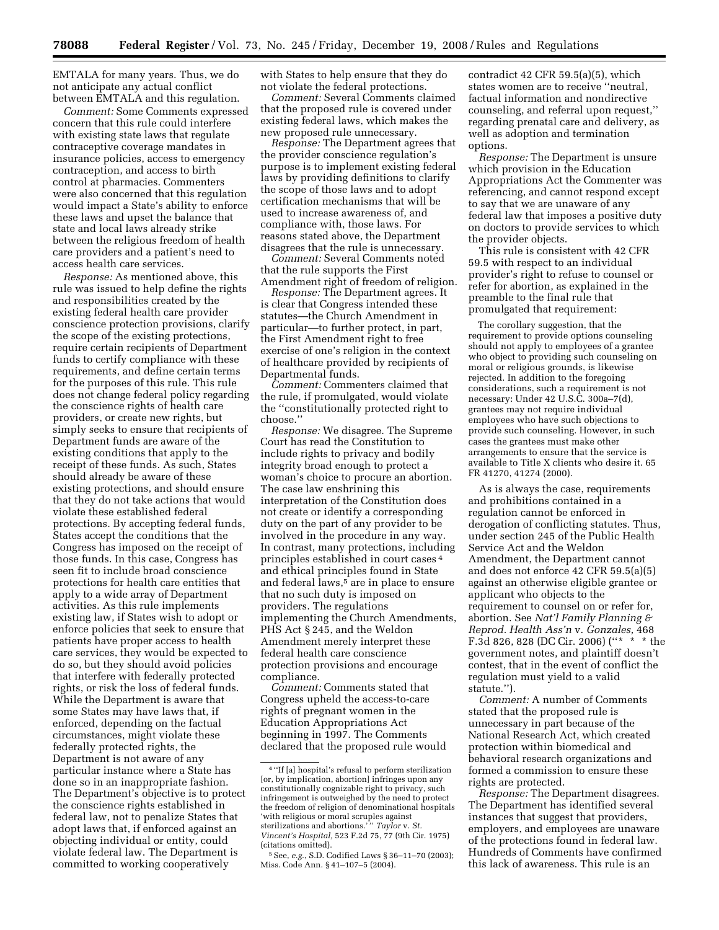EMTALA for many years. Thus, we do not anticipate any actual conflict between EMTALA and this regulation.

*Comment:* Some Comments expressed concern that this rule could interfere with existing state laws that regulate contraceptive coverage mandates in insurance policies, access to emergency contraception, and access to birth control at pharmacies. Commenters were also concerned that this regulation would impact a State's ability to enforce these laws and upset the balance that state and local laws already strike between the religious freedom of health care providers and a patient's need to access health care services.

*Response:* As mentioned above, this rule was issued to help define the rights and responsibilities created by the existing federal health care provider conscience protection provisions, clarify the scope of the existing protections, require certain recipients of Department funds to certify compliance with these requirements, and define certain terms for the purposes of this rule. This rule does not change federal policy regarding the conscience rights of health care providers, or create new rights, but simply seeks to ensure that recipients of Department funds are aware of the existing conditions that apply to the receipt of these funds. As such, States should already be aware of these existing protections, and should ensure that they do not take actions that would violate these established federal protections. By accepting federal funds, States accept the conditions that the Congress has imposed on the receipt of those funds. In this case, Congress has seen fit to include broad conscience protections for health care entities that apply to a wide array of Department activities. As this rule implements existing law, if States wish to adopt or enforce policies that seek to ensure that patients have proper access to health care services, they would be expected to do so, but they should avoid policies that interfere with federally protected rights, or risk the loss of federal funds. While the Department is aware that some States may have laws that, if enforced, depending on the factual circumstances, might violate these federally protected rights, the Department is not aware of any particular instance where a State has done so in an inappropriate fashion. The Department's objective is to protect the conscience rights established in federal law, not to penalize States that adopt laws that, if enforced against an objecting individual or entity, could violate federal law. The Department is committed to working cooperatively

with States to help ensure that they do not violate the federal protections.

*Comment:* Several Comments claimed that the proposed rule is covered under existing federal laws, which makes the new proposed rule unnecessary.

*Response:* The Department agrees that the provider conscience regulation's purpose is to implement existing federal laws by providing definitions to clarify the scope of those laws and to adopt certification mechanisms that will be used to increase awareness of, and compliance with, those laws. For reasons stated above, the Department disagrees that the rule is unnecessary.

*Comment:* Several Comments noted that the rule supports the First Amendment right of freedom of religion.

*Response:* The Department agrees. It is clear that Congress intended these statutes—the Church Amendment in particular—to further protect, in part, the First Amendment right to free exercise of one's religion in the context of healthcare provided by recipients of Departmental funds.

*Comment:* Commenters claimed that the rule, if promulgated, would violate the ''constitutionally protected right to choose.''

*Response:* We disagree. The Supreme Court has read the Constitution to include rights to privacy and bodily integrity broad enough to protect a woman's choice to procure an abortion. The case law enshrining this interpretation of the Constitution does not create or identify a corresponding duty on the part of any provider to be involved in the procedure in any way. In contrast, many protections, including principles established in court cases 4 and ethical principles found in State and federal laws,<sup>5</sup> are in place to ensure that no such duty is imposed on providers. The regulations implementing the Church Amendments, PHS Act § 245, and the Weldon Amendment merely interpret these federal health care conscience protection provisions and encourage compliance.

*Comment:* Comments stated that Congress upheld the access-to-care rights of pregnant women in the Education Appropriations Act beginning in 1997. The Comments declared that the proposed rule would contradict 42 CFR 59.5(a)(5), which states women are to receive ''neutral, factual information and nondirective counseling, and referral upon request,'' regarding prenatal care and delivery, as well as adoption and termination options.

*Response:* The Department is unsure which provision in the Education Appropriations Act the Commenter was referencing, and cannot respond except to say that we are unaware of any federal law that imposes a positive duty on doctors to provide services to which the provider objects.

This rule is consistent with 42 CFR 59.5 with respect to an individual provider's right to refuse to counsel or refer for abortion, as explained in the preamble to the final rule that promulgated that requirement:

The corollary suggestion, that the requirement to provide options counseling should not apply to employees of a grantee who object to providing such counseling on moral or religious grounds, is likewise rejected. In addition to the foregoing considerations, such a requirement is not necessary: Under 42 U.S.C. 300a–7(d), grantees may not require individual employees who have such objections to provide such counseling. However, in such cases the grantees must make other arrangements to ensure that the service is available to Title X clients who desire it. 65 FR 41270, 41274 (2000).

As is always the case, requirements and prohibitions contained in a regulation cannot be enforced in derogation of conflicting statutes. Thus, under section 245 of the Public Health Service Act and the Weldon Amendment, the Department cannot and does not enforce 42 CFR 59.5(a)(5) against an otherwise eligible grantee or applicant who objects to the requirement to counsel on or refer for, abortion. See *Nat'l Family Planning & Reprod. Health Ass'n* v. *Gonzales,* 468 F.3d 826, 828 (DC Cir. 2006) (''\* \* \* the government notes, and plaintiff doesn't contest, that in the event of conflict the regulation must yield to a valid statute.'').

*Comment:* A number of Comments stated that the proposed rule is unnecessary in part because of the National Research Act, which created protection within biomedical and behavioral research organizations and formed a commission to ensure these rights are protected.

*Response:* The Department disagrees. The Department has identified several instances that suggest that providers, employers, and employees are unaware of the protections found in federal law. Hundreds of Comments have confirmed this lack of awareness. This rule is an

<sup>4</sup> ''If [a] hospital's refusal to perform sterilization [or, by implication, abortion] infringes upon any constitutionally cognizable right to privacy, such infringement is outweighed by the need to protect the freedom of religion of denominational hospitals 'with religious or moral scruples against sterilizations and abortions.' '' *Taylor* v. *St. Vincent's Hospital,* 523 F.2d 75, 77 (9th Cir. 1975) (citations omitted).

<sup>5</sup>See, *e.g.*, S.D. Codified Laws § 36–11–70 (2003); Miss. Code Ann. § 41–107–5 (2004).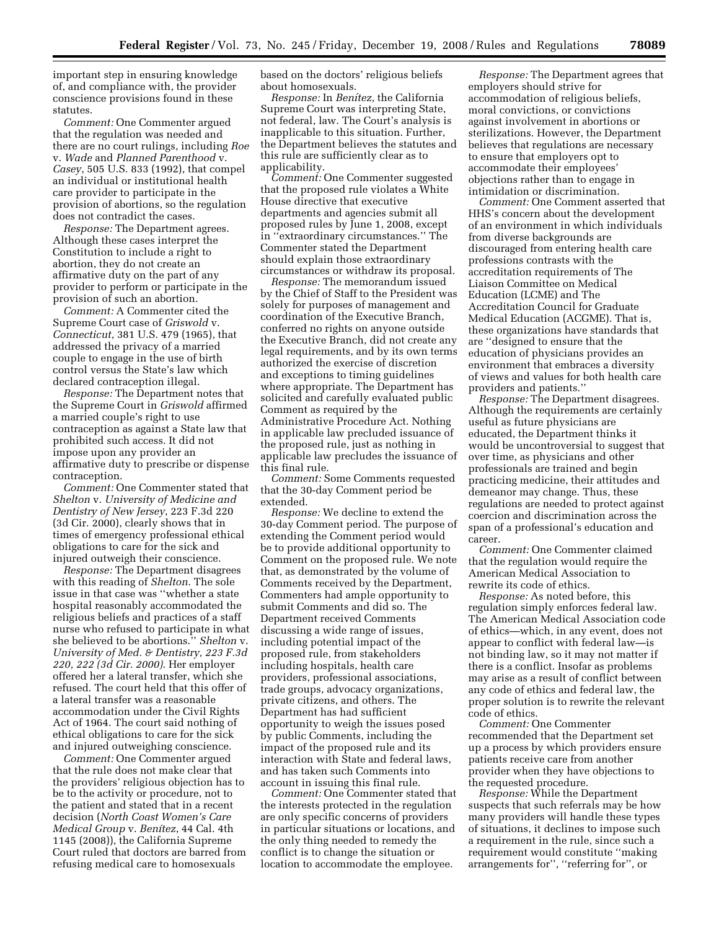important step in ensuring knowledge of, and compliance with, the provider conscience provisions found in these statutes.

*Comment:* One Commenter argued that the regulation was needed and there are no court rulings, including *Roe*  v. *Wade* and *Planned Parenthood* v. *Casey*, 505 U.S. 833 (1992), that compel an individual or institutional health care provider to participate in the provision of abortions, so the regulation does not contradict the cases.

*Response:* The Department agrees. Although these cases interpret the Constitution to include a right to abortion, they do not create an affirmative duty on the part of any provider to perform or participate in the provision of such an abortion.

*Comment:* A Commenter cited the Supreme Court case of *Griswold* v. *Connecticut*, 381 U.S. 479 (1965), that addressed the privacy of a married couple to engage in the use of birth control versus the State's law which declared contraception illegal.

*Response:* The Department notes that the Supreme Court in *Griswold* affirmed a married couple's right to use contraception as against a State law that prohibited such access. It did not impose upon any provider an affirmative duty to prescribe or dispense contraception.

*Comment:* One Commenter stated that *Shelton* v. *University of Medicine and Dentistry of New Jersey*, 223 F.3d 220 (3d Cir. 2000), clearly shows that in times of emergency professional ethical obligations to care for the sick and injured outweigh their conscience.

*Response:* The Department disagrees with this reading of *Shelton*. The sole issue in that case was ''whether a state hospital reasonably accommodated the religious beliefs and practices of a staff nurse who refused to participate in what she believed to be abortions.'' *Shelton* v. *University of Med. & Dentistry, 223 F.3d 220, 222 (3d Cir. 2000)*. Her employer offered her a lateral transfer, which she refused. The court held that this offer of a lateral transfer was a reasonable accommodation under the Civil Rights Act of 1964. The court said nothing of ethical obligations to care for the sick and injured outweighing conscience.

*Comment:* One Commenter argued that the rule does not make clear that the providers' religious objection has to be to the activity or procedure, not to the patient and stated that in a recent decision (*North Coast Women's Care Medical Group* v. *Benı´tez*, 44 Cal. 4th 1145 (2008)), the California Supreme Court ruled that doctors are barred from refusing medical care to homosexuals

based on the doctors' religious beliefs about homosexuals.

*Response:* In *Benı´tez,* the California Supreme Court was interpreting State, not federal, law. The Court's analysis is inapplicable to this situation. Further, the Department believes the statutes and this rule are sufficiently clear as to applicability.

*Comment:* One Commenter suggested that the proposed rule violates a White House directive that executive departments and agencies submit all proposed rules by June 1, 2008, except in ''extraordinary circumstances.'' The Commenter stated the Department should explain those extraordinary circumstances or withdraw its proposal.

*Response:* The memorandum issued by the Chief of Staff to the President was solely for purposes of management and coordination of the Executive Branch, conferred no rights on anyone outside the Executive Branch, did not create any legal requirements, and by its own terms authorized the exercise of discretion and exceptions to timing guidelines where appropriate. The Department has solicited and carefully evaluated public Comment as required by the Administrative Procedure Act. Nothing in applicable law precluded issuance of the proposed rule, just as nothing in applicable law precludes the issuance of this final rule.

*Comment:* Some Comments requested that the 30-day Comment period be extended.

*Response:* We decline to extend the 30-day Comment period. The purpose of extending the Comment period would be to provide additional opportunity to Comment on the proposed rule. We note that, as demonstrated by the volume of Comments received by the Department, Commenters had ample opportunity to submit Comments and did so. The Department received Comments discussing a wide range of issues, including potential impact of the proposed rule, from stakeholders including hospitals, health care providers, professional associations, trade groups, advocacy organizations, private citizens, and others. The Department has had sufficient opportunity to weigh the issues posed by public Comments, including the impact of the proposed rule and its interaction with State and federal laws, and has taken such Comments into account in issuing this final rule.

*Comment:* One Commenter stated that the interests protected in the regulation are only specific concerns of providers in particular situations or locations, and the only thing needed to remedy the conflict is to change the situation or location to accommodate the employee.

*Response:* The Department agrees that employers should strive for accommodation of religious beliefs, moral convictions, or convictions against involvement in abortions or sterilizations. However, the Department believes that regulations are necessary to ensure that employers opt to accommodate their employees' objections rather than to engage in intimidation or discrimination.

*Comment:* One Comment asserted that HHS's concern about the development of an environment in which individuals from diverse backgrounds are discouraged from entering health care professions contrasts with the accreditation requirements of The Liaison Committee on Medical Education (LCME) and The Accreditation Council for Graduate Medical Education (ACGME). That is, these organizations have standards that are ''designed to ensure that the education of physicians provides an environment that embraces a diversity of views and values for both health care providers and patients.''

*Response:* The Department disagrees. Although the requirements are certainly useful as future physicians are educated, the Department thinks it would be uncontroversial to suggest that over time, as physicians and other professionals are trained and begin practicing medicine, their attitudes and demeanor may change. Thus, these regulations are needed to protect against coercion and discrimination across the span of a professional's education and career.

*Comment:* One Commenter claimed that the regulation would require the American Medical Association to rewrite its code of ethics.

*Response:* As noted before, this regulation simply enforces federal law. The American Medical Association code of ethics—which, in any event, does not appear to conflict with federal law—is not binding law, so it may not matter if there is a conflict. Insofar as problems may arise as a result of conflict between any code of ethics and federal law, the proper solution is to rewrite the relevant code of ethics.

*Comment:* One Commenter recommended that the Department set up a process by which providers ensure patients receive care from another provider when they have objections to the requested procedure.

*Response:* While the Department suspects that such referrals may be how many providers will handle these types of situations, it declines to impose such a requirement in the rule, since such a requirement would constitute ''making arrangements for'', ''referring for'', or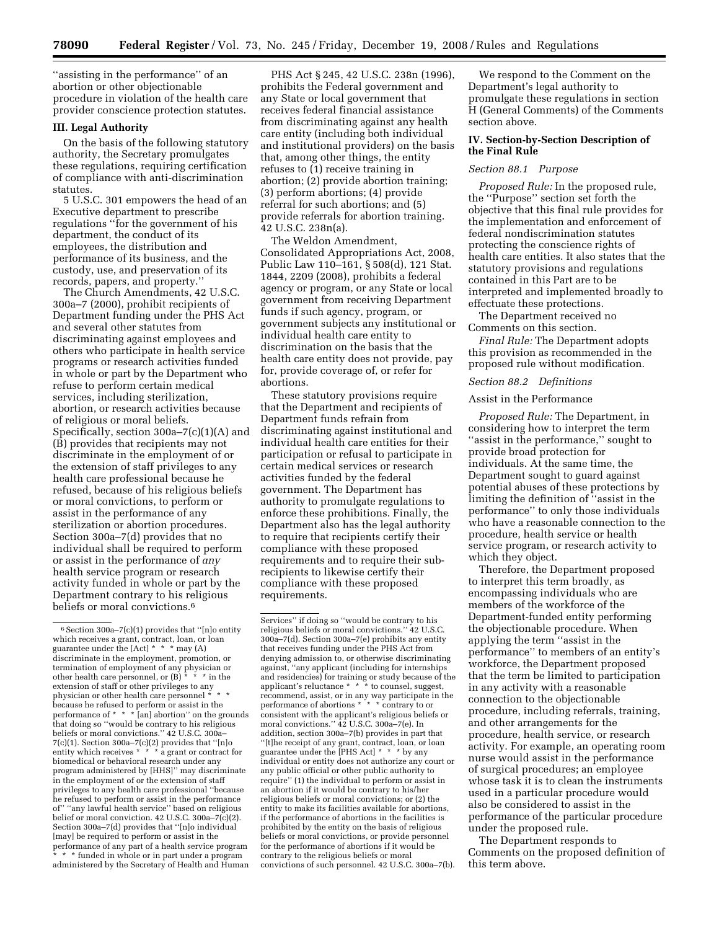''assisting in the performance'' of an abortion or other objectionable procedure in violation of the health care provider conscience protection statutes.

### **III. Legal Authority**

On the basis of the following statutory authority, the Secretary promulgates these regulations, requiring certification of compliance with anti-discrimination statutes.

5 U.S.C. 301 empowers the head of an Executive department to prescribe regulations ''for the government of his department, the conduct of its employees, the distribution and performance of its business, and the custody, use, and preservation of its records, papers, and property.''

The Church Amendments, 42 U.S.C. 300a–7 (2000), prohibit recipients of Department funding under the PHS Act and several other statutes from discriminating against employees and others who participate in health service programs or research activities funded in whole or part by the Department who refuse to perform certain medical services, including sterilization, abortion, or research activities because of religious or moral beliefs. Specifically, section 300a–7(c)(1)(A) and (B) provides that recipients may not discriminate in the employment of or the extension of staff privileges to any health care professional because he refused, because of his religious beliefs or moral convictions, to perform or assist in the performance of any sterilization or abortion procedures. Section 300a–7(d) provides that no individual shall be required to perform or assist in the performance of *any*  health service program or research activity funded in whole or part by the Department contrary to his religious beliefs or moral convictions.<sup>6</sup>

PHS Act § 245, 42 U.S.C. 238n (1996), prohibits the Federal government and any State or local government that receives federal financial assistance from discriminating against any health care entity (including both individual and institutional providers) on the basis that, among other things, the entity refuses to (1) receive training in abortion; (2) provide abortion training; (3) perform abortions; (4) provide referral for such abortions; and (5) provide referrals for abortion training. 42 U.S.C. 238n(a).

The Weldon Amendment, Consolidated Appropriations Act, 2008, Public Law 110–161, § 508(d), 121 Stat. 1844, 2209 (2008), prohibits a federal agency or program, or any State or local government from receiving Department funds if such agency, program, or government subjects any institutional or individual health care entity to discrimination on the basis that the health care entity does not provide, pay for, provide coverage of, or refer for abortions.

These statutory provisions require that the Department and recipients of Department funds refrain from discriminating against institutional and individual health care entities for their participation or refusal to participate in certain medical services or research activities funded by the federal government. The Department has authority to promulgate regulations to enforce these prohibitions. Finally, the Department also has the legal authority to require that recipients certify their compliance with these proposed requirements and to require their subrecipients to likewise certify their compliance with these proposed requirements.

Services'' if doing so ''would be contrary to his religious beliefs or moral convictions.'' 42 U.S.C. 300a–7(d). Section 300a–7(e) prohibits any entity that receives funding under the PHS Act from denying admission to, or otherwise discriminating against, ''any applicant (including for internships and residencies) for training or study because of the applicant's reluctance \* \* \* to counsel, suggest, recommend, assist, or in any way participate in the performance of abortions \* \* \* contrary to or consistent with the applicant's religious beliefs or moral convictions.'' 42 U.S.C. 300a–7(e). In addition, section 300a–7(b) provides in part that ''[t]he receipt of any grant, contract, loan, or loan guarantee under the [PHS Act] \* \* \* by any individual or entity does not authorize any court or any public official or other public authority to require'' (1) the individual to perform or assist in an abortion if it would be contrary to his/her religious beliefs or moral convictions; or (2) the entity to make its facilities available for abortions, if the performance of abortions in the facilities is prohibited by the entity on the basis of religious beliefs or moral convictions, or provide personnel for the performance of abortions if it would be contrary to the religious beliefs or moral convictions of such personnel. 42 U.S.C. 300a–7(b).

We respond to the Comment on the Department's legal authority to promulgate these regulations in section H (General Comments) of the Comments section above.

## **IV. Section-by-Section Description of the Final Rule**

## *Section 88.1 Purpose*

*Proposed Rule:* In the proposed rule, the ''Purpose'' section set forth the objective that this final rule provides for the implementation and enforcement of federal nondiscrimination statutes protecting the conscience rights of health care entities. It also states that the statutory provisions and regulations contained in this Part are to be interpreted and implemented broadly to effectuate these protections.

The Department received no Comments on this section.

*Final Rule:* The Department adopts this provision as recommended in the proposed rule without modification.

## *Section 88.2 Definitions*

## Assist in the Performance

*Proposed Rule:* The Department, in considering how to interpret the term ''assist in the performance,'' sought to provide broad protection for individuals. At the same time, the Department sought to guard against potential abuses of these protections by limiting the definition of ''assist in the performance'' to only those individuals who have a reasonable connection to the procedure, health service or health service program, or research activity to which they object.

Therefore, the Department proposed to interpret this term broadly, as encompassing individuals who are members of the workforce of the Department-funded entity performing the objectionable procedure. When applying the term ''assist in the performance'' to members of an entity's workforce, the Department proposed that the term be limited to participation in any activity with a reasonable connection to the objectionable procedure, including referrals, training, and other arrangements for the procedure, health service, or research activity. For example, an operating room nurse would assist in the performance of surgical procedures; an employee whose task it is to clean the instruments used in a particular procedure would also be considered to assist in the performance of the particular procedure under the proposed rule.

The Department responds to Comments on the proposed definition of this term above.

 $6$  Section 300a–7(c)(1) provides that "[n]o entity which receives a grant, contract, loan, or loan guarantee under the [Act] \* \* \* may (A) discriminate in the employment, promotion, or termination of employment of any physician or other health care personnel, or (B) \* \* \* in the extension of staff or other privileges to any physician or other health care personnel \* because he refused to perform or assist in the performance of  $* * *$  [an] abortion" on the grounds that doing so ''would be contrary to his religious beliefs or moral convictions.'' 42 U.S.C. 300a– 7(c)(1). Section 300a–7(c)(2) provides that ''[n]o entity which receives \* \* \* a grant or contract for biomedical or behavioral research under any program administered by [HHS]'' may discriminate in the employment of or the extension of staff privileges to any health care professional ''because he refused to perform or assist in the performance of'' ''any lawful health service'' based on religious belief or moral conviction. 42 U.S.C. 300a–7(c)(2). Section 300a–7(d) provides that ''[n]o individual [may] be required to perform or assist in the performance of any part of a health service program \* funded in whole or in part under a program administered by the Secretary of Health and Human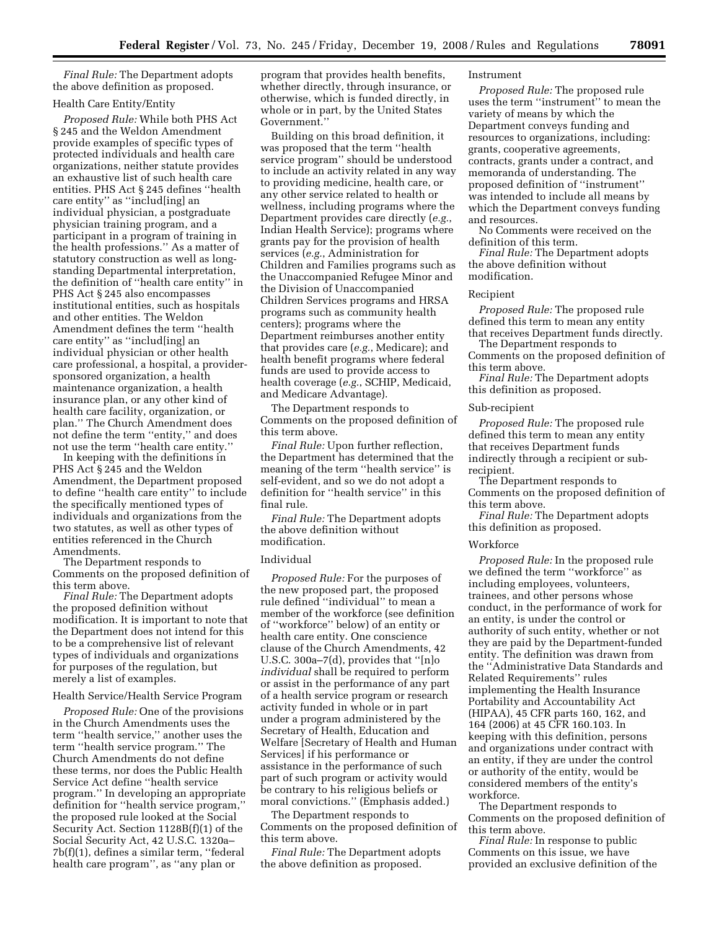*Final Rule:* The Department adopts the above definition as proposed.

# Health Care Entity/Entity

*Proposed Rule:* While both PHS Act § 245 and the Weldon Amendment provide examples of specific types of protected individuals and health care organizations, neither statute provides an exhaustive list of such health care entities. PHS Act § 245 defines ''health care entity'' as ''includ[ing] an individual physician, a postgraduate physician training program, and a participant in a program of training in the health professions.'' As a matter of statutory construction as well as longstanding Departmental interpretation, the definition of ''health care entity'' in PHS Act § 245 also encompasses institutional entities, such as hospitals and other entities. The Weldon Amendment defines the term ''health care entity'' as ''includ[ing] an individual physician or other health care professional, a hospital, a providersponsored organization, a health maintenance organization, a health insurance plan, or any other kind of health care facility, organization, or plan.'' The Church Amendment does not define the term ''entity,'' and does not use the term ''health care entity.''

In keeping with the definitions in PHS Act § 245 and the Weldon Amendment, the Department proposed to define ''health care entity'' to include the specifically mentioned types of individuals and organizations from the two statutes, as well as other types of entities referenced in the Church Amendments.

The Department responds to Comments on the proposed definition of this term above.

*Final Rule:* The Department adopts the proposed definition without modification. It is important to note that the Department does not intend for this to be a comprehensive list of relevant types of individuals and organizations for purposes of the regulation, but merely a list of examples.

# Health Service/Health Service Program

*Proposed Rule:* One of the provisions in the Church Amendments uses the term ''health service,'' another uses the term ''health service program.'' The Church Amendments do not define these terms, nor does the Public Health Service Act define ''health service program.'' In developing an appropriate definition for ''health service program,'' the proposed rule looked at the Social Security Act. Section 1128B(f)(1) of the Social Security Act, 42 U.S.C. 1320a– 7b(f)(1), defines a similar term, ''federal health care program'', as ''any plan or

program that provides health benefits, whether directly, through insurance, or otherwise, which is funded directly, in whole or in part, by the United States Government.''

Building on this broad definition, it was proposed that the term ''health service program'' should be understood to include an activity related in any way to providing medicine, health care, or any other service related to health or wellness, including programs where the Department provides care directly (*e.g.*, Indian Health Service); programs where grants pay for the provision of health services (*e.g.*, Administration for Children and Families programs such as the Unaccompanied Refugee Minor and the Division of Unaccompanied Children Services programs and HRSA programs such as community health centers); programs where the Department reimburses another entity that provides care (*e.g.*, Medicare); and health benefit programs where federal funds are used to provide access to health coverage (*e.g.*, SCHIP, Medicaid, and Medicare Advantage).

The Department responds to Comments on the proposed definition of this term above.

*Final Rule:* Upon further reflection, the Department has determined that the meaning of the term ''health service'' is self-evident, and so we do not adopt a definition for ''health service'' in this final rule.

*Final Rule:* The Department adopts the above definition without modification.

# Individual

*Proposed Rule:* For the purposes of the new proposed part, the proposed rule defined ''individual'' to mean a member of the workforce (see definition of ''workforce'' below) of an entity or health care entity. One conscience clause of the Church Amendments, 42 U.S.C. 300a–7(d), provides that ''[n]o *individual* shall be required to perform or assist in the performance of any part of a health service program or research activity funded in whole or in part under a program administered by the Secretary of Health, Education and Welfare [Secretary of Health and Human Services] if his performance or assistance in the performance of such part of such program or activity would be contrary to his religious beliefs or moral convictions.'' (Emphasis added.)

The Department responds to Comments on the proposed definition of this term above.

*Final Rule:* The Department adopts the above definition as proposed.

### Instrument

*Proposed Rule:* The proposed rule uses the term ''instrument'' to mean the variety of means by which the Department conveys funding and resources to organizations, including: grants, cooperative agreements, contracts, grants under a contract, and memoranda of understanding. The proposed definition of ''instrument'' was intended to include all means by which the Department conveys funding and resources.

No Comments were received on the definition of this term.

*Final Rule:* The Department adopts the above definition without modification.

#### Recipient

*Proposed Rule:* The proposed rule defined this term to mean any entity that receives Department funds directly.

The Department responds to Comments on the proposed definition of this term above.

*Final Rule:* The Department adopts this definition as proposed.

#### Sub-recipient

*Proposed Rule:* The proposed rule defined this term to mean any entity that receives Department funds indirectly through a recipient or subrecipient.

The Department responds to Comments on the proposed definition of this term above.

*Final Rule:* The Department adopts this definition as proposed.

### **Workforce**

*Proposed Rule:* In the proposed rule we defined the term ''workforce'' as including employees, volunteers, trainees, and other persons whose conduct, in the performance of work for an entity, is under the control or authority of such entity, whether or not they are paid by the Department-funded entity. The definition was drawn from the ''Administrative Data Standards and Related Requirements'' rules implementing the Health Insurance Portability and Accountability Act (HIPAA), 45 CFR parts 160, 162, and 164 (2006) at 45 CFR 160.103. In keeping with this definition, persons and organizations under contract with an entity, if they are under the control or authority of the entity, would be considered members of the entity's workforce.

The Department responds to Comments on the proposed definition of this term above.

*Final Rule:* In response to public Comments on this issue, we have provided an exclusive definition of the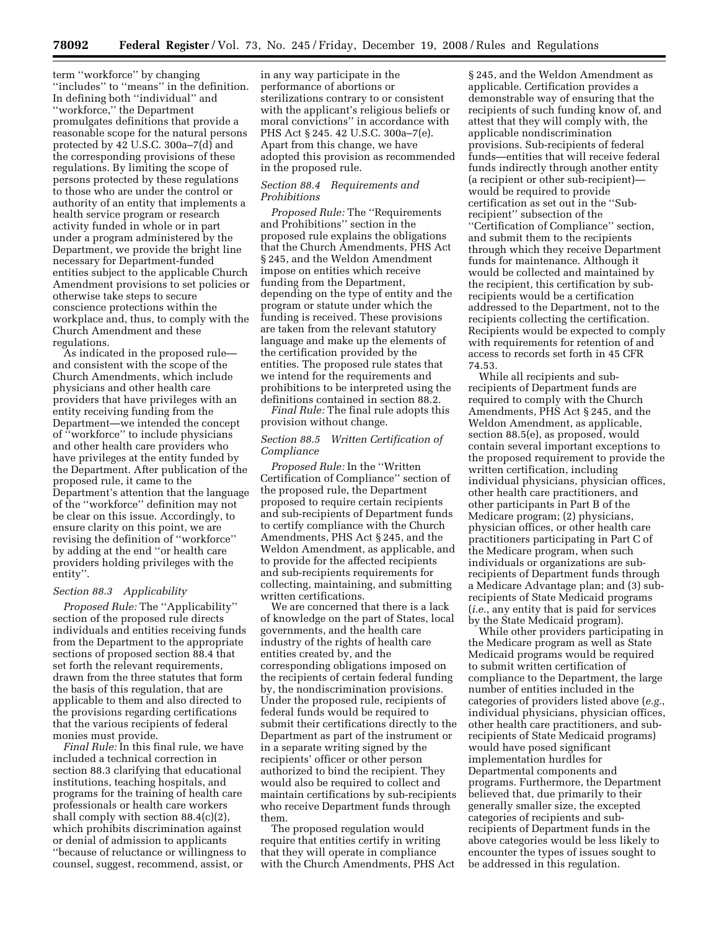term ''workforce'' by changing ''includes'' to ''means'' in the definition. In defining both ''individual'' and ''workforce,'' the Department promulgates definitions that provide a reasonable scope for the natural persons protected by 42 U.S.C. 300a–7(d) and the corresponding provisions of these regulations. By limiting the scope of persons protected by these regulations to those who are under the control or authority of an entity that implements a health service program or research activity funded in whole or in part under a program administered by the Department, we provide the bright line necessary for Department-funded entities subject to the applicable Church Amendment provisions to set policies or otherwise take steps to secure conscience protections within the workplace and, thus, to comply with the Church Amendment and these regulations.

As indicated in the proposed rule and consistent with the scope of the Church Amendments, which include physicians and other health care providers that have privileges with an entity receiving funding from the Department—we intended the concept of ''workforce'' to include physicians and other health care providers who have privileges at the entity funded by the Department. After publication of the proposed rule, it came to the Department's attention that the language of the ''workforce'' definition may not be clear on this issue. Accordingly, to ensure clarity on this point, we are revising the definition of ''workforce'' by adding at the end ''or health care providers holding privileges with the entity''.

### *Section 88.3 Applicability*

*Proposed Rule:* The ''Applicability'' section of the proposed rule directs individuals and entities receiving funds from the Department to the appropriate sections of proposed section 88.4 that set forth the relevant requirements, drawn from the three statutes that form the basis of this regulation, that are applicable to them and also directed to the provisions regarding certifications that the various recipients of federal monies must provide.

*Final Rule:* In this final rule, we have included a technical correction in section 88.3 clarifying that educational institutions, teaching hospitals, and programs for the training of health care professionals or health care workers shall comply with section 88.4(c)(2), which prohibits discrimination against or denial of admission to applicants ''because of reluctance or willingness to counsel, suggest, recommend, assist, or

in any way participate in the performance of abortions or sterilizations contrary to or consistent with the applicant's religious beliefs or moral convictions'' in accordance with PHS Act § 245. 42 U.S.C. 300a–7(e). Apart from this change, we have adopted this provision as recommended in the proposed rule.

## *Section 88.4 Requirements and Prohibitions*

*Proposed Rule:* The ''Requirements and Prohibitions'' section in the proposed rule explains the obligations that the Church Amendments, PHS Act § 245, and the Weldon Amendment impose on entities which receive funding from the Department, depending on the type of entity and the program or statute under which the funding is received. These provisions are taken from the relevant statutory language and make up the elements of the certification provided by the entities. The proposed rule states that we intend for the requirements and prohibitions to be interpreted using the definitions contained in section 88.2.

*Final Rule:* The final rule adopts this provision without change.

## *Section 88.5 Written Certification of Compliance*

*Proposed Rule:* In the ''Written Certification of Compliance'' section of the proposed rule, the Department proposed to require certain recipients and sub-recipients of Department funds to certify compliance with the Church Amendments, PHS Act § 245, and the Weldon Amendment, as applicable, and to provide for the affected recipients and sub-recipients requirements for collecting, maintaining, and submitting written certifications.

We are concerned that there is a lack of knowledge on the part of States, local governments, and the health care industry of the rights of health care entities created by, and the corresponding obligations imposed on the recipients of certain federal funding by, the nondiscrimination provisions. Under the proposed rule, recipients of federal funds would be required to submit their certifications directly to the Department as part of the instrument or in a separate writing signed by the recipients' officer or other person authorized to bind the recipient. They would also be required to collect and maintain certifications by sub-recipients who receive Department funds through them.

The proposed regulation would require that entities certify in writing that they will operate in compliance with the Church Amendments, PHS Act

§ 245, and the Weldon Amendment as applicable. Certification provides a demonstrable way of ensuring that the recipients of such funding know of, and attest that they will comply with, the applicable nondiscrimination provisions. Sub-recipients of federal funds—entities that will receive federal funds indirectly through another entity (a recipient or other sub-recipient) would be required to provide certification as set out in the ''Subrecipient'' subsection of the ''Certification of Compliance'' section, and submit them to the recipients through which they receive Department funds for maintenance. Although it would be collected and maintained by the recipient, this certification by subrecipients would be a certification addressed to the Department, not to the recipients collecting the certification. Recipients would be expected to comply with requirements for retention of and access to records set forth in 45 CFR 74.53.

While all recipients and subrecipients of Department funds are required to comply with the Church Amendments, PHS Act § 245, and the Weldon Amendment, as applicable, section 88.5(e), as proposed, would contain several important exceptions to the proposed requirement to provide the written certification, including individual physicians, physician offices, other health care practitioners, and other participants in Part B of the Medicare program; (2) physicians, physician offices, or other health care practitioners participating in Part C of the Medicare program, when such individuals or organizations are subrecipients of Department funds through a Medicare Advantage plan; and (3) subrecipients of State Medicaid programs (*i.e.*, any entity that is paid for services by the State Medicaid program).

While other providers participating in the Medicare program as well as State Medicaid programs would be required to submit written certification of compliance to the Department, the large number of entities included in the categories of providers listed above (*e.g.*, individual physicians, physician offices, other health care practitioners, and subrecipients of State Medicaid programs) would have posed significant implementation hurdles for Departmental components and programs. Furthermore, the Department believed that, due primarily to their generally smaller size, the excepted categories of recipients and subrecipients of Department funds in the above categories would be less likely to encounter the types of issues sought to be addressed in this regulation.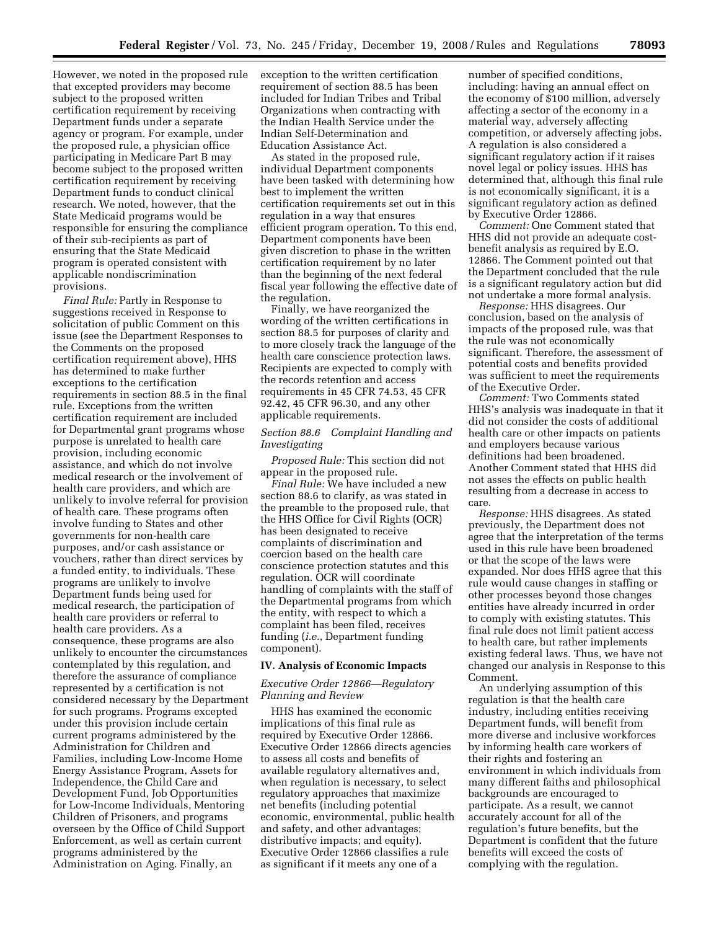However, we noted in the proposed rule that excepted providers may become subject to the proposed written certification requirement by receiving Department funds under a separate agency or program. For example, under the proposed rule, a physician office participating in Medicare Part B may become subject to the proposed written certification requirement by receiving Department funds to conduct clinical research. We noted, however, that the State Medicaid programs would be responsible for ensuring the compliance of their sub-recipients as part of ensuring that the State Medicaid program is operated consistent with applicable nondiscrimination provisions.

*Final Rule:* Partly in Response to suggestions received in Response to solicitation of public Comment on this issue (see the Department Responses to the Comments on the proposed certification requirement above), HHS has determined to make further exceptions to the certification requirements in section 88.5 in the final rule. Exceptions from the written certification requirement are included for Departmental grant programs whose purpose is unrelated to health care provision, including economic assistance, and which do not involve medical research or the involvement of health care providers, and which are unlikely to involve referral for provision of health care. These programs often involve funding to States and other governments for non-health care purposes, and/or cash assistance or vouchers, rather than direct services by a funded entity, to individuals. These programs are unlikely to involve Department funds being used for medical research, the participation of health care providers or referral to health care providers. As a consequence, these programs are also unlikely to encounter the circumstances contemplated by this regulation, and therefore the assurance of compliance represented by a certification is not considered necessary by the Department for such programs. Programs excepted under this provision include certain current programs administered by the Administration for Children and Families, including Low-Income Home Energy Assistance Program, Assets for Independence, the Child Care and Development Fund, Job Opportunities for Low-Income Individuals, Mentoring Children of Prisoners, and programs overseen by the Office of Child Support Enforcement, as well as certain current programs administered by the Administration on Aging. Finally, an

exception to the written certification requirement of section 88.5 has been included for Indian Tribes and Tribal Organizations when contracting with the Indian Health Service under the Indian Self-Determination and Education Assistance Act.

As stated in the proposed rule, individual Department components have been tasked with determining how best to implement the written certification requirements set out in this regulation in a way that ensures efficient program operation. To this end, Department components have been given discretion to phase in the written certification requirement by no later than the beginning of the next federal fiscal year following the effective date of the regulation.

Finally, we have reorganized the wording of the written certifications in section 88.5 for purposes of clarity and to more closely track the language of the health care conscience protection laws. Recipients are expected to comply with the records retention and access requirements in 45 CFR 74.53, 45 CFR 92.42, 45 CFR 96.30, and any other applicable requirements.

## *Section 88.6 Complaint Handling and Investigating*

*Proposed Rule:* This section did not appear in the proposed rule.

*Final Rule:* We have included a new section 88.6 to clarify, as was stated in the preamble to the proposed rule, that the HHS Office for Civil Rights (OCR) has been designated to receive complaints of discrimination and coercion based on the health care conscience protection statutes and this regulation. OCR will coordinate handling of complaints with the staff of the Departmental programs from which the entity, with respect to which a complaint has been filed, receives funding (*i.e.*, Department funding component).

## **IV. Analysis of Economic Impacts**

## *Executive Order 12866—Regulatory Planning and Review*

HHS has examined the economic implications of this final rule as required by Executive Order 12866. Executive Order 12866 directs agencies to assess all costs and benefits of available regulatory alternatives and, when regulation is necessary, to select regulatory approaches that maximize net benefits (including potential economic, environmental, public health and safety, and other advantages; distributive impacts; and equity). Executive Order 12866 classifies a rule as significant if it meets any one of a

number of specified conditions, including: having an annual effect on the economy of \$100 million, adversely affecting a sector of the economy in a material way, adversely affecting competition, or adversely affecting jobs. A regulation is also considered a significant regulatory action if it raises novel legal or policy issues. HHS has determined that, although this final rule is not economically significant, it is a significant regulatory action as defined by Executive Order 12866.

*Comment:* One Comment stated that HHS did not provide an adequate costbenefit analysis as required by E.O. 12866. The Comment pointed out that the Department concluded that the rule is a significant regulatory action but did not undertake a more formal analysis.

*Response:* HHS disagrees. Our conclusion, based on the analysis of impacts of the proposed rule, was that the rule was not economically significant. Therefore, the assessment of potential costs and benefits provided was sufficient to meet the requirements of the Executive Order.

*Comment:* Two Comments stated HHS's analysis was inadequate in that it did not consider the costs of additional health care or other impacts on patients and employers because various definitions had been broadened. Another Comment stated that HHS did not asses the effects on public health resulting from a decrease in access to care.

*Response:* HHS disagrees. As stated previously, the Department does not agree that the interpretation of the terms used in this rule have been broadened or that the scope of the laws were expanded. Nor does HHS agree that this rule would cause changes in staffing or other processes beyond those changes entities have already incurred in order to comply with existing statutes. This final rule does not limit patient access to health care, but rather implements existing federal laws. Thus, we have not changed our analysis in Response to this Comment.

An underlying assumption of this regulation is that the health care industry, including entities receiving Department funds, will benefit from more diverse and inclusive workforces by informing health care workers of their rights and fostering an environment in which individuals from many different faiths and philosophical backgrounds are encouraged to participate. As a result, we cannot accurately account for all of the regulation's future benefits, but the Department is confident that the future benefits will exceed the costs of complying with the regulation.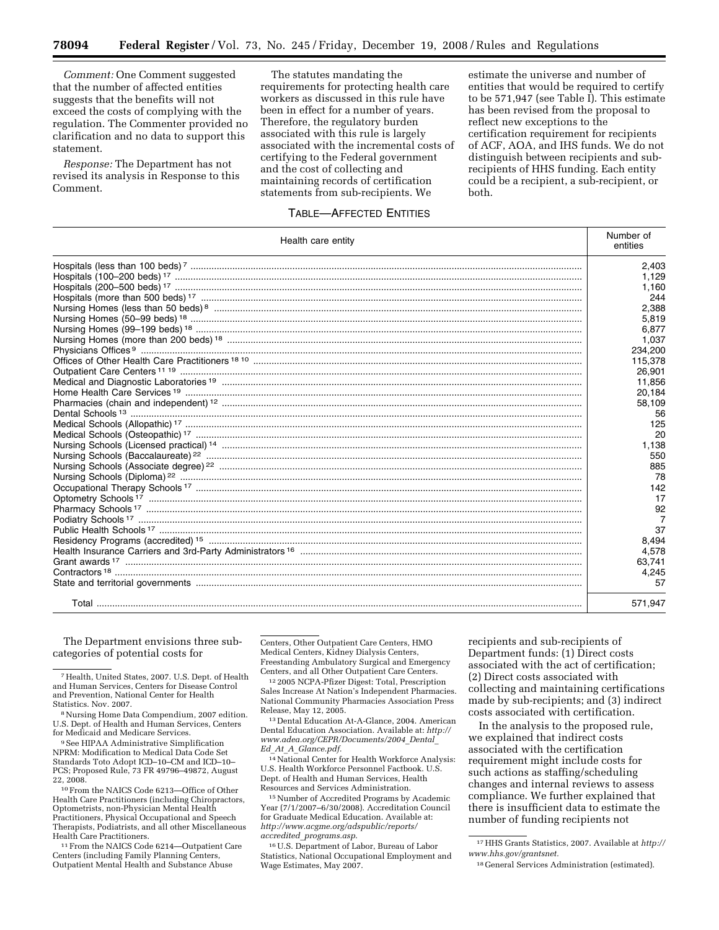*Comment:* One Comment suggested that the number of affected entities suggests that the benefits will not exceed the costs of complying with the regulation. The Commenter provided no clarification and no data to support this statement.

*Response:* The Department has not revised its analysis in Response to this Comment.

The statutes mandating the requirements for protecting health care workers as discussed in this rule have been in effect for a number of years. Therefore, the regulatory burden associated with this rule is largely associated with the incremental costs of certifying to the Federal government and the cost of collecting and maintaining records of certification statements from sub-recipients. We

estimate the universe and number of entities that would be required to certify to be 571,947 (see Table I). This estimate has been revised from the proposal to reflect new exceptions to the certification requirement for recipients of ACF, AOA, and IHS funds. We do not distinguish between recipients and subrecipients of HHS funding. Each entity could be a recipient, a sub-recipient, or both.

# TABLE—AFFECTED ENTITIES

| Health care entity                            | Number of<br>entities |
|-----------------------------------------------|-----------------------|
|                                               | 2.403                 |
|                                               | 1,129                 |
|                                               | 1,160                 |
|                                               | 244                   |
|                                               | 2.388                 |
|                                               | 5.819                 |
|                                               | 6,877                 |
|                                               | 1,037                 |
|                                               | 234.200               |
|                                               | 115,378               |
|                                               | 26,901                |
|                                               | 11,856                |
|                                               | 20,184                |
|                                               | 58,109                |
|                                               | 56                    |
|                                               | 125                   |
|                                               | 20                    |
|                                               | 1,138                 |
|                                               | 550                   |
|                                               | 885                   |
|                                               | 78                    |
|                                               | 142                   |
|                                               | 17                    |
|                                               | 92                    |
|                                               | $\overline{7}$        |
|                                               | 37                    |
|                                               | 8,494                 |
|                                               | 4,578                 |
|                                               | 63,741                |
| $\textbf{Contractors}\texttt{^{18}}\texttt{}$ | 4,245                 |
|                                               | 57                    |
|                                               | 571,947               |

The Department envisions three subcategories of potential costs for

<sup>8</sup> Nursing Home Data Compendium, 2007 edition. U.S. Dept. of Health and Human Services, Centers

<sup>9</sup> See HIPAA Administrative Simplification NPRM: Modification to Medical Data Code Set Standards Toto Adopt ICD–10–CM and ICD–10– PCS; Proposed Rule, 73 FR 49796–49872, August

<sup>10</sup> From the NAICS Code 6213-Office of Other Health Care Practitioners (including Chiropractors, Optometrists, non-Physician Mental Health Practitioners, Physical Occupational and Speech Therapists, Podiatrists, and all other Miscellaneous

<sup>11</sup> From the NAICS Code 6214—Outpatient Care Centers (including Family Planning Centers, Outpatient Mental Health and Substance Abuse

Centers, Other Outpatient Care Centers, HMO Medical Centers, Kidney Dialysis Centers, Freestanding Ambulatory Surgical and Emergency Centers, and all Other Outpatient Care Centers.

12 2005 NCPA-Pfizer Digest: Total, Prescription Sales Increase At Nation's Independent Pharmacies. National Community Pharmacies Association Press Release, May 12, 2005.

13 Dental Education At-A-Glance, 2004. American Dental Education Association. Available at: *http:// www.adea.org/CEPR/Documents/2004*\_*Dental*\_ *Ed*\_*At*\_*A*\_*Glance.pdf.* 

14National Center for Health Workforce Analysis: U.S. Health Workforce Personnel Factbook. U.S. Dept. of Health and Human Services, Health Resources and Services Administration.

15Number of Accredited Programs by Academic Year (7/1/2007–6/30/2008). Accreditation Council for Graduate Medical Education. Available at: *http://www.acgme.org/adspublic/reports/ accredited*\_*programs.asp*.

16U.S. Department of Labor, Bureau of Labor Statistics, National Occupational Employment and Wage Estimates, May 2007.

recipients and sub-recipients of Department funds: (1) Direct costs associated with the act of certification; (2) Direct costs associated with collecting and maintaining certifications made by sub-recipients; and (3) indirect costs associated with certification.

In the analysis to the proposed rule, we explained that indirect costs associated with the certification requirement might include costs for such actions as staffing/scheduling changes and internal reviews to assess compliance. We further explained that there is insufficient data to estimate the number of funding recipients not

<sup>7</sup>Health, United States, 2007. U.S. Dept. of Health and Human Services, Centers for Disease Control and Prevention, National Center for Health

<sup>17</sup>HHS Grants Statistics, 2007. Available at *http:// www.hhs.gov/grantsnet.* 

<sup>18</sup> General Services Administration (estimated).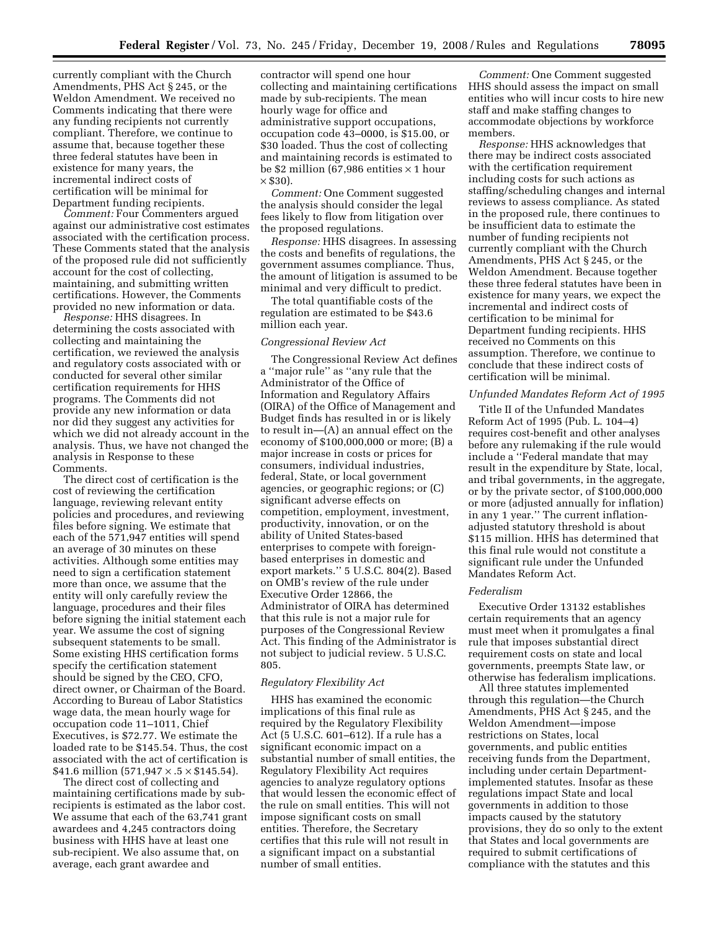currently compliant with the Church Amendments, PHS Act § 245, or the Weldon Amendment. We received no Comments indicating that there were any funding recipients not currently compliant. Therefore, we continue to assume that, because together these three federal statutes have been in existence for many years, the incremental indirect costs of certification will be minimal for Department funding recipients.

*Comment:* Four Commenters argued against our administrative cost estimates associated with the certification process. These Comments stated that the analysis of the proposed rule did not sufficiently account for the cost of collecting, maintaining, and submitting written certifications. However, the Comments provided no new information or data.

*Response:* HHS disagrees. In determining the costs associated with collecting and maintaining the certification, we reviewed the analysis and regulatory costs associated with or conducted for several other similar certification requirements for HHS programs. The Comments did not provide any new information or data nor did they suggest any activities for which we did not already account in the analysis. Thus, we have not changed the analysis in Response to these Comments.

The direct cost of certification is the cost of reviewing the certification language, reviewing relevant entity policies and procedures, and reviewing files before signing. We estimate that each of the 571,947 entities will spend an average of 30 minutes on these activities. Although some entities may need to sign a certification statement more than once, we assume that the entity will only carefully review the language, procedures and their files before signing the initial statement each year. We assume the cost of signing subsequent statements to be small. Some existing HHS certification forms specify the certification statement should be signed by the CEO, CFO, direct owner, or Chairman of the Board. According to Bureau of Labor Statistics wage data, the mean hourly wage for occupation code 11–1011, Chief Executives, is \$72.77. We estimate the loaded rate to be \$145.54. Thus, the cost associated with the act of certification is \$41.6 million  $(571,947 \times .5 \times $145.54)$ .

The direct cost of collecting and maintaining certifications made by subrecipients is estimated as the labor cost. We assume that each of the 63,741 grant awardees and 4,245 contractors doing business with HHS have at least one sub-recipient. We also assume that, on average, each grant awardee and

contractor will spend one hour collecting and maintaining certifications made by sub-recipients. The mean hourly wage for office and administrative support occupations, occupation code 43–0000, is \$15.00, or \$30 loaded. Thus the cost of collecting and maintaining records is estimated to be \$2 million (67,986 entities  $\times$  1 hour  $\times$  \$30).

*Comment:* One Comment suggested the analysis should consider the legal fees likely to flow from litigation over the proposed regulations.

*Response:* HHS disagrees. In assessing the costs and benefits of regulations, the government assumes compliance. Thus, the amount of litigation is assumed to be minimal and very difficult to predict.

The total quantifiable costs of the regulation are estimated to be \$43.6 million each year.

### *Congressional Review Act*

The Congressional Review Act defines a ''major rule'' as ''any rule that the Administrator of the Office of Information and Regulatory Affairs (OIRA) of the Office of Management and Budget finds has resulted in or is likely to result in—(A) an annual effect on the economy of \$100,000,000 or more; (B) a major increase in costs or prices for consumers, individual industries, federal, State, or local government agencies, or geographic regions; or (C) significant adverse effects on competition, employment, investment, productivity, innovation, or on the ability of United States-based enterprises to compete with foreignbased enterprises in domestic and export markets.'' 5 U.S.C. 804(2). Based on OMB's review of the rule under Executive Order 12866, the Administrator of OIRA has determined that this rule is not a major rule for purposes of the Congressional Review Act. This finding of the Administrator is not subject to judicial review. 5 U.S.C. 805.

### *Regulatory Flexibility Act*

HHS has examined the economic implications of this final rule as required by the Regulatory Flexibility Act (5 U.S.C. 601–612). If a rule has a significant economic impact on a substantial number of small entities, the Regulatory Flexibility Act requires agencies to analyze regulatory options that would lessen the economic effect of the rule on small entities. This will not impose significant costs on small entities. Therefore, the Secretary certifies that this rule will not result in a significant impact on a substantial number of small entities.

*Comment:* One Comment suggested HHS should assess the impact on small entities who will incur costs to hire new staff and make staffing changes to accommodate objections by workforce members.

*Response:* HHS acknowledges that there may be indirect costs associated with the certification requirement including costs for such actions as staffing/scheduling changes and internal reviews to assess compliance. As stated in the proposed rule, there continues to be insufficient data to estimate the number of funding recipients not currently compliant with the Church Amendments, PHS Act § 245, or the Weldon Amendment. Because together these three federal statutes have been in existence for many years, we expect the incremental and indirect costs of certification to be minimal for Department funding recipients. HHS received no Comments on this assumption. Therefore, we continue to conclude that these indirect costs of certification will be minimal.

### *Unfunded Mandates Reform Act of 1995*

Title II of the Unfunded Mandates Reform Act of 1995 (Pub. L. 104–4) requires cost-benefit and other analyses before any rulemaking if the rule would include a ''Federal mandate that may result in the expenditure by State, local, and tribal governments, in the aggregate, or by the private sector, of \$100,000,000 or more (adjusted annually for inflation) in any 1 year.'' The current inflationadjusted statutory threshold is about \$115 million. HHS has determined that this final rule would not constitute a significant rule under the Unfunded Mandates Reform Act.

#### *Federalism*

Executive Order 13132 establishes certain requirements that an agency must meet when it promulgates a final rule that imposes substantial direct requirement costs on state and local governments, preempts State law, or otherwise has federalism implications.

All three statutes implemented through this regulation—the Church Amendments, PHS Act § 245, and the Weldon Amendment—impose restrictions on States, local governments, and public entities receiving funds from the Department, including under certain Departmentimplemented statutes. Insofar as these regulations impact State and local governments in addition to those impacts caused by the statutory provisions, they do so only to the extent that States and local governments are required to submit certifications of compliance with the statutes and this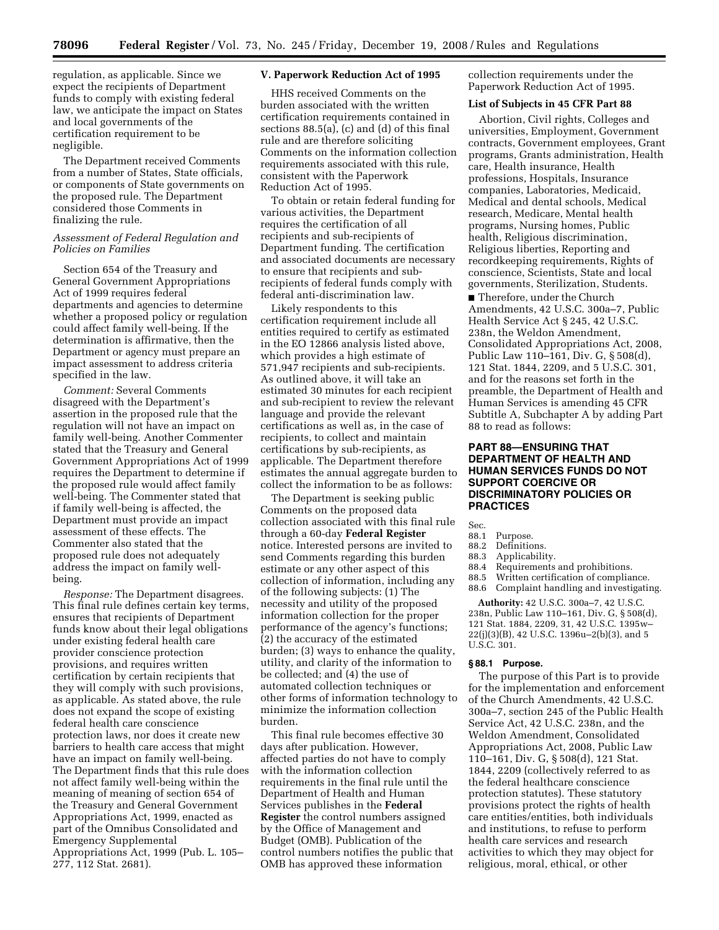regulation, as applicable. Since we expect the recipients of Department funds to comply with existing federal law, we anticipate the impact on States and local governments of the certification requirement to be negligible.

The Department received Comments from a number of States, State officials, or components of State governments on the proposed rule. The Department considered those Comments in finalizing the rule.

## *Assessment of Federal Regulation and Policies on Families*

Section 654 of the Treasury and General Government Appropriations Act of 1999 requires federal departments and agencies to determine whether a proposed policy or regulation could affect family well-being. If the determination is affirmative, then the Department or agency must prepare an impact assessment to address criteria specified in the law.

*Comment:* Several Comments disagreed with the Department's assertion in the proposed rule that the regulation will not have an impact on family well-being. Another Commenter stated that the Treasury and General Government Appropriations Act of 1999 requires the Department to determine if the proposed rule would affect family well-being. The Commenter stated that if family well-being is affected, the Department must provide an impact assessment of these effects. The Commenter also stated that the proposed rule does not adequately address the impact on family wellbeing.

*Response:* The Department disagrees. This final rule defines certain key terms, ensures that recipients of Department funds know about their legal obligations under existing federal health care provider conscience protection provisions, and requires written certification by certain recipients that they will comply with such provisions, as applicable. As stated above, the rule does not expand the scope of existing federal health care conscience protection laws, nor does it create new barriers to health care access that might have an impact on family well-being. The Department finds that this rule does not affect family well-being within the meaning of meaning of section 654 of the Treasury and General Government Appropriations Act, 1999, enacted as part of the Omnibus Consolidated and Emergency Supplemental Appropriations Act, 1999 (Pub. L. 105– 277, 112 Stat. 2681).

### **V. Paperwork Reduction Act of 1995**

HHS received Comments on the burden associated with the written certification requirements contained in sections 88.5(a), (c) and (d) of this final rule and are therefore soliciting Comments on the information collection requirements associated with this rule, consistent with the Paperwork Reduction Act of 1995.

To obtain or retain federal funding for various activities, the Department requires the certification of all recipients and sub-recipients of Department funding. The certification and associated documents are necessary to ensure that recipients and subrecipients of federal funds comply with federal anti-discrimination law.

Likely respondents to this certification requirement include all entities required to certify as estimated in the EO 12866 analysis listed above, which provides a high estimate of 571,947 recipients and sub-recipients. As outlined above, it will take an estimated 30 minutes for each recipient and sub-recipient to review the relevant language and provide the relevant certifications as well as, in the case of recipients, to collect and maintain certifications by sub-recipients, as applicable. The Department therefore estimates the annual aggregate burden to collect the information to be as follows:

The Department is seeking public Comments on the proposed data collection associated with this final rule through a 60-day **Federal Register**  notice. Interested persons are invited to send Comments regarding this burden estimate or any other aspect of this collection of information, including any of the following subjects: (1) The necessity and utility of the proposed information collection for the proper performance of the agency's functions; (2) the accuracy of the estimated burden; (3) ways to enhance the quality, utility, and clarity of the information to be collected; and (4) the use of automated collection techniques or other forms of information technology to minimize the information collection burden.

This final rule becomes effective 30 days after publication. However, affected parties do not have to comply with the information collection requirements in the final rule until the Department of Health and Human Services publishes in the **Federal Register** the control numbers assigned by the Office of Management and Budget (OMB). Publication of the control numbers notifies the public that OMB has approved these information

collection requirements under the Paperwork Reduction Act of 1995.

## **List of Subjects in 45 CFR Part 88**

Abortion, Civil rights, Colleges and universities, Employment, Government contracts, Government employees, Grant programs, Grants administration, Health care, Health insurance, Health professions, Hospitals, Insurance companies, Laboratories, Medicaid, Medical and dental schools, Medical research, Medicare, Mental health programs, Nursing homes, Public health, Religious discrimination, Religious liberties, Reporting and recordkeeping requirements, Rights of conscience, Scientists, State and local governments, Sterilization, Students.

■ Therefore, under the Church Amendments, 42 U.S.C. 300a–7, Public Health Service Act § 245, 42 U.S.C. 238n, the Weldon Amendment, Consolidated Appropriations Act, 2008, Public Law 110–161, Div. G, § 508(d), 121 Stat. 1844, 2209, and 5 U.S.C. 301, and for the reasons set forth in the preamble, the Department of Health and Human Services is amending 45 CFR Subtitle A, Subchapter A by adding Part 88 to read as follows:

# **PART 88—ENSURING THAT DEPARTMENT OF HEALTH AND HUMAN SERVICES FUNDS DO NOT SUPPORT COERCIVE OR DISCRIMINATORY POLICIES OR PRACTICES**

Sec.

- 88.1 Purpose.
- 88.2 Definitions.
- 88.3 Applicability.<br>88.4 Requirements
- 88.4 Requirements and prohibitions.<br>88.5 Written certification of compliation
- 88.5 Written certification of compliance.<br>88.6 Complaint handling and investigation
- Complaint handling and investigating.

**Authority:** 42 U.S.C. 300a–7, 42 U.S.C. 238n, Public Law 110–161, Div. G, § 508(d), 121 Stat. 1884, 2209, 31, 42 U.S.C. 1395w– 22(j)(3)(B), 42 U.S.C. 1396u–2(b)(3), and 5 U.S.C. 301.

# **§ 88.1 Purpose.**

The purpose of this Part is to provide for the implementation and enforcement of the Church Amendments, 42 U.S.C. 300a–7, section 245 of the Public Health Service Act, 42 U.S.C. 238n, and the Weldon Amendment, Consolidated Appropriations Act, 2008, Public Law 110–161, Div. G, § 508(d), 121 Stat. 1844, 2209 (collectively referred to as the federal healthcare conscience protection statutes). These statutory provisions protect the rights of health care entities/entities, both individuals and institutions, to refuse to perform health care services and research activities to which they may object for religious, moral, ethical, or other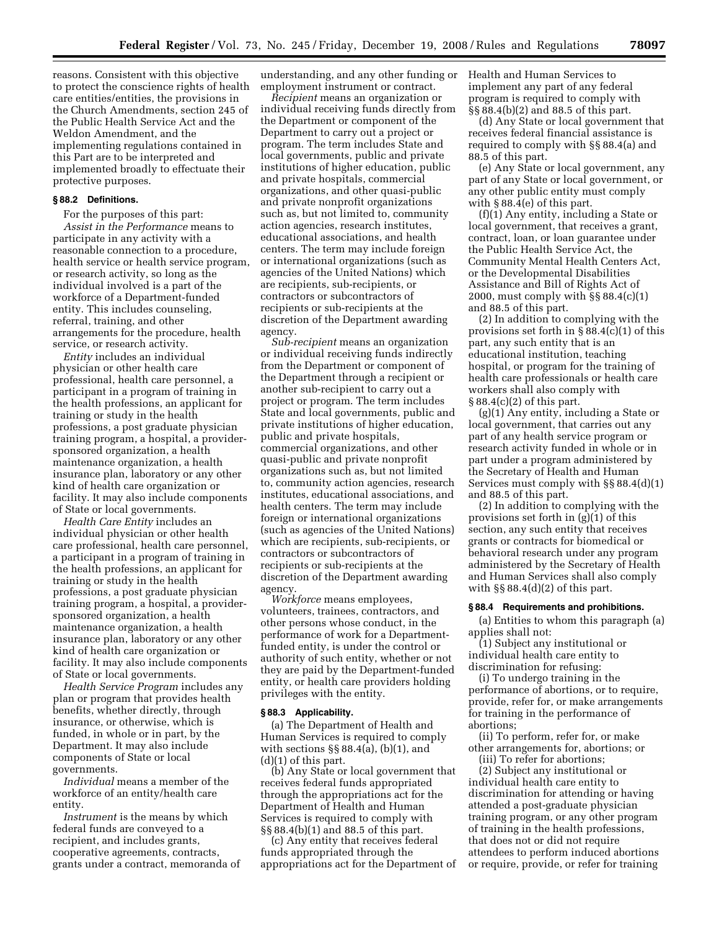reasons. Consistent with this objective to protect the conscience rights of health care entities/entities, the provisions in the Church Amendments, section 245 of the Public Health Service Act and the Weldon Amendment, and the implementing regulations contained in this Part are to be interpreted and implemented broadly to effectuate their protective purposes.

#### **§ 88.2 Definitions.**

For the purposes of this part: *Assist in the Performance* means to participate in any activity with a reasonable connection to a procedure, health service or health service program, or research activity, so long as the individual involved is a part of the workforce of a Department-funded entity. This includes counseling, referral, training, and other arrangements for the procedure, health service, or research activity.

*Entity* includes an individual physician or other health care professional, health care personnel, a participant in a program of training in the health professions, an applicant for training or study in the health professions, a post graduate physician training program, a hospital, a providersponsored organization, a health maintenance organization, a health insurance plan, laboratory or any other kind of health care organization or facility. It may also include components of State or local governments.

*Health Care Entity* includes an individual physician or other health care professional, health care personnel, a participant in a program of training in the health professions, an applicant for training or study in the health professions, a post graduate physician training program, a hospital, a providersponsored organization, a health maintenance organization, a health insurance plan, laboratory or any other kind of health care organization or facility. It may also include components of State or local governments.

*Health Service Program* includes any plan or program that provides health benefits, whether directly, through insurance, or otherwise, which is funded, in whole or in part, by the Department. It may also include components of State or local governments.

*Individual* means a member of the workforce of an entity/health care entity.

*Instrument* is the means by which federal funds are conveyed to a recipient, and includes grants, cooperative agreements, contracts, grants under a contract, memoranda of understanding, and any other funding or employment instrument or contract.

*Recipient* means an organization or individual receiving funds directly from the Department or component of the Department to carry out a project or program. The term includes State and local governments, public and private institutions of higher education, public and private hospitals, commercial organizations, and other quasi-public and private nonprofit organizations such as, but not limited to, community action agencies, research institutes, educational associations, and health centers. The term may include foreign or international organizations (such as agencies of the United Nations) which are recipients, sub-recipients, or contractors or subcontractors of recipients or sub-recipients at the discretion of the Department awarding agency.

*Sub-recipient* means an organization or individual receiving funds indirectly from the Department or component of the Department through a recipient or another sub-recipient to carry out a project or program. The term includes State and local governments, public and private institutions of higher education, public and private hospitals, commercial organizations, and other quasi-public and private nonprofit organizations such as, but not limited to, community action agencies, research institutes, educational associations, and health centers. The term may include foreign or international organizations (such as agencies of the United Nations) which are recipients, sub-recipients, or contractors or subcontractors of recipients or sub-recipients at the discretion of the Department awarding agency.

*Workforce* means employees, volunteers, trainees, contractors, and other persons whose conduct, in the performance of work for a Departmentfunded entity, is under the control or authority of such entity, whether or not they are paid by the Department-funded entity, or health care providers holding privileges with the entity.

#### **§ 88.3 Applicability.**

(a) The Department of Health and Human Services is required to comply with sections  $\S$ § 88.4(a), (b)(1), and (d)(1) of this part.

(b) Any State or local government that receives federal funds appropriated through the appropriations act for the Department of Health and Human Services is required to comply with §§ 88.4(b)(1) and 88.5 of this part.

(c) Any entity that receives federal funds appropriated through the appropriations act for the Department of Health and Human Services to implement any part of any federal program is required to comply with §§ 88.4(b)(2) and 88.5 of this part.

(d) Any State or local government that receives federal financial assistance is required to comply with §§ 88.4(a) and 88.5 of this part.

(e) Any State or local government, any part of any State or local government, or any other public entity must comply with § 88.4(e) of this part.

(f)(1) Any entity, including a State or local government, that receives a grant, contract, loan, or loan guarantee under the Public Health Service Act, the Community Mental Health Centers Act, or the Developmental Disabilities Assistance and Bill of Rights Act of 2000, must comply with §§ 88.4(c)(1) and 88.5 of this part.

(2) In addition to complying with the provisions set forth in § 88.4(c)(1) of this part, any such entity that is an educational institution, teaching hospital, or program for the training of health care professionals or health care workers shall also comply with § 88.4(c)(2) of this part.

(g)(1) Any entity, including a State or local government, that carries out any part of any health service program or research activity funded in whole or in part under a program administered by the Secretary of Health and Human Services must comply with §§ 88.4(d)(1) and 88.5 of this part.

(2) In addition to complying with the provisions set forth in (g)(1) of this section, any such entity that receives grants or contracts for biomedical or behavioral research under any program administered by the Secretary of Health and Human Services shall also comply with  $\S$ § 88.4(d)(2) of this part.

### **§ 88.4 Requirements and prohibitions.**

(a) Entities to whom this paragraph (a) applies shall not:

(1) Subject any institutional or individual health care entity to discrimination for refusing:

(i) To undergo training in the performance of abortions, or to require, provide, refer for, or make arrangements for training in the performance of abortions;

(ii) To perform, refer for, or make other arrangements for, abortions; or (iii) To refer for abortions;

(2) Subject any institutional or individual health care entity to discrimination for attending or having attended a post-graduate physician training program, or any other program of training in the health professions, that does not or did not require attendees to perform induced abortions or require, provide, or refer for training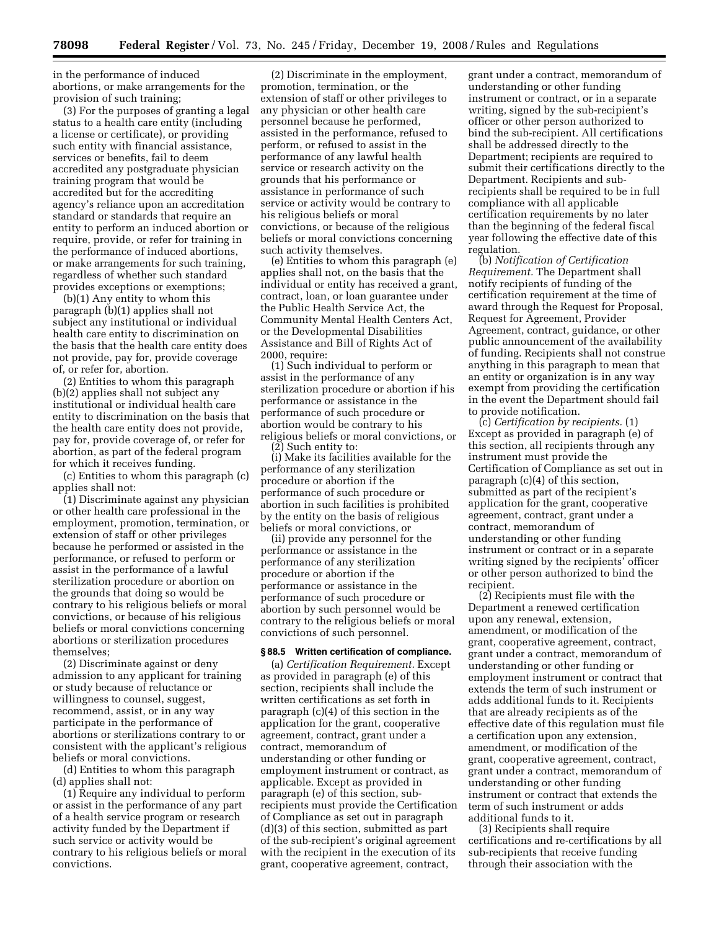in the performance of induced abortions, or make arrangements for the provision of such training;

(3) For the purposes of granting a legal status to a health care entity (including a license or certificate), or providing such entity with financial assistance, services or benefits, fail to deem accredited any postgraduate physician training program that would be accredited but for the accrediting agency's reliance upon an accreditation standard or standards that require an entity to perform an induced abortion or require, provide, or refer for training in the performance of induced abortions, or make arrangements for such training, regardless of whether such standard provides exceptions or exemptions;

(b)(1) Any entity to whom this paragraph (b)(1) applies shall not subject any institutional or individual health care entity to discrimination on the basis that the health care entity does not provide, pay for, provide coverage of, or refer for, abortion.

(2) Entities to whom this paragraph (b)(2) applies shall not subject any institutional or individual health care entity to discrimination on the basis that the health care entity does not provide, pay for, provide coverage of, or refer for abortion, as part of the federal program for which it receives funding.

(c) Entities to whom this paragraph (c) applies shall not:

(1) Discriminate against any physician or other health care professional in the employment, promotion, termination, or extension of staff or other privileges because he performed or assisted in the performance, or refused to perform or assist in the performance of a lawful sterilization procedure or abortion on the grounds that doing so would be contrary to his religious beliefs or moral convictions, or because of his religious beliefs or moral convictions concerning abortions or sterilization procedures themselves;

(2) Discriminate against or deny admission to any applicant for training or study because of reluctance or willingness to counsel, suggest, recommend, assist, or in any way participate in the performance of abortions or sterilizations contrary to or consistent with the applicant's religious beliefs or moral convictions.

(d) Entities to whom this paragraph (d) applies shall not:

(1) Require any individual to perform or assist in the performance of any part of a health service program or research activity funded by the Department if such service or activity would be contrary to his religious beliefs or moral convictions.

(2) Discriminate in the employment, promotion, termination, or the extension of staff or other privileges to any physician or other health care personnel because he performed, assisted in the performance, refused to perform, or refused to assist in the performance of any lawful health service or research activity on the grounds that his performance or assistance in performance of such service or activity would be contrary to his religious beliefs or moral convictions, or because of the religious beliefs or moral convictions concerning such activity themselves.

(e) Entities to whom this paragraph (e) applies shall not, on the basis that the individual or entity has received a grant, contract, loan, or loan guarantee under the Public Health Service Act, the Community Mental Health Centers Act, or the Developmental Disabilities Assistance and Bill of Rights Act of 2000, require:

(1) Such individual to perform or assist in the performance of any sterilization procedure or abortion if his performance or assistance in the performance of such procedure or abortion would be contrary to his religious beliefs or moral convictions, or

(2) Such entity to: (i) Make its facilities available for the performance of any sterilization procedure or abortion if the performance of such procedure or

abortion in such facilities is prohibited by the entity on the basis of religious beliefs or moral convictions, or

(ii) provide any personnel for the performance or assistance in the performance of any sterilization procedure or abortion if the performance or assistance in the performance of such procedure or abortion by such personnel would be contrary to the religious beliefs or moral convictions of such personnel.

## **§ 88.5 Written certification of compliance.**

(a) *Certification Requirement.* Except as provided in paragraph (e) of this section, recipients shall include the written certifications as set forth in paragraph (c)(4) of this section in the application for the grant, cooperative agreement, contract, grant under a contract, memorandum of understanding or other funding or employment instrument or contract, as applicable. Except as provided in paragraph (e) of this section, subrecipients must provide the Certification of Compliance as set out in paragraph (d)(3) of this section, submitted as part of the sub-recipient's original agreement with the recipient in the execution of its grant, cooperative agreement, contract,

grant under a contract, memorandum of understanding or other funding instrument or contract, or in a separate writing, signed by the sub-recipient's officer or other person authorized to bind the sub-recipient. All certifications shall be addressed directly to the Department; recipients are required to submit their certifications directly to the Department. Recipients and subrecipients shall be required to be in full compliance with all applicable certification requirements by no later than the beginning of the federal fiscal year following the effective date of this regulation.

(b) *Notification of Certification Requirement.* The Department shall notify recipients of funding of the certification requirement at the time of award through the Request for Proposal, Request for Agreement, Provider Agreement, contract, guidance, or other public announcement of the availability of funding. Recipients shall not construe anything in this paragraph to mean that an entity or organization is in any way exempt from providing the certification in the event the Department should fail to provide notification.

(c) *Certification by recipients.* (1) Except as provided in paragraph (e) of this section, all recipients through any instrument must provide the Certification of Compliance as set out in paragraph (c)(4) of this section, submitted as part of the recipient's application for the grant, cooperative agreement, contract, grant under a contract, memorandum of understanding or other funding instrument or contract or in a separate writing signed by the recipients' officer or other person authorized to bind the recipient.

(2) Recipients must file with the Department a renewed certification upon any renewal, extension, amendment, or modification of the grant, cooperative agreement, contract, grant under a contract, memorandum of understanding or other funding or employment instrument or contract that extends the term of such instrument or adds additional funds to it. Recipients that are already recipients as of the effective date of this regulation must file a certification upon any extension, amendment, or modification of the grant, cooperative agreement, contract, grant under a contract, memorandum of understanding or other funding instrument or contract that extends the term of such instrument or adds additional funds to it.

(3) Recipients shall require certifications and re-certifications by all sub-recipients that receive funding through their association with the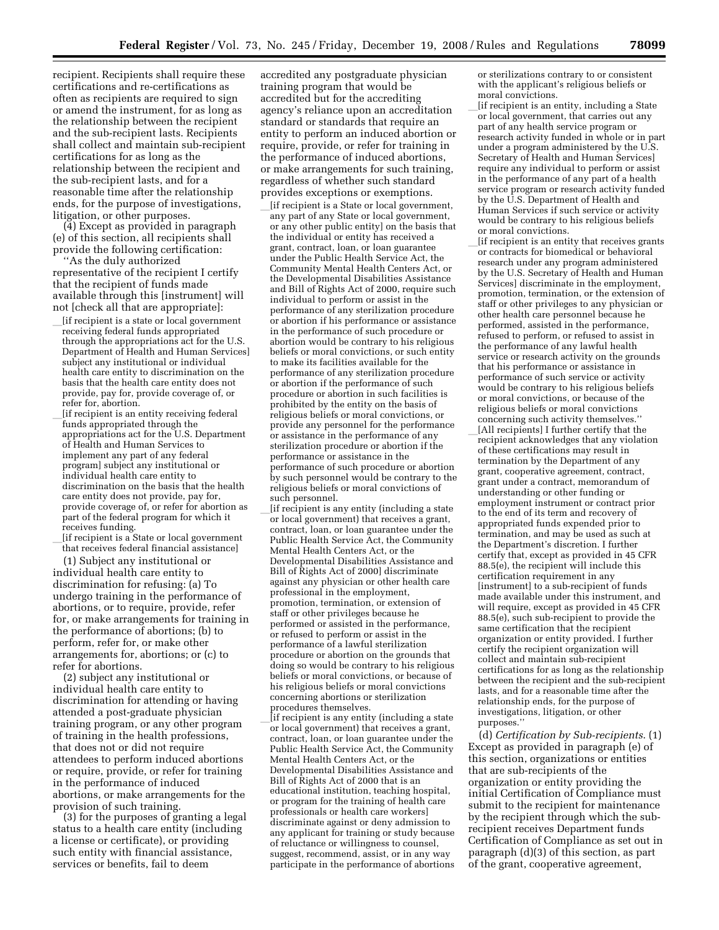recipient. Recipients shall require these certifications and re-certifications as often as recipients are required to sign or amend the instrument, for as long as the relationship between the recipient and the sub-recipient lasts. Recipients shall collect and maintain sub-recipient certifications for as long as the relationship between the recipient and the sub-recipient lasts, and for a reasonable time after the relationship ends, for the purpose of investigations, litigation, or other purposes.

(4) Except as provided in paragraph (e) of this section, all recipients shall provide the following certification:

''As the duly authorized representative of the recipient I certify that the recipient of funds made available through this [instrument] will not [check all that are appropriate]:

- [if recipient is a state or local government receiving federal funds appropriated through the appropriations act for the U.S. Department of Health and Human Services] subject any institutional or individual health care entity to discrimination on the basis that the health care entity does not provide, pay for, provide coverage of, or refer for, abortion.
- [if recipient is an entity receiving federal funds appropriated through the appropriations act for the U.S. Department of Health and Human Services to implement any part of any federal program] subject any institutional or individual health care entity to discrimination on the basis that the health care entity does not provide, pay for, provide coverage of, or refer for abortion as part of the federal program for which it receives funding.
- [if recipient is a State or local government that receives federal financial assistance]

(1) Subject any institutional or individual health care entity to discrimination for refusing: (a) To undergo training in the performance of abortions, or to require, provide, refer for, or make arrangements for training in the performance of abortions; (b) to perform, refer for, or make other arrangements for, abortions; or (c) to refer for abortions.

(2) subject any institutional or individual health care entity to discrimination for attending or having attended a post-graduate physician training program, or any other program of training in the health professions, that does not or did not require attendees to perform induced abortions or require, provide, or refer for training in the performance of induced abortions, or make arrangements for the provision of such training.

(3) for the purposes of granting a legal status to a health care entity (including a license or certificate), or providing such entity with financial assistance, services or benefits, fail to deem

accredited any postgraduate physician training program that would be accredited but for the accrediting agency's reliance upon an accreditation standard or standards that require an entity to perform an induced abortion or require, provide, or refer for training in the performance of induced abortions, or make arrangements for such training, regardless of whether such standard provides exceptions or exemptions.

- l[if recipient is a State or local government, any part of any State or local government, or any other public entity] on the basis that the individual or entity has received a grant, contract, loan, or loan guarantee under the Public Health Service Act, the Community Mental Health Centers Act, or the Developmental Disabilities Assistance and Bill of Rights Act of 2000, require such individual to perform or assist in the performance of any sterilization procedure or abortion if his performance or assistance in the performance of such procedure or abortion would be contrary to his religious beliefs or moral convictions, or such entity to make its facilities available for the performance of any sterilization procedure or abortion if the performance of such procedure or abortion in such facilities is prohibited by the entity on the basis of religious beliefs or moral convictions, or provide any personnel for the performance or assistance in the performance of any sterilization procedure or abortion if the performance or assistance in the performance of such procedure or abortion by such personnel would be contrary to the religious beliefs or moral convictions of such personnel.
- lif recipient is any entity (including a state or local government) that receives a grant, contract, loan, or loan guarantee under the Public Health Service Act, the Community Mental Health Centers Act, or the Developmental Disabilities Assistance and Bill of Rights Act of 2000] discriminate against any physician or other health care professional in the employment, promotion, termination, or extension of staff or other privileges because he performed or assisted in the performance, or refused to perform or assist in the performance of a lawful sterilization procedure or abortion on the grounds that doing so would be contrary to his religious beliefs or moral convictions, or because of his religious beliefs or moral convictions concerning abortions or sterilization procedures themselves.

l[if recipient is any entity (including a state or local government) that receives a grant, contract, loan, or loan guarantee under the Public Health Service Act, the Community Mental Health Centers Act, or the Developmental Disabilities Assistance and Bill of Rights Act of 2000 that is an educational institution, teaching hospital, or program for the training of health care professionals or health care workers] discriminate against or deny admission to any applicant for training or study because of reluctance or willingness to counsel, suggest, recommend, assist, or in any way participate in the performance of abortions or sterilizations contrary to or consistent with the applicant's religious beliefs or moral convictions.

l[if recipient is an entity, including a State or local government, that carries out any part of any health service program or research activity funded in whole or in part under a program administered by the U.S. Secretary of Health and Human Services] require any individual to perform or assist in the performance of any part of a health service program or research activity funded by the U.S. Department of Health and Human Services if such service or activity would be contrary to his religious beliefs or moral convictions.

lif recipient is an entity that receives grants or contracts for biomedical or behavioral research under any program administered by the U.S. Secretary of Health and Human Services] discriminate in the employment, promotion, termination, or the extension of staff or other privileges to any physician or other health care personnel because he performed, assisted in the performance, refused to perform, or refused to assist in the performance of any lawful health service or research activity on the grounds that his performance or assistance in performance of such service or activity would be contrary to his religious beliefs or moral convictions, or because of the religious beliefs or moral convictions concerning such activity themselves.'' [All recipients] I further certify that the recipient acknowledges that any violation of these certifications may result in termination by the Department of any grant, cooperative agreement, contract, grant under a contract, memorandum of understanding or other funding or employment instrument or contract prior to the end of its term and recovery of appropriated funds expended prior to termination, and may be used as such at the Department's discretion. I further certify that, except as provided in 45 CFR 88.5(e), the recipient will include this certification requirement in any [instrument] to a sub-recipient of funds made available under this instrument, and will require, except as provided in 45 CFR 88.5(e), such sub-recipient to provide the same certification that the recipient organization or entity provided. I further certify the recipient organization will collect and maintain sub-recipient certifications for as long as the relationship between the recipient and the sub-recipient lasts, and for a reasonable time after the relationship ends, for the purpose of investigations, litigation, or other purposes.''

(d) *Certification by Sub-recipients*. (1) Except as provided in paragraph (e) of this section, organizations or entities that are sub-recipients of the organization or entity providing the initial Certification of Compliance must submit to the recipient for maintenance by the recipient through which the subrecipient receives Department funds Certification of Compliance as set out in paragraph (d)(3) of this section, as part of the grant, cooperative agreement,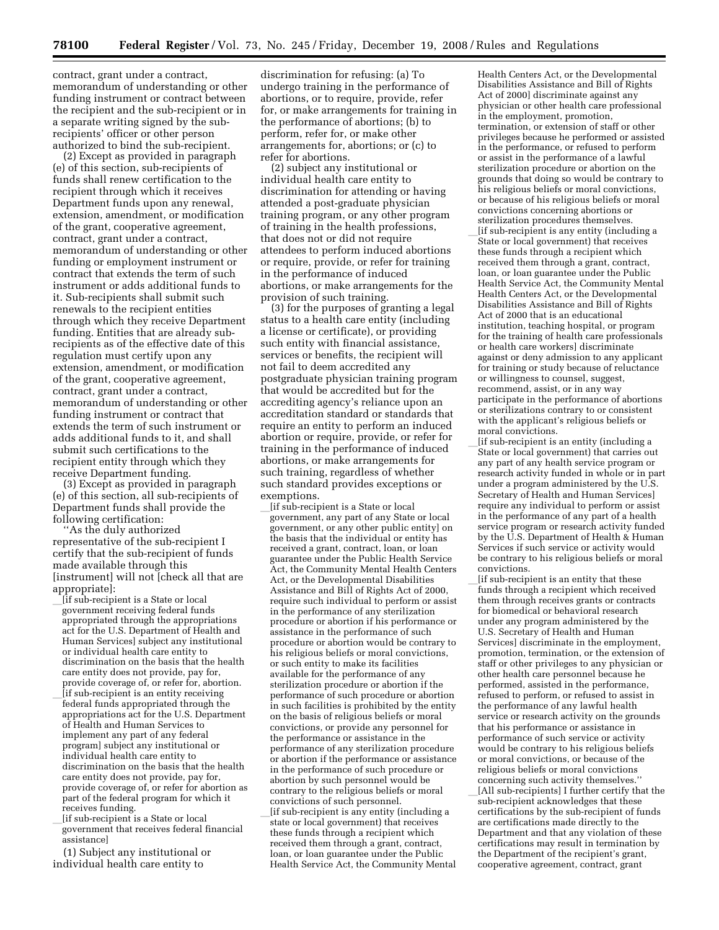contract, grant under a contract, memorandum of understanding or other funding instrument or contract between the recipient and the sub-recipient or in a separate writing signed by the subrecipients' officer or other person authorized to bind the sub-recipient.

(2) Except as provided in paragraph (e) of this section, sub-recipients of funds shall renew certification to the recipient through which it receives Department funds upon any renewal, extension, amendment, or modification of the grant, cooperative agreement, contract, grant under a contract, memorandum of understanding or other funding or employment instrument or contract that extends the term of such instrument or adds additional funds to it. Sub-recipients shall submit such renewals to the recipient entities through which they receive Department funding. Entities that are already subrecipients as of the effective date of this regulation must certify upon any extension, amendment, or modification of the grant, cooperative agreement, contract, grant under a contract, memorandum of understanding or other funding instrument or contract that extends the term of such instrument or adds additional funds to it, and shall submit such certifications to the recipient entity through which they receive Department funding.

(3) Except as provided in paragraph (e) of this section, all sub-recipients of Department funds shall provide the following certification:

''As the duly authorized representative of the sub-recipient I certify that the sub-recipient of funds made available through this [instrument] will not [check all that are appropriate]:

- l[if sub-recipient is a State or local government receiving federal funds appropriated through the appropriations act for the U.S. Department of Health and Human Services] subject any institutional or individual health care entity to discrimination on the basis that the health care entity does not provide, pay for, provide coverage of, or refer for, abortion. lif sub-recipient is an entity receiving<br>federal funds appropriated through the appropriations act for the U.S. Department of Health and Human Services to implement any part of any federal program] subject any institutional or individual health care entity to discrimination on the basis that the health care entity does not provide, pay for, provide coverage of, or refer for abortion as part of the federal program for which it receives funding.
- lif sub-recipient is a State or local government that receives federal financial assistance]
- (1) Subject any institutional or individual health care entity to

discrimination for refusing: (a) To undergo training in the performance of abortions, or to require, provide, refer for, or make arrangements for training in the performance of abortions; (b) to perform, refer for, or make other arrangements for, abortions; or (c) to refer for abortions.

(2) subject any institutional or individual health care entity to discrimination for attending or having attended a post-graduate physician training program, or any other program of training in the health professions, that does not or did not require attendees to perform induced abortions or require, provide, or refer for training in the performance of induced abortions, or make arrangements for the provision of such training.

(3) for the purposes of granting a legal status to a health care entity (including a license or certificate), or providing such entity with financial assistance, services or benefits, the recipient will not fail to deem accredited any postgraduate physician training program that would be accredited but for the accrediting agency's reliance upon an accreditation standard or standards that require an entity to perform an induced abortion or require, provide, or refer for training in the performance of induced abortions, or make arrangements for such training, regardless of whether such standard provides exceptions or exemptions.

- [if sub-recipient is a State or local government, any part of any State or local government, or any other public entity] on the basis that the individual or entity has received a grant, contract, loan, or loan guarantee under the Public Health Service Act, the Community Mental Health Centers Act, or the Developmental Disabilities Assistance and Bill of Rights Act of 2000, require such individual to perform or assist in the performance of any sterilization procedure or abortion if his performance or assistance in the performance of such procedure or abortion would be contrary to his religious beliefs or moral convictions, or such entity to make its facilities available for the performance of any sterilization procedure or abortion if the performance of such procedure or abortion in such facilities is prohibited by the entity on the basis of religious beliefs or moral convictions, or provide any personnel for the performance or assistance in the performance of any sterilization procedure or abortion if the performance or assistance in the performance of such procedure or abortion by such personnel would be contrary to the religious beliefs or moral convictions of such personnel. [if sub-recipient is any entity (including a state or local government) that receives
- these funds through a recipient which received them through a grant, contract, loan, or loan guarantee under the Public Health Service Act, the Community Mental

Health Centers Act, or the Developmental Disabilities Assistance and Bill of Rights Act of 2000] discriminate against any physician or other health care professional in the employment, promotion, termination, or extension of staff or other privileges because he performed or assisted in the performance, or refused to perform or assist in the performance of a lawful sterilization procedure or abortion on the grounds that doing so would be contrary to his religious beliefs or moral convictions, or because of his religious beliefs or moral convictions concerning abortions or sterilization procedures themselves. l[if sub-recipient is any entity (including a

State or local government) that receives these funds through a recipient which received them through a grant, contract, loan, or loan guarantee under the Public Health Service Act, the Community Mental Health Centers Act, or the Developmental Disabilities Assistance and Bill of Rights Act of 2000 that is an educational institution, teaching hospital, or program for the training of health care professionals or health care workers] discriminate against or deny admission to any applicant for training or study because of reluctance or willingness to counsel, suggest, recommend, assist, or in any way participate in the performance of abortions or sterilizations contrary to or consistent with the applicant's religious beliefs or moral convictions.

lif sub-recipient is an entity (including a State or local government) that carries out any part of any health service program or research activity funded in whole or in part under a program administered by the U.S. Secretary of Health and Human Services] require any individual to perform or assist in the performance of any part of a health service program or research activity funded by the U.S. Department of Health & Human Services if such service or activity would be contrary to his religious beliefs or moral convictions.<br>[if sub-recipient is an entity that these

 $\[\]$ [if sub-recipient is an entity that these funds through a recipient which received them through receives grants or contracts for biomedical or behavioral research under any program administered by the U.S. Secretary of Health and Human Services] discriminate in the employment, promotion, termination, or the extension of staff or other privileges to any physician or other health care personnel because he performed, assisted in the performance, refused to perform, or refused to assist in the performance of any lawful health service or research activity on the grounds that his performance or assistance in performance of such service or activity would be contrary to his religious beliefs or moral convictions, or because of the religious beliefs or moral convictions concerning such activity themselves.'' [All sub-recipients] I further certify that the sub-recipient acknowledges that these certifications by the sub-recipient of funds are certifications made directly to the Department and that any violation of these certifications may result in termination by the Department of the recipient's grant, cooperative agreement, contract, grant